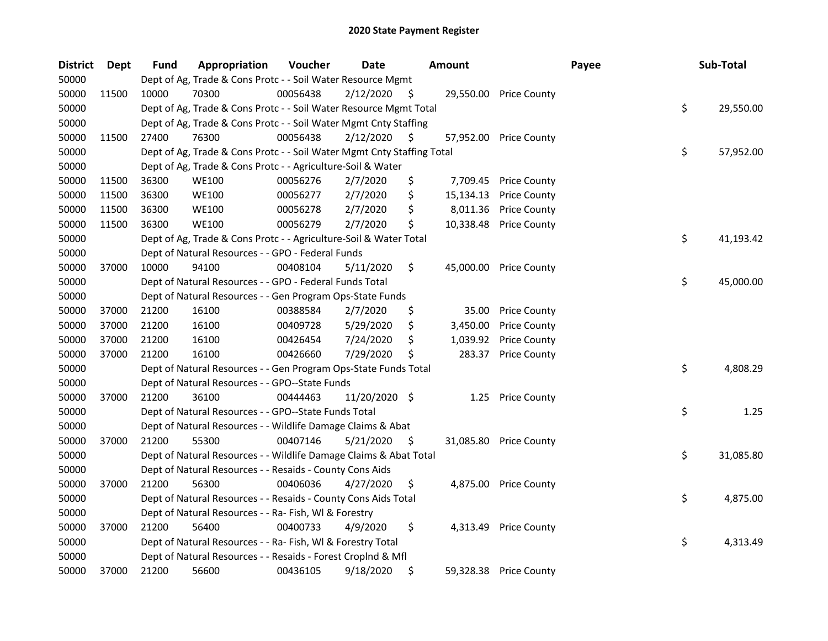| <b>District</b> | Dept  | <b>Fund</b> | Appropriation                                                          | Voucher  | <b>Date</b>   |     | <b>Amount</b> |                        | Payee | Sub-Total       |
|-----------------|-------|-------------|------------------------------------------------------------------------|----------|---------------|-----|---------------|------------------------|-------|-----------------|
| 50000           |       |             | Dept of Ag, Trade & Cons Protc - - Soil Water Resource Mgmt            |          |               |     |               |                        |       |                 |
| 50000           | 11500 | 10000       | 70300                                                                  | 00056438 | 2/12/2020     | - S |               | 29,550.00 Price County |       |                 |
| 50000           |       |             | Dept of Ag, Trade & Cons Protc - - Soil Water Resource Mgmt Total      |          |               |     |               |                        |       | \$<br>29,550.00 |
| 50000           |       |             | Dept of Ag, Trade & Cons Protc - - Soil Water Mgmt Cnty Staffing       |          |               |     |               |                        |       |                 |
| 50000           | 11500 | 27400       | 76300                                                                  | 00056438 | 2/12/2020     | \$. |               | 57,952.00 Price County |       |                 |
| 50000           |       |             | Dept of Ag, Trade & Cons Protc - - Soil Water Mgmt Cnty Staffing Total |          |               |     |               |                        |       | \$<br>57,952.00 |
| 50000           |       |             | Dept of Ag, Trade & Cons Protc - - Agriculture-Soil & Water            |          |               |     |               |                        |       |                 |
| 50000           | 11500 | 36300       | <b>WE100</b>                                                           | 00056276 | 2/7/2020      | \$  |               | 7,709.45 Price County  |       |                 |
| 50000           | 11500 | 36300       | <b>WE100</b>                                                           | 00056277 | 2/7/2020      | \$  | 15,134.13     | <b>Price County</b>    |       |                 |
| 50000           | 11500 | 36300       | <b>WE100</b>                                                           | 00056278 | 2/7/2020      | \$  | 8,011.36      | <b>Price County</b>    |       |                 |
| 50000           | 11500 | 36300       | <b>WE100</b>                                                           | 00056279 | 2/7/2020      | \$  |               | 10,338.48 Price County |       |                 |
| 50000           |       |             | Dept of Ag, Trade & Cons Protc - - Agriculture-Soil & Water Total      |          |               |     |               |                        |       | \$<br>41,193.42 |
| 50000           |       |             | Dept of Natural Resources - - GPO - Federal Funds                      |          |               |     |               |                        |       |                 |
| 50000           | 37000 | 10000       | 94100                                                                  | 00408104 | 5/11/2020     | \$  |               | 45,000.00 Price County |       |                 |
| 50000           |       |             | Dept of Natural Resources - - GPO - Federal Funds Total                |          |               |     |               |                        |       | \$<br>45,000.00 |
| 50000           |       |             | Dept of Natural Resources - - Gen Program Ops-State Funds              |          |               |     |               |                        |       |                 |
| 50000           | 37000 | 21200       | 16100                                                                  | 00388584 | 2/7/2020      | \$  | 35.00         | <b>Price County</b>    |       |                 |
| 50000           | 37000 | 21200       | 16100                                                                  | 00409728 | 5/29/2020     | \$  | 3,450.00      | <b>Price County</b>    |       |                 |
| 50000           | 37000 | 21200       | 16100                                                                  | 00426454 | 7/24/2020     | Ś   | 1,039.92      | <b>Price County</b>    |       |                 |
| 50000           | 37000 | 21200       | 16100                                                                  | 00426660 | 7/29/2020     | \$  |               | 283.37 Price County    |       |                 |
| 50000           |       |             | Dept of Natural Resources - - Gen Program Ops-State Funds Total        |          |               |     |               |                        |       | \$<br>4,808.29  |
| 50000           |       |             | Dept of Natural Resources - - GPO--State Funds                         |          |               |     |               |                        |       |                 |
| 50000           | 37000 | 21200       | 36100                                                                  | 00444463 | 11/20/2020 \$ |     | 1.25          | <b>Price County</b>    |       |                 |
| 50000           |       |             | Dept of Natural Resources - - GPO--State Funds Total                   |          |               |     |               |                        |       | \$<br>1.25      |
| 50000           |       |             | Dept of Natural Resources - - Wildlife Damage Claims & Abat            |          |               |     |               |                        |       |                 |
| 50000           | 37000 | 21200       | 55300                                                                  | 00407146 | 5/21/2020     | - Ş |               | 31,085.80 Price County |       |                 |
| 50000           |       |             | Dept of Natural Resources - - Wildlife Damage Claims & Abat Total      |          |               |     |               |                        |       | \$<br>31,085.80 |
| 50000           |       |             | Dept of Natural Resources - - Resaids - County Cons Aids               |          |               |     |               |                        |       |                 |
| 50000           | 37000 | 21200       | 56300                                                                  | 00406036 | 4/27/2020     | \$  |               | 4,875.00 Price County  |       |                 |
| 50000           |       |             | Dept of Natural Resources - - Resaids - County Cons Aids Total         |          |               |     |               |                        |       | \$<br>4,875.00  |
| 50000           |       |             | Dept of Natural Resources - - Ra- Fish, WI & Forestry                  |          |               |     |               |                        |       |                 |
| 50000           | 37000 | 21200       | 56400                                                                  | 00400733 | 4/9/2020      | \$  |               | 4,313.49 Price County  |       |                 |
| 50000           |       |             | Dept of Natural Resources - - Ra- Fish, WI & Forestry Total            |          |               |     |               |                        |       | \$<br>4,313.49  |
| 50000           |       |             | Dept of Natural Resources - - Resaids - Forest Croplnd & Mfl           |          |               |     |               |                        |       |                 |
| 50000           | 37000 | 21200       | 56600                                                                  | 00436105 | 9/18/2020     | \$  |               | 59,328.38 Price County |       |                 |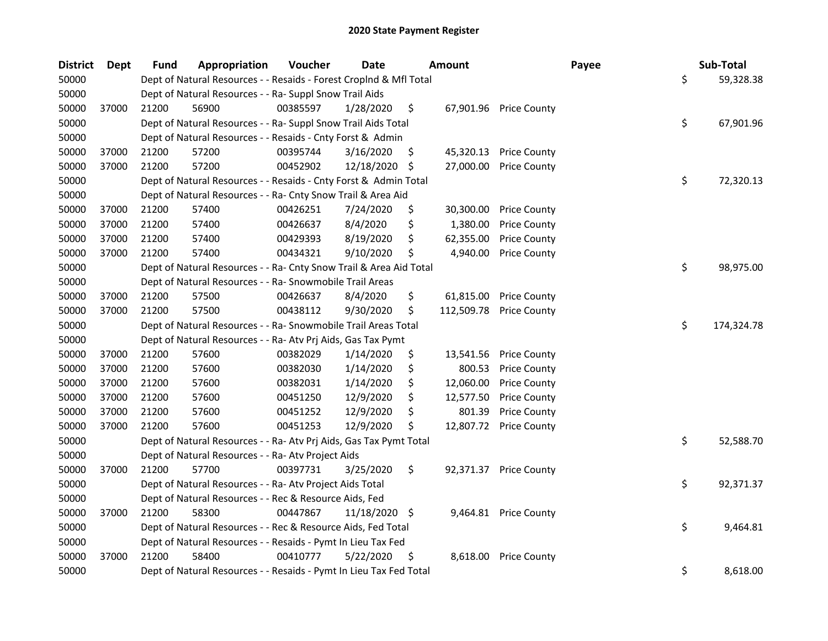| <b>District</b> | <b>Dept</b> | Fund  | Appropriation                                                      | Voucher  | <b>Date</b>   |     | <b>Amount</b> |                        | Payee | Sub-Total        |
|-----------------|-------------|-------|--------------------------------------------------------------------|----------|---------------|-----|---------------|------------------------|-------|------------------|
| 50000           |             |       | Dept of Natural Resources - - Resaids - Forest CropInd & Mfl Total |          |               |     |               |                        |       | \$<br>59,328.38  |
| 50000           |             |       | Dept of Natural Resources - - Ra- Suppl Snow Trail Aids            |          |               |     |               |                        |       |                  |
| 50000           | 37000       | 21200 | 56900                                                              | 00385597 | 1/28/2020     | \$  |               | 67,901.96 Price County |       |                  |
| 50000           |             |       | Dept of Natural Resources - - Ra- Suppl Snow Trail Aids Total      |          |               |     |               |                        |       | \$<br>67,901.96  |
| 50000           |             |       | Dept of Natural Resources - - Resaids - Cnty Forst & Admin         |          |               |     |               |                        |       |                  |
| 50000           | 37000       | 21200 | 57200                                                              | 00395744 | 3/16/2020     | \$  | 45,320.13     | <b>Price County</b>    |       |                  |
| 50000           | 37000       | 21200 | 57200                                                              | 00452902 | 12/18/2020    | -\$ | 27,000.00     | <b>Price County</b>    |       |                  |
| 50000           |             |       | Dept of Natural Resources - - Resaids - Cnty Forst & Admin Total   |          |               |     |               |                        |       | \$<br>72,320.13  |
| 50000           |             |       | Dept of Natural Resources - - Ra- Cnty Snow Trail & Area Aid       |          |               |     |               |                        |       |                  |
| 50000           | 37000       | 21200 | 57400                                                              | 00426251 | 7/24/2020     | \$  | 30,300.00     | <b>Price County</b>    |       |                  |
| 50000           | 37000       | 21200 | 57400                                                              | 00426637 | 8/4/2020      | \$  | 1,380.00      | <b>Price County</b>    |       |                  |
| 50000           | 37000       | 21200 | 57400                                                              | 00429393 | 8/19/2020     | \$  | 62,355.00     | <b>Price County</b>    |       |                  |
| 50000           | 37000       | 21200 | 57400                                                              | 00434321 | 9/10/2020     | \$  | 4,940.00      | <b>Price County</b>    |       |                  |
| 50000           |             |       | Dept of Natural Resources - - Ra- Cnty Snow Trail & Area Aid Total |          |               |     |               |                        |       | \$<br>98,975.00  |
| 50000           |             |       | Dept of Natural Resources - - Ra- Snowmobile Trail Areas           |          |               |     |               |                        |       |                  |
| 50000           | 37000       | 21200 | 57500                                                              | 00426637 | 8/4/2020      | \$  | 61,815.00     | <b>Price County</b>    |       |                  |
| 50000           | 37000       | 21200 | 57500                                                              | 00438112 | 9/30/2020     | \$  | 112,509.78    | <b>Price County</b>    |       |                  |
| 50000           |             |       | Dept of Natural Resources - - Ra- Snowmobile Trail Areas Total     |          |               |     |               |                        |       | \$<br>174,324.78 |
| 50000           |             |       | Dept of Natural Resources - - Ra- Atv Prj Aids, Gas Tax Pymt       |          |               |     |               |                        |       |                  |
| 50000           | 37000       | 21200 | 57600                                                              | 00382029 | 1/14/2020     | \$  | 13,541.56     | <b>Price County</b>    |       |                  |
| 50000           | 37000       | 21200 | 57600                                                              | 00382030 | 1/14/2020     | \$  | 800.53        | <b>Price County</b>    |       |                  |
| 50000           | 37000       | 21200 | 57600                                                              | 00382031 | 1/14/2020     | \$  | 12,060.00     | <b>Price County</b>    |       |                  |
| 50000           | 37000       | 21200 | 57600                                                              | 00451250 | 12/9/2020     | \$  | 12,577.50     | <b>Price County</b>    |       |                  |
| 50000           | 37000       | 21200 | 57600                                                              | 00451252 | 12/9/2020     | \$  | 801.39        | <b>Price County</b>    |       |                  |
| 50000           | 37000       | 21200 | 57600                                                              | 00451253 | 12/9/2020     | \$  | 12,807.72     | <b>Price County</b>    |       |                  |
| 50000           |             |       | Dept of Natural Resources - - Ra- Atv Prj Aids, Gas Tax Pymt Total |          |               |     |               |                        |       | \$<br>52,588.70  |
| 50000           |             |       | Dept of Natural Resources - - Ra- Atv Project Aids                 |          |               |     |               |                        |       |                  |
| 50000           | 37000       | 21200 | 57700                                                              | 00397731 | 3/25/2020     | \$  | 92,371.37     | <b>Price County</b>    |       |                  |
| 50000           |             |       | Dept of Natural Resources - - Ra- Atv Project Aids Total           |          |               |     |               |                        |       | \$<br>92,371.37  |
| 50000           |             |       | Dept of Natural Resources - - Rec & Resource Aids, Fed             |          |               |     |               |                        |       |                  |
| 50000           | 37000       | 21200 | 58300                                                              | 00447867 | 11/18/2020 \$ |     |               | 9,464.81 Price County  |       |                  |
| 50000           |             |       | Dept of Natural Resources - - Rec & Resource Aids, Fed Total       |          |               |     |               |                        |       | \$<br>9,464.81   |
| 50000           |             |       | Dept of Natural Resources - - Resaids - Pymt In Lieu Tax Fed       |          |               |     |               |                        |       |                  |
| 50000           | 37000       | 21200 | 58400                                                              | 00410777 | 5/22/2020     | \$  | 8,618.00      | <b>Price County</b>    |       |                  |
| 50000           |             |       | Dept of Natural Resources - - Resaids - Pymt In Lieu Tax Fed Total |          |               |     |               |                        |       | \$<br>8,618.00   |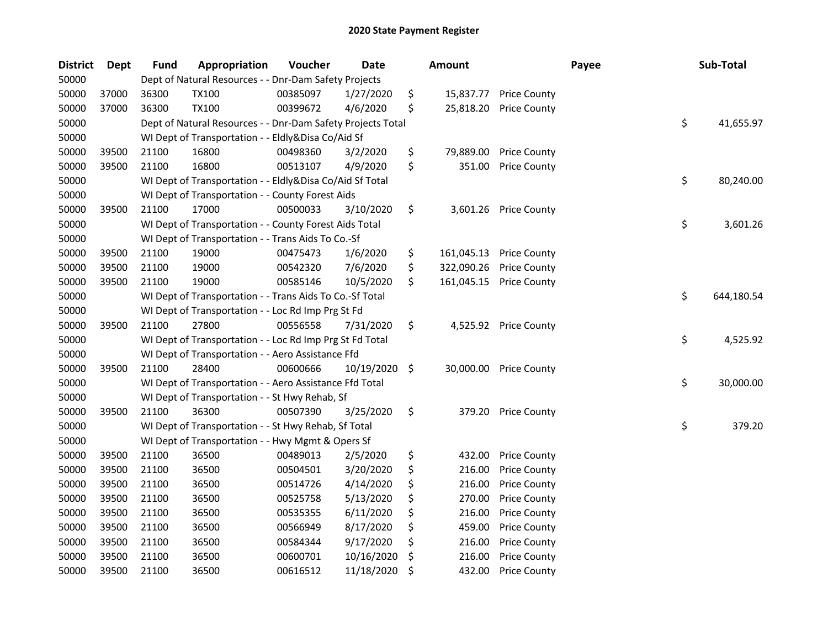| <b>District</b> | Dept  | <b>Fund</b> | Appropriation                                               | Voucher  | Date       | <b>Amount</b>    |                     | Payee | Sub-Total        |
|-----------------|-------|-------------|-------------------------------------------------------------|----------|------------|------------------|---------------------|-------|------------------|
| 50000           |       |             | Dept of Natural Resources - - Dnr-Dam Safety Projects       |          |            |                  |                     |       |                  |
| 50000           | 37000 | 36300       | <b>TX100</b>                                                | 00385097 | 1/27/2020  | \$<br>15,837.77  | <b>Price County</b> |       |                  |
| 50000           | 37000 | 36300       | <b>TX100</b>                                                | 00399672 | 4/6/2020   | \$<br>25,818.20  | <b>Price County</b> |       |                  |
| 50000           |       |             | Dept of Natural Resources - - Dnr-Dam Safety Projects Total |          |            |                  |                     |       | \$<br>41,655.97  |
| 50000           |       |             | WI Dept of Transportation - - Eldly&Disa Co/Aid Sf          |          |            |                  |                     |       |                  |
| 50000           | 39500 | 21100       | 16800                                                       | 00498360 | 3/2/2020   | \$<br>79,889.00  | <b>Price County</b> |       |                  |
| 50000           | 39500 | 21100       | 16800                                                       | 00513107 | 4/9/2020   | \$<br>351.00     | <b>Price County</b> |       |                  |
| 50000           |       |             | WI Dept of Transportation - - Eldly&Disa Co/Aid Sf Total    |          |            |                  |                     |       | \$<br>80,240.00  |
| 50000           |       |             | WI Dept of Transportation - - County Forest Aids            |          |            |                  |                     |       |                  |
| 50000           | 39500 | 21100       | 17000                                                       | 00500033 | 3/10/2020  | \$<br>3,601.26   | <b>Price County</b> |       |                  |
| 50000           |       |             | WI Dept of Transportation - - County Forest Aids Total      |          |            |                  |                     |       | \$<br>3,601.26   |
| 50000           |       |             | WI Dept of Transportation - - Trans Aids To Co.-Sf          |          |            |                  |                     |       |                  |
| 50000           | 39500 | 21100       | 19000                                                       | 00475473 | 1/6/2020   | \$<br>161,045.13 | <b>Price County</b> |       |                  |
| 50000           | 39500 | 21100       | 19000                                                       | 00542320 | 7/6/2020   | \$<br>322,090.26 | <b>Price County</b> |       |                  |
| 50000           | 39500 | 21100       | 19000                                                       | 00585146 | 10/5/2020  | \$<br>161,045.15 | <b>Price County</b> |       |                  |
| 50000           |       |             | WI Dept of Transportation - - Trans Aids To Co.-Sf Total    |          |            |                  |                     |       | \$<br>644,180.54 |
| 50000           |       |             | WI Dept of Transportation - - Loc Rd Imp Prg St Fd          |          |            |                  |                     |       |                  |
| 50000           | 39500 | 21100       | 27800                                                       | 00556558 | 7/31/2020  | \$<br>4,525.92   | <b>Price County</b> |       |                  |
| 50000           |       |             | WI Dept of Transportation - - Loc Rd Imp Prg St Fd Total    |          |            |                  |                     |       | \$<br>4,525.92   |
| 50000           |       |             | WI Dept of Transportation - - Aero Assistance Ffd           |          |            |                  |                     |       |                  |
| 50000           | 39500 | 21100       | 28400                                                       | 00600666 | 10/19/2020 | \$<br>30,000.00  | <b>Price County</b> |       |                  |
| 50000           |       |             | WI Dept of Transportation - - Aero Assistance Ffd Total     |          |            |                  |                     |       | \$<br>30,000.00  |
| 50000           |       |             | WI Dept of Transportation - - St Hwy Rehab, Sf              |          |            |                  |                     |       |                  |
| 50000           | 39500 | 21100       | 36300                                                       | 00507390 | 3/25/2020  | \$<br>379.20     | <b>Price County</b> |       |                  |
| 50000           |       |             | WI Dept of Transportation - - St Hwy Rehab, Sf Total        |          |            |                  |                     |       | \$<br>379.20     |
| 50000           |       |             | WI Dept of Transportation - - Hwy Mgmt & Opers Sf           |          |            |                  |                     |       |                  |
| 50000           | 39500 | 21100       | 36500                                                       | 00489013 | 2/5/2020   | \$<br>432.00     | <b>Price County</b> |       |                  |
| 50000           | 39500 | 21100       | 36500                                                       | 00504501 | 3/20/2020  | \$<br>216.00     | <b>Price County</b> |       |                  |
| 50000           | 39500 | 21100       | 36500                                                       | 00514726 | 4/14/2020  | \$<br>216.00     | <b>Price County</b> |       |                  |
| 50000           | 39500 | 21100       | 36500                                                       | 00525758 | 5/13/2020  | \$<br>270.00     | <b>Price County</b> |       |                  |
| 50000           | 39500 | 21100       | 36500                                                       | 00535355 | 6/11/2020  | \$<br>216.00     | <b>Price County</b> |       |                  |
| 50000           | 39500 | 21100       | 36500                                                       | 00566949 | 8/17/2020  | \$<br>459.00     | <b>Price County</b> |       |                  |
| 50000           | 39500 | 21100       | 36500                                                       | 00584344 | 9/17/2020  | \$<br>216.00     | <b>Price County</b> |       |                  |
| 50000           | 39500 | 21100       | 36500                                                       | 00600701 | 10/16/2020 | \$<br>216.00     | <b>Price County</b> |       |                  |
| 50000           | 39500 | 21100       | 36500                                                       | 00616512 | 11/18/2020 | \$<br>432.00     | <b>Price County</b> |       |                  |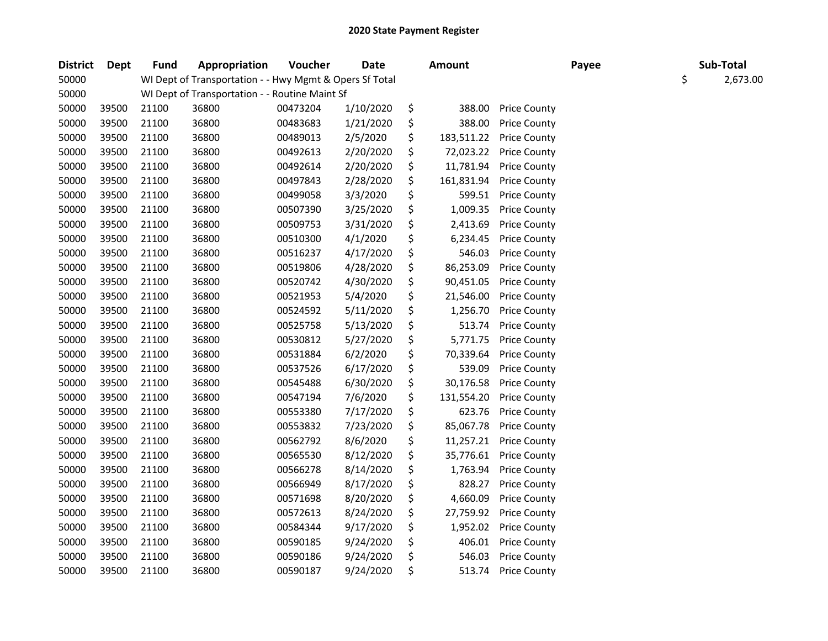| <b>District</b> | <b>Dept</b> | <b>Fund</b> | Appropriation                                           | Voucher  | <b>Date</b> | <b>Amount</b>    |                     | Payee |    | Sub-Total |
|-----------------|-------------|-------------|---------------------------------------------------------|----------|-------------|------------------|---------------------|-------|----|-----------|
| 50000           |             |             | WI Dept of Transportation - - Hwy Mgmt & Opers Sf Total |          |             |                  |                     |       | \$ | 2,673.00  |
| 50000           |             |             | WI Dept of Transportation - - Routine Maint Sf          |          |             |                  |                     |       |    |           |
| 50000           | 39500       | 21100       | 36800                                                   | 00473204 | 1/10/2020   | \$<br>388.00     | <b>Price County</b> |       |    |           |
| 50000           | 39500       | 21100       | 36800                                                   | 00483683 | 1/21/2020   | \$<br>388.00     | <b>Price County</b> |       |    |           |
| 50000           | 39500       | 21100       | 36800                                                   | 00489013 | 2/5/2020    | \$<br>183,511.22 | <b>Price County</b> |       |    |           |
| 50000           | 39500       | 21100       | 36800                                                   | 00492613 | 2/20/2020   | \$<br>72,023.22  | <b>Price County</b> |       |    |           |
| 50000           | 39500       | 21100       | 36800                                                   | 00492614 | 2/20/2020   | \$<br>11,781.94  | <b>Price County</b> |       |    |           |
| 50000           | 39500       | 21100       | 36800                                                   | 00497843 | 2/28/2020   | \$<br>161,831.94 | <b>Price County</b> |       |    |           |
| 50000           | 39500       | 21100       | 36800                                                   | 00499058 | 3/3/2020    | \$<br>599.51     | <b>Price County</b> |       |    |           |
| 50000           | 39500       | 21100       | 36800                                                   | 00507390 | 3/25/2020   | \$<br>1,009.35   | <b>Price County</b> |       |    |           |
| 50000           | 39500       | 21100       | 36800                                                   | 00509753 | 3/31/2020   | \$<br>2,413.69   | <b>Price County</b> |       |    |           |
| 50000           | 39500       | 21100       | 36800                                                   | 00510300 | 4/1/2020    | \$<br>6,234.45   | <b>Price County</b> |       |    |           |
| 50000           | 39500       | 21100       | 36800                                                   | 00516237 | 4/17/2020   | \$<br>546.03     | <b>Price County</b> |       |    |           |
| 50000           | 39500       | 21100       | 36800                                                   | 00519806 | 4/28/2020   | \$<br>86,253.09  | <b>Price County</b> |       |    |           |
| 50000           | 39500       | 21100       | 36800                                                   | 00520742 | 4/30/2020   | \$<br>90,451.05  | <b>Price County</b> |       |    |           |
| 50000           | 39500       | 21100       | 36800                                                   | 00521953 | 5/4/2020    | \$<br>21,546.00  | <b>Price County</b> |       |    |           |
| 50000           | 39500       | 21100       | 36800                                                   | 00524592 | 5/11/2020   | \$<br>1,256.70   | <b>Price County</b> |       |    |           |
| 50000           | 39500       | 21100       | 36800                                                   | 00525758 | 5/13/2020   | \$<br>513.74     | <b>Price County</b> |       |    |           |
| 50000           | 39500       | 21100       | 36800                                                   | 00530812 | 5/27/2020   | \$<br>5,771.75   | <b>Price County</b> |       |    |           |
| 50000           | 39500       | 21100       | 36800                                                   | 00531884 | 6/2/2020    | \$<br>70,339.64  | <b>Price County</b> |       |    |           |
| 50000           | 39500       | 21100       | 36800                                                   | 00537526 | 6/17/2020   | \$<br>539.09     | <b>Price County</b> |       |    |           |
| 50000           | 39500       | 21100       | 36800                                                   | 00545488 | 6/30/2020   | \$<br>30,176.58  | <b>Price County</b> |       |    |           |
| 50000           | 39500       | 21100       | 36800                                                   | 00547194 | 7/6/2020    | \$<br>131,554.20 | <b>Price County</b> |       |    |           |
| 50000           | 39500       | 21100       | 36800                                                   | 00553380 | 7/17/2020   | \$<br>623.76     | <b>Price County</b> |       |    |           |
| 50000           | 39500       | 21100       | 36800                                                   | 00553832 | 7/23/2020   | \$<br>85,067.78  | <b>Price County</b> |       |    |           |
| 50000           | 39500       | 21100       | 36800                                                   | 00562792 | 8/6/2020    | \$<br>11,257.21  | <b>Price County</b> |       |    |           |
| 50000           | 39500       | 21100       | 36800                                                   | 00565530 | 8/12/2020   | \$<br>35,776.61  | <b>Price County</b> |       |    |           |
| 50000           | 39500       | 21100       | 36800                                                   | 00566278 | 8/14/2020   | \$<br>1,763.94   | <b>Price County</b> |       |    |           |
| 50000           | 39500       | 21100       | 36800                                                   | 00566949 | 8/17/2020   | \$<br>828.27     | <b>Price County</b> |       |    |           |
| 50000           | 39500       | 21100       | 36800                                                   | 00571698 | 8/20/2020   | \$<br>4,660.09   | <b>Price County</b> |       |    |           |
| 50000           | 39500       | 21100       | 36800                                                   | 00572613 | 8/24/2020   | \$<br>27,759.92  | <b>Price County</b> |       |    |           |
| 50000           | 39500       | 21100       | 36800                                                   | 00584344 | 9/17/2020   | \$<br>1,952.02   | <b>Price County</b> |       |    |           |
| 50000           | 39500       | 21100       | 36800                                                   | 00590185 | 9/24/2020   | \$<br>406.01     | <b>Price County</b> |       |    |           |
| 50000           | 39500       | 21100       | 36800                                                   | 00590186 | 9/24/2020   | \$<br>546.03     | <b>Price County</b> |       |    |           |
| 50000           | 39500       | 21100       | 36800                                                   | 00590187 | 9/24/2020   | \$<br>513.74     | <b>Price County</b> |       |    |           |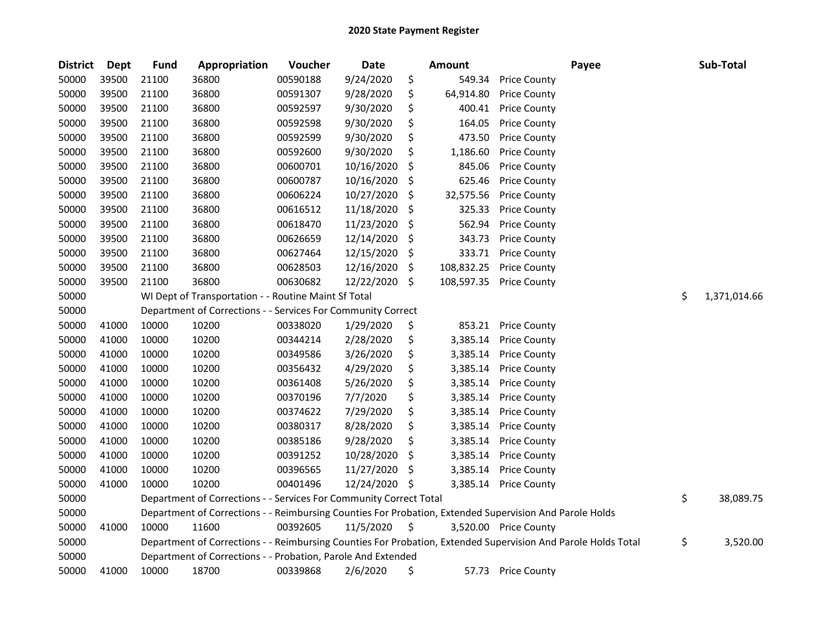| <b>District</b> | <b>Dept</b> | <b>Fund</b> | Appropriation                                                      | Voucher  | <b>Date</b> | <b>Amount</b>    | Payee                                                                                                         |    | Sub-Total    |
|-----------------|-------------|-------------|--------------------------------------------------------------------|----------|-------------|------------------|---------------------------------------------------------------------------------------------------------------|----|--------------|
| 50000           | 39500       | 21100       | 36800                                                              | 00590188 | 9/24/2020   | \$<br>549.34     | <b>Price County</b>                                                                                           |    |              |
| 50000           | 39500       | 21100       | 36800                                                              | 00591307 | 9/28/2020   | \$<br>64,914.80  | <b>Price County</b>                                                                                           |    |              |
| 50000           | 39500       | 21100       | 36800                                                              | 00592597 | 9/30/2020   | \$<br>400.41     | <b>Price County</b>                                                                                           |    |              |
| 50000           | 39500       | 21100       | 36800                                                              | 00592598 | 9/30/2020   | \$<br>164.05     | <b>Price County</b>                                                                                           |    |              |
| 50000           | 39500       | 21100       | 36800                                                              | 00592599 | 9/30/2020   | \$<br>473.50     | <b>Price County</b>                                                                                           |    |              |
| 50000           | 39500       | 21100       | 36800                                                              | 00592600 | 9/30/2020   | \$<br>1,186.60   | <b>Price County</b>                                                                                           |    |              |
| 50000           | 39500       | 21100       | 36800                                                              | 00600701 | 10/16/2020  | \$<br>845.06     | <b>Price County</b>                                                                                           |    |              |
| 50000           | 39500       | 21100       | 36800                                                              | 00600787 | 10/16/2020  | \$<br>625.46     | <b>Price County</b>                                                                                           |    |              |
| 50000           | 39500       | 21100       | 36800                                                              | 00606224 | 10/27/2020  | \$<br>32,575.56  | <b>Price County</b>                                                                                           |    |              |
| 50000           | 39500       | 21100       | 36800                                                              | 00616512 | 11/18/2020  | \$<br>325.33     | <b>Price County</b>                                                                                           |    |              |
| 50000           | 39500       | 21100       | 36800                                                              | 00618470 | 11/23/2020  | \$<br>562.94     | <b>Price County</b>                                                                                           |    |              |
| 50000           | 39500       | 21100       | 36800                                                              | 00626659 | 12/14/2020  | \$<br>343.73     | <b>Price County</b>                                                                                           |    |              |
| 50000           | 39500       | 21100       | 36800                                                              | 00627464 | 12/15/2020  | \$<br>333.71     | <b>Price County</b>                                                                                           |    |              |
| 50000           | 39500       | 21100       | 36800                                                              | 00628503 | 12/16/2020  | \$<br>108,832.25 | <b>Price County</b>                                                                                           |    |              |
| 50000           | 39500       | 21100       | 36800                                                              | 00630682 | 12/22/2020  | \$<br>108,597.35 | <b>Price County</b>                                                                                           |    |              |
| 50000           |             |             | WI Dept of Transportation - - Routine Maint Sf Total               |          |             |                  |                                                                                                               | \$ | 1,371,014.66 |
| 50000           |             |             | Department of Corrections - - Services For Community Correct       |          |             |                  |                                                                                                               |    |              |
| 50000           | 41000       | 10000       | 10200                                                              | 00338020 | 1/29/2020   | \$<br>853.21     | <b>Price County</b>                                                                                           |    |              |
| 50000           | 41000       | 10000       | 10200                                                              | 00344214 | 2/28/2020   | \$<br>3,385.14   | <b>Price County</b>                                                                                           |    |              |
| 50000           | 41000       | 10000       | 10200                                                              | 00349586 | 3/26/2020   | \$<br>3,385.14   | <b>Price County</b>                                                                                           |    |              |
| 50000           | 41000       | 10000       | 10200                                                              | 00356432 | 4/29/2020   | \$<br>3,385.14   | <b>Price County</b>                                                                                           |    |              |
| 50000           | 41000       | 10000       | 10200                                                              | 00361408 | 5/26/2020   | \$<br>3,385.14   | <b>Price County</b>                                                                                           |    |              |
| 50000           | 41000       | 10000       | 10200                                                              | 00370196 | 7/7/2020    | \$<br>3,385.14   | <b>Price County</b>                                                                                           |    |              |
| 50000           | 41000       | 10000       | 10200                                                              | 00374622 | 7/29/2020   | \$<br>3,385.14   | <b>Price County</b>                                                                                           |    |              |
| 50000           | 41000       | 10000       | 10200                                                              | 00380317 | 8/28/2020   | \$<br>3,385.14   | <b>Price County</b>                                                                                           |    |              |
| 50000           | 41000       | 10000       | 10200                                                              | 00385186 | 9/28/2020   | \$<br>3,385.14   | <b>Price County</b>                                                                                           |    |              |
| 50000           | 41000       | 10000       | 10200                                                              | 00391252 | 10/28/2020  | \$<br>3,385.14   | <b>Price County</b>                                                                                           |    |              |
| 50000           | 41000       | 10000       | 10200                                                              | 00396565 | 11/27/2020  | \$<br>3,385.14   | <b>Price County</b>                                                                                           |    |              |
| 50000           | 41000       | 10000       | 10200                                                              | 00401496 | 12/24/2020  | \$<br>3,385.14   | <b>Price County</b>                                                                                           |    |              |
| 50000           |             |             | Department of Corrections - - Services For Community Correct Total |          |             |                  |                                                                                                               | \$ | 38,089.75    |
| 50000           |             |             |                                                                    |          |             |                  | Department of Corrections - - Reimbursing Counties For Probation, Extended Supervision And Parole Holds       |    |              |
| 50000           | 41000       | 10000       | 11600                                                              | 00392605 | 11/5/2020   | \$               | 3,520.00 Price County                                                                                         |    |              |
| 50000           |             |             |                                                                    |          |             |                  | Department of Corrections - - Reimbursing Counties For Probation, Extended Supervision And Parole Holds Total | \$ | 3,520.00     |
| 50000           |             |             | Department of Corrections - - Probation, Parole And Extended       |          |             |                  |                                                                                                               |    |              |
| 50000           | 41000       | 10000       | 18700                                                              | 00339868 | 2/6/2020    | \$<br>57.73      | <b>Price County</b>                                                                                           |    |              |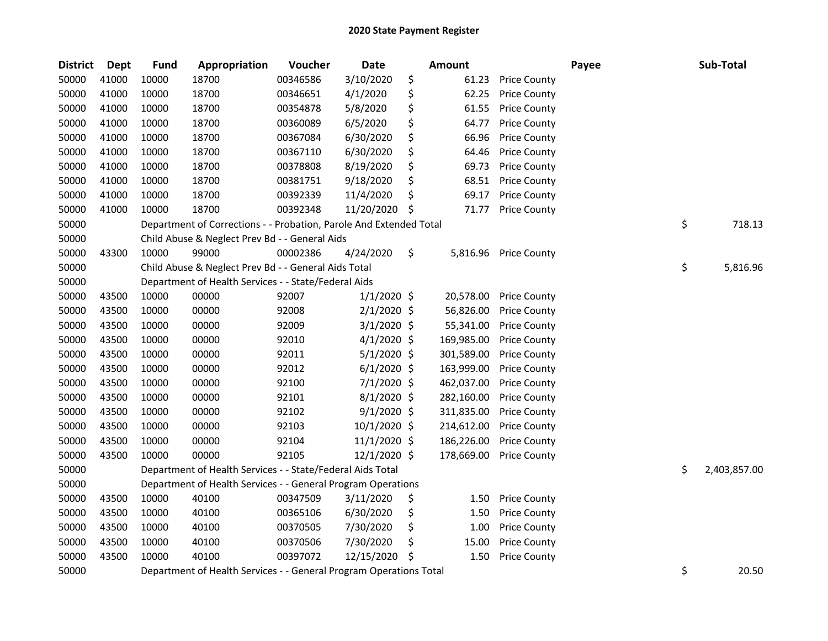| <b>District</b> | <b>Dept</b> | <b>Fund</b> | Appropriation                                                      | Voucher  | <b>Date</b>   |     | Amount     |                     | Payee | Sub-Total          |
|-----------------|-------------|-------------|--------------------------------------------------------------------|----------|---------------|-----|------------|---------------------|-------|--------------------|
| 50000           | 41000       | 10000       | 18700                                                              | 00346586 | 3/10/2020     | \$  | 61.23      | Price County        |       |                    |
| 50000           | 41000       | 10000       | 18700                                                              | 00346651 | 4/1/2020      | \$  | 62.25      | <b>Price County</b> |       |                    |
| 50000           | 41000       | 10000       | 18700                                                              | 00354878 | 5/8/2020      | \$  | 61.55      | <b>Price County</b> |       |                    |
| 50000           | 41000       | 10000       | 18700                                                              | 00360089 | 6/5/2020      | \$  | 64.77      | <b>Price County</b> |       |                    |
| 50000           | 41000       | 10000       | 18700                                                              | 00367084 | 6/30/2020     | \$  | 66.96      | <b>Price County</b> |       |                    |
| 50000           | 41000       | 10000       | 18700                                                              | 00367110 | 6/30/2020     | \$  | 64.46      | <b>Price County</b> |       |                    |
| 50000           | 41000       | 10000       | 18700                                                              | 00378808 | 8/19/2020     | \$  | 69.73      | <b>Price County</b> |       |                    |
| 50000           | 41000       | 10000       | 18700                                                              | 00381751 | 9/18/2020     | \$  | 68.51      | <b>Price County</b> |       |                    |
| 50000           | 41000       | 10000       | 18700                                                              | 00392339 | 11/4/2020     | \$  | 69.17      | <b>Price County</b> |       |                    |
| 50000           | 41000       | 10000       | 18700                                                              | 00392348 | 11/20/2020    | -\$ | 71.77      | <b>Price County</b> |       |                    |
| 50000           |             |             | Department of Corrections - - Probation, Parole And Extended Total |          |               |     |            |                     |       | \$<br>718.13       |
| 50000           |             |             | Child Abuse & Neglect Prev Bd - - General Aids                     |          |               |     |            |                     |       |                    |
| 50000           | 43300       | 10000       | 99000                                                              | 00002386 | 4/24/2020     | \$  | 5,816.96   | <b>Price County</b> |       |                    |
| 50000           |             |             | Child Abuse & Neglect Prev Bd - - General Aids Total               |          |               |     |            |                     |       | \$<br>5,816.96     |
| 50000           |             |             | Department of Health Services - - State/Federal Aids               |          |               |     |            |                     |       |                    |
| 50000           | 43500       | 10000       | 00000                                                              | 92007    | $1/1/2020$ \$ |     | 20,578.00  | <b>Price County</b> |       |                    |
| 50000           | 43500       | 10000       | 00000                                                              | 92008    | $2/1/2020$ \$ |     | 56,826.00  | <b>Price County</b> |       |                    |
| 50000           | 43500       | 10000       | 00000                                                              | 92009    | $3/1/2020$ \$ |     | 55,341.00  | <b>Price County</b> |       |                    |
| 50000           | 43500       | 10000       | 00000                                                              | 92010    | $4/1/2020$ \$ |     | 169,985.00 | <b>Price County</b> |       |                    |
| 50000           | 43500       | 10000       | 00000                                                              | 92011    | $5/1/2020$ \$ |     | 301,589.00 | <b>Price County</b> |       |                    |
| 50000           | 43500       | 10000       | 00000                                                              | 92012    | $6/1/2020$ \$ |     | 163,999.00 | <b>Price County</b> |       |                    |
| 50000           | 43500       | 10000       | 00000                                                              | 92100    | 7/1/2020 \$   |     | 462,037.00 | <b>Price County</b> |       |                    |
| 50000           | 43500       | 10000       | 00000                                                              | 92101    | 8/1/2020 \$   |     | 282,160.00 | <b>Price County</b> |       |                    |
| 50000           | 43500       | 10000       | 00000                                                              | 92102    | $9/1/2020$ \$ |     | 311,835.00 | <b>Price County</b> |       |                    |
| 50000           | 43500       | 10000       | 00000                                                              | 92103    | 10/1/2020 \$  |     | 214,612.00 | <b>Price County</b> |       |                    |
| 50000           | 43500       | 10000       | 00000                                                              | 92104    | 11/1/2020 \$  |     | 186,226.00 | <b>Price County</b> |       |                    |
| 50000           | 43500       | 10000       | 00000                                                              | 92105    | 12/1/2020 \$  |     | 178,669.00 | <b>Price County</b> |       |                    |
| 50000           |             |             | Department of Health Services - - State/Federal Aids Total         |          |               |     |            |                     |       | \$<br>2,403,857.00 |
| 50000           |             |             | Department of Health Services - - General Program Operations       |          |               |     |            |                     |       |                    |
| 50000           | 43500       | 10000       | 40100                                                              | 00347509 | 3/11/2020     | \$  | 1.50       | <b>Price County</b> |       |                    |
| 50000           | 43500       | 10000       | 40100                                                              | 00365106 | 6/30/2020     | \$  | 1.50       | <b>Price County</b> |       |                    |
| 50000           | 43500       | 10000       | 40100                                                              | 00370505 | 7/30/2020     | \$  | 1.00       | <b>Price County</b> |       |                    |
| 50000           | 43500       | 10000       | 40100                                                              | 00370506 | 7/30/2020     | \$  | 15.00      | Price County        |       |                    |
| 50000           | 43500       | 10000       | 40100                                                              | 00397072 | 12/15/2020    | Ŝ.  | 1.50       | <b>Price County</b> |       |                    |
| 50000           |             |             | Department of Health Services - - General Program Operations Total |          |               |     |            |                     |       | \$<br>20.50        |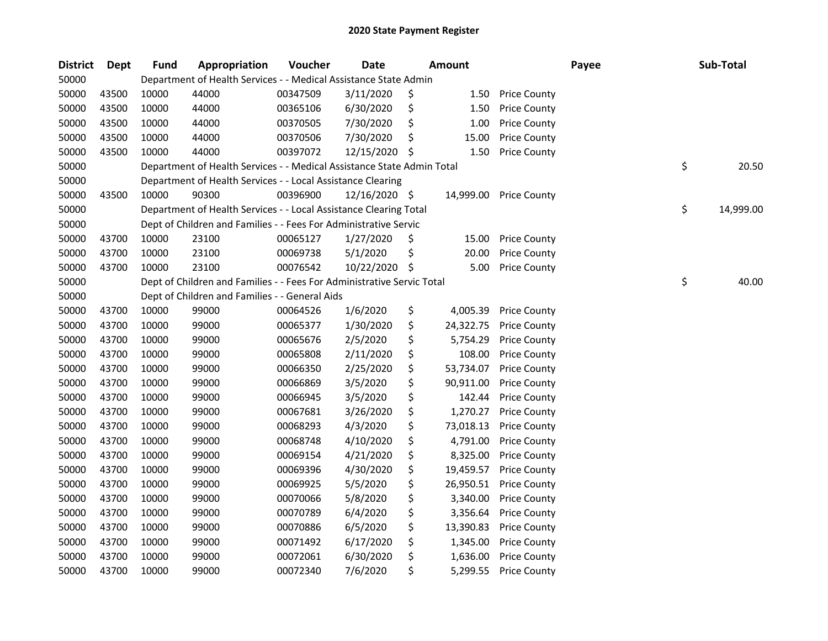| <b>District</b> | Dept  | <b>Fund</b> | Appropriation                                                          | Voucher  | <b>Date</b>   | <b>Amount</b>   |                        | Payee | Sub-Total       |
|-----------------|-------|-------------|------------------------------------------------------------------------|----------|---------------|-----------------|------------------------|-------|-----------------|
| 50000           |       |             | Department of Health Services - - Medical Assistance State Admin       |          |               |                 |                        |       |                 |
| 50000           | 43500 | 10000       | 44000                                                                  | 00347509 | 3/11/2020     | \$<br>1.50      | <b>Price County</b>    |       |                 |
| 50000           | 43500 | 10000       | 44000                                                                  | 00365106 | 6/30/2020     | \$<br>1.50      | <b>Price County</b>    |       |                 |
| 50000           | 43500 | 10000       | 44000                                                                  | 00370505 | 7/30/2020     | \$<br>1.00      | <b>Price County</b>    |       |                 |
| 50000           | 43500 | 10000       | 44000                                                                  | 00370506 | 7/30/2020     | \$<br>15.00     | <b>Price County</b>    |       |                 |
| 50000           | 43500 | 10000       | 44000                                                                  | 00397072 | 12/15/2020    | \$<br>1.50      | <b>Price County</b>    |       |                 |
| 50000           |       |             | Department of Health Services - - Medical Assistance State Admin Total |          |               |                 |                        |       | \$<br>20.50     |
| 50000           |       |             | Department of Health Services - - Local Assistance Clearing            |          |               |                 |                        |       |                 |
| 50000           | 43500 | 10000       | 90300                                                                  | 00396900 | 12/16/2020 \$ |                 | 14,999.00 Price County |       |                 |
| 50000           |       |             | Department of Health Services - - Local Assistance Clearing Total      |          |               |                 |                        |       | \$<br>14,999.00 |
| 50000           |       |             | Dept of Children and Families - - Fees For Administrative Servic       |          |               |                 |                        |       |                 |
| 50000           | 43700 | 10000       | 23100                                                                  | 00065127 | 1/27/2020     | \$<br>15.00     | <b>Price County</b>    |       |                 |
| 50000           | 43700 | 10000       | 23100                                                                  | 00069738 | 5/1/2020      | \$<br>20.00     | <b>Price County</b>    |       |                 |
| 50000           | 43700 | 10000       | 23100                                                                  | 00076542 | 10/22/2020    | \$<br>5.00      | <b>Price County</b>    |       |                 |
| 50000           |       |             | Dept of Children and Families - - Fees For Administrative Servic Total |          |               |                 |                        |       | \$<br>40.00     |
| 50000           |       |             | Dept of Children and Families - - General Aids                         |          |               |                 |                        |       |                 |
| 50000           | 43700 | 10000       | 99000                                                                  | 00064526 | 1/6/2020      | \$<br>4,005.39  | <b>Price County</b>    |       |                 |
| 50000           | 43700 | 10000       | 99000                                                                  | 00065377 | 1/30/2020     | \$<br>24,322.75 | <b>Price County</b>    |       |                 |
| 50000           | 43700 | 10000       | 99000                                                                  | 00065676 | 2/5/2020      | \$<br>5,754.29  | <b>Price County</b>    |       |                 |
| 50000           | 43700 | 10000       | 99000                                                                  | 00065808 | 2/11/2020     | \$<br>108.00    | <b>Price County</b>    |       |                 |
| 50000           | 43700 | 10000       | 99000                                                                  | 00066350 | 2/25/2020     | \$<br>53,734.07 | <b>Price County</b>    |       |                 |
| 50000           | 43700 | 10000       | 99000                                                                  | 00066869 | 3/5/2020      | \$<br>90,911.00 | <b>Price County</b>    |       |                 |
| 50000           | 43700 | 10000       | 99000                                                                  | 00066945 | 3/5/2020      | \$<br>142.44    | <b>Price County</b>    |       |                 |
| 50000           | 43700 | 10000       | 99000                                                                  | 00067681 | 3/26/2020     | \$<br>1,270.27  | <b>Price County</b>    |       |                 |
| 50000           | 43700 | 10000       | 99000                                                                  | 00068293 | 4/3/2020      | \$<br>73,018.13 | <b>Price County</b>    |       |                 |
| 50000           | 43700 | 10000       | 99000                                                                  | 00068748 | 4/10/2020     | \$<br>4,791.00  | <b>Price County</b>    |       |                 |
| 50000           | 43700 | 10000       | 99000                                                                  | 00069154 | 4/21/2020     | \$<br>8,325.00  | <b>Price County</b>    |       |                 |
| 50000           | 43700 | 10000       | 99000                                                                  | 00069396 | 4/30/2020     | \$<br>19,459.57 | <b>Price County</b>    |       |                 |
| 50000           | 43700 | 10000       | 99000                                                                  | 00069925 | 5/5/2020      | \$<br>26,950.51 | <b>Price County</b>    |       |                 |
| 50000           | 43700 | 10000       | 99000                                                                  | 00070066 | 5/8/2020      | \$<br>3,340.00  | <b>Price County</b>    |       |                 |
| 50000           | 43700 | 10000       | 99000                                                                  | 00070789 | 6/4/2020      | \$<br>3,356.64  | <b>Price County</b>    |       |                 |
| 50000           | 43700 | 10000       | 99000                                                                  | 00070886 | 6/5/2020      | \$<br>13,390.83 | <b>Price County</b>    |       |                 |
| 50000           | 43700 | 10000       | 99000                                                                  | 00071492 | 6/17/2020     | \$<br>1,345.00  | <b>Price County</b>    |       |                 |
| 50000           | 43700 | 10000       | 99000                                                                  | 00072061 | 6/30/2020     | \$<br>1,636.00  | <b>Price County</b>    |       |                 |
| 50000           | 43700 | 10000       | 99000                                                                  | 00072340 | 7/6/2020      | \$<br>5,299.55  | <b>Price County</b>    |       |                 |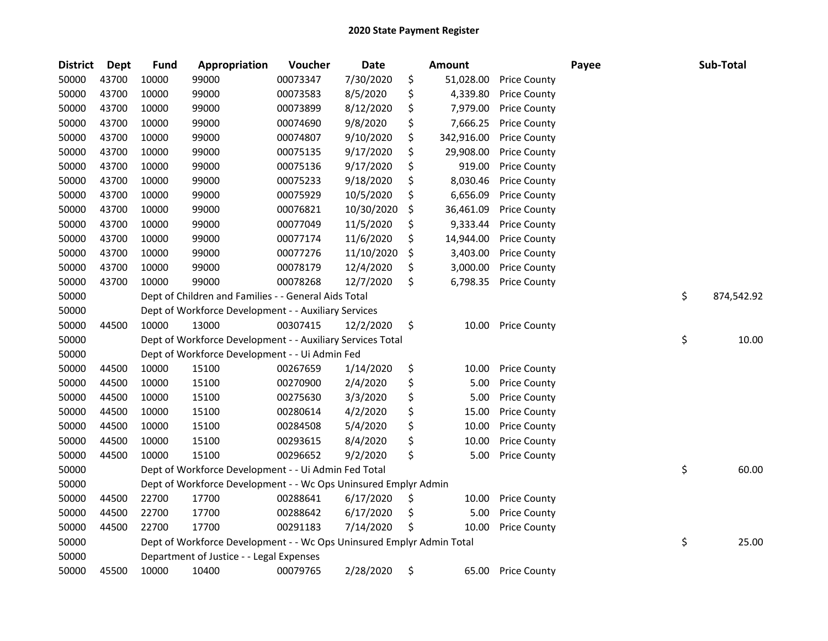| <b>District</b> | Dept  | <b>Fund</b> | Appropriation                                                         | Voucher  | <b>Date</b> | <b>Amount</b>    |                     | Payee | Sub-Total        |
|-----------------|-------|-------------|-----------------------------------------------------------------------|----------|-------------|------------------|---------------------|-------|------------------|
| 50000           | 43700 | 10000       | 99000                                                                 | 00073347 | 7/30/2020   | \$<br>51,028.00  | <b>Price County</b> |       |                  |
| 50000           | 43700 | 10000       | 99000                                                                 | 00073583 | 8/5/2020    | \$<br>4,339.80   | <b>Price County</b> |       |                  |
| 50000           | 43700 | 10000       | 99000                                                                 | 00073899 | 8/12/2020   | \$<br>7,979.00   | <b>Price County</b> |       |                  |
| 50000           | 43700 | 10000       | 99000                                                                 | 00074690 | 9/8/2020    | \$<br>7,666.25   | <b>Price County</b> |       |                  |
| 50000           | 43700 | 10000       | 99000                                                                 | 00074807 | 9/10/2020   | \$<br>342,916.00 | <b>Price County</b> |       |                  |
| 50000           | 43700 | 10000       | 99000                                                                 | 00075135 | 9/17/2020   | \$<br>29,908.00  | <b>Price County</b> |       |                  |
| 50000           | 43700 | 10000       | 99000                                                                 | 00075136 | 9/17/2020   | \$<br>919.00     | <b>Price County</b> |       |                  |
| 50000           | 43700 | 10000       | 99000                                                                 | 00075233 | 9/18/2020   | \$<br>8,030.46   | <b>Price County</b> |       |                  |
| 50000           | 43700 | 10000       | 99000                                                                 | 00075929 | 10/5/2020   | \$<br>6,656.09   | <b>Price County</b> |       |                  |
| 50000           | 43700 | 10000       | 99000                                                                 | 00076821 | 10/30/2020  | \$<br>36,461.09  | <b>Price County</b> |       |                  |
| 50000           | 43700 | 10000       | 99000                                                                 | 00077049 | 11/5/2020   | \$<br>9,333.44   | <b>Price County</b> |       |                  |
| 50000           | 43700 | 10000       | 99000                                                                 | 00077174 | 11/6/2020   | \$<br>14,944.00  | <b>Price County</b> |       |                  |
| 50000           | 43700 | 10000       | 99000                                                                 | 00077276 | 11/10/2020  | \$<br>3,403.00   | <b>Price County</b> |       |                  |
| 50000           | 43700 | 10000       | 99000                                                                 | 00078179 | 12/4/2020   | \$<br>3,000.00   | <b>Price County</b> |       |                  |
| 50000           | 43700 | 10000       | 99000                                                                 | 00078268 | 12/7/2020   | \$<br>6,798.35   | <b>Price County</b> |       |                  |
| 50000           |       |             | Dept of Children and Families - - General Aids Total                  |          |             |                  |                     |       | \$<br>874,542.92 |
| 50000           |       |             | Dept of Workforce Development - - Auxiliary Services                  |          |             |                  |                     |       |                  |
| 50000           | 44500 | 10000       | 13000                                                                 | 00307415 | 12/2/2020   | \$<br>10.00      | <b>Price County</b> |       |                  |
| 50000           |       |             | Dept of Workforce Development - - Auxiliary Services Total            |          |             |                  |                     |       | \$<br>10.00      |
| 50000           |       |             | Dept of Workforce Development - - Ui Admin Fed                        |          |             |                  |                     |       |                  |
| 50000           | 44500 | 10000       | 15100                                                                 | 00267659 | 1/14/2020   | \$<br>10.00      | <b>Price County</b> |       |                  |
| 50000           | 44500 | 10000       | 15100                                                                 | 00270900 | 2/4/2020    | \$<br>5.00       | <b>Price County</b> |       |                  |
| 50000           | 44500 | 10000       | 15100                                                                 | 00275630 | 3/3/2020    | \$<br>5.00       | <b>Price County</b> |       |                  |
| 50000           | 44500 | 10000       | 15100                                                                 | 00280614 | 4/2/2020    | \$<br>15.00      | <b>Price County</b> |       |                  |
| 50000           | 44500 | 10000       | 15100                                                                 | 00284508 | 5/4/2020    | \$<br>10.00      | <b>Price County</b> |       |                  |
| 50000           | 44500 | 10000       | 15100                                                                 | 00293615 | 8/4/2020    | \$<br>10.00      | <b>Price County</b> |       |                  |
| 50000           | 44500 | 10000       | 15100                                                                 | 00296652 | 9/2/2020    | \$<br>5.00       | <b>Price County</b> |       |                  |
| 50000           |       |             | Dept of Workforce Development - - Ui Admin Fed Total                  |          |             |                  |                     |       | \$<br>60.00      |
| 50000           |       |             | Dept of Workforce Development - - Wc Ops Uninsured Emplyr Admin       |          |             |                  |                     |       |                  |
| 50000           | 44500 | 22700       | 17700                                                                 | 00288641 | 6/17/2020   | \$<br>10.00      | <b>Price County</b> |       |                  |
| 50000           | 44500 | 22700       | 17700                                                                 | 00288642 | 6/17/2020   | \$<br>5.00       | <b>Price County</b> |       |                  |
| 50000           | 44500 | 22700       | 17700                                                                 | 00291183 | 7/14/2020   | \$<br>10.00      | <b>Price County</b> |       |                  |
| 50000           |       |             | Dept of Workforce Development - - Wc Ops Uninsured Emplyr Admin Total |          |             |                  |                     |       | \$<br>25.00      |
| 50000           |       |             | Department of Justice - - Legal Expenses                              |          |             |                  |                     |       |                  |
| 50000           | 45500 | 10000       | 10400                                                                 | 00079765 | 2/28/2020   | \$<br>65.00      | <b>Price County</b> |       |                  |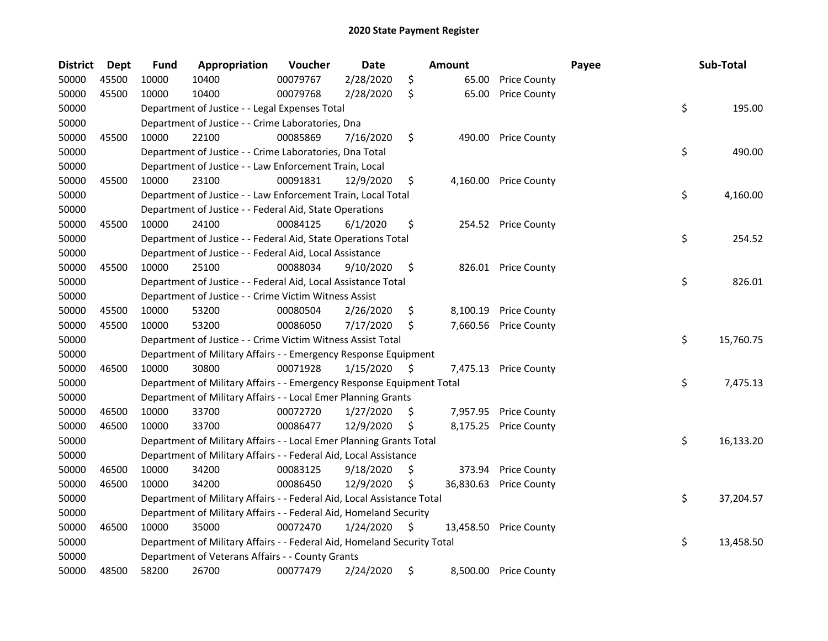| <b>District</b> | <b>Dept</b> | <b>Fund</b> | Appropriation                                                           | Voucher  | <b>Date</b> |     | <b>Amount</b> |                        | Payee | Sub-Total       |
|-----------------|-------------|-------------|-------------------------------------------------------------------------|----------|-------------|-----|---------------|------------------------|-------|-----------------|
| 50000           | 45500       | 10000       | 10400                                                                   | 00079767 | 2/28/2020   | \$  | 65.00         | <b>Price County</b>    |       |                 |
| 50000           | 45500       | 10000       | 10400                                                                   | 00079768 | 2/28/2020   | \$  | 65.00         | <b>Price County</b>    |       |                 |
| 50000           |             |             | Department of Justice - - Legal Expenses Total                          |          |             |     |               |                        |       | \$<br>195.00    |
| 50000           |             |             | Department of Justice - - Crime Laboratories, Dna                       |          |             |     |               |                        |       |                 |
| 50000           | 45500       | 10000       | 22100                                                                   | 00085869 | 7/16/2020   | \$  | 490.00        | <b>Price County</b>    |       |                 |
| 50000           |             |             | Department of Justice - - Crime Laboratories, Dna Total                 |          |             |     |               |                        |       | \$<br>490.00    |
| 50000           |             |             | Department of Justice - - Law Enforcement Train, Local                  |          |             |     |               |                        |       |                 |
| 50000           | 45500       | 10000       | 23100                                                                   | 00091831 | 12/9/2020   | \$  | 4,160.00      | <b>Price County</b>    |       |                 |
| 50000           |             |             | Department of Justice - - Law Enforcement Train, Local Total            |          |             |     |               |                        |       | \$<br>4,160.00  |
| 50000           |             |             | Department of Justice - - Federal Aid, State Operations                 |          |             |     |               |                        |       |                 |
| 50000           | 45500       | 10000       | 24100                                                                   | 00084125 | 6/1/2020    | \$  |               | 254.52 Price County    |       |                 |
| 50000           |             |             | Department of Justice - - Federal Aid, State Operations Total           |          |             |     |               |                        |       | \$<br>254.52    |
| 50000           |             |             | Department of Justice - - Federal Aid, Local Assistance                 |          |             |     |               |                        |       |                 |
| 50000           | 45500       | 10000       | 25100                                                                   | 00088034 | 9/10/2020   | \$  |               | 826.01 Price County    |       |                 |
| 50000           |             |             | Department of Justice - - Federal Aid, Local Assistance Total           |          |             |     |               |                        |       | \$<br>826.01    |
| 50000           |             |             | Department of Justice - - Crime Victim Witness Assist                   |          |             |     |               |                        |       |                 |
| 50000           | 45500       | 10000       | 53200                                                                   | 00080504 | 2/26/2020   | \$  | 8,100.19      | <b>Price County</b>    |       |                 |
| 50000           | 45500       | 10000       | 53200                                                                   | 00086050 | 7/17/2020   | \$  | 7,660.56      | <b>Price County</b>    |       |                 |
| 50000           |             |             | Department of Justice - - Crime Victim Witness Assist Total             |          |             |     |               |                        |       | \$<br>15,760.75 |
| 50000           |             |             | Department of Military Affairs - - Emergency Response Equipment         |          |             |     |               |                        |       |                 |
| 50000           | 46500       | 10000       | 30800                                                                   | 00071928 | 1/15/2020   | \$. | 7,475.13      | <b>Price County</b>    |       |                 |
| 50000           |             |             | Department of Military Affairs - - Emergency Response Equipment Total   |          |             |     |               |                        |       | \$<br>7,475.13  |
| 50000           |             |             | Department of Military Affairs - - Local Emer Planning Grants           |          |             |     |               |                        |       |                 |
| 50000           | 46500       | 10000       | 33700                                                                   | 00072720 | 1/27/2020   | \$  | 7,957.95      | <b>Price County</b>    |       |                 |
| 50000           | 46500       | 10000       | 33700                                                                   | 00086477 | 12/9/2020   | \$  | 8,175.25      | <b>Price County</b>    |       |                 |
| 50000           |             |             | Department of Military Affairs - - Local Emer Planning Grants Total     |          |             |     |               |                        |       | \$<br>16,133.20 |
| 50000           |             |             | Department of Military Affairs - - Federal Aid, Local Assistance        |          |             |     |               |                        |       |                 |
| 50000           | 46500       | 10000       | 34200                                                                   | 00083125 | 9/18/2020   | \$  | 373.94        | <b>Price County</b>    |       |                 |
| 50000           | 46500       | 10000       | 34200                                                                   | 00086450 | 12/9/2020   | \$  |               | 36,830.63 Price County |       |                 |
| 50000           |             |             | Department of Military Affairs - - Federal Aid, Local Assistance Total  |          |             |     |               |                        |       | \$<br>37,204.57 |
| 50000           |             |             | Department of Military Affairs - - Federal Aid, Homeland Security       |          |             |     |               |                        |       |                 |
| 50000           | 46500       | 10000       | 35000                                                                   | 00072470 | 1/24/2020   | \$  |               | 13,458.50 Price County |       |                 |
| 50000           |             |             | Department of Military Affairs - - Federal Aid, Homeland Security Total |          |             |     |               |                        |       | \$<br>13,458.50 |
| 50000           |             |             | Department of Veterans Affairs - - County Grants                        |          |             |     |               |                        |       |                 |
| 50000           | 48500       | 58200       | 26700                                                                   | 00077479 | 2/24/2020   | \$  |               | 8,500.00 Price County  |       |                 |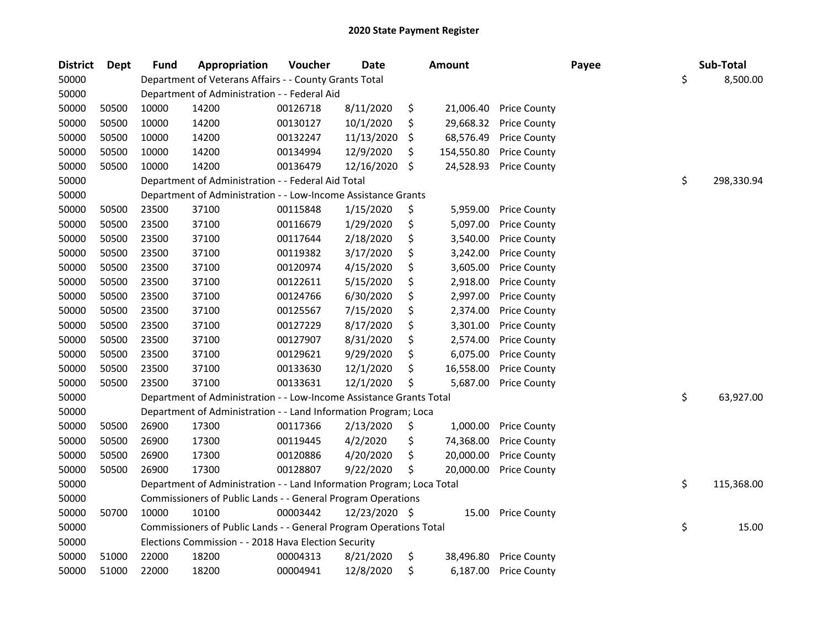| <b>District</b> | <b>Dept</b> | <b>Fund</b> | Appropriation                                                         | Voucher  | <b>Date</b>   |    | <b>Amount</b> |                     | Payee | Sub-Total        |
|-----------------|-------------|-------------|-----------------------------------------------------------------------|----------|---------------|----|---------------|---------------------|-------|------------------|
| 50000           |             |             | Department of Veterans Affairs - - County Grants Total                |          |               |    |               |                     |       | \$<br>8,500.00   |
| 50000           |             |             | Department of Administration - - Federal Aid                          |          |               |    |               |                     |       |                  |
| 50000           | 50500       | 10000       | 14200                                                                 | 00126718 | 8/11/2020     | \$ | 21,006.40     | <b>Price County</b> |       |                  |
| 50000           | 50500       | 10000       | 14200                                                                 | 00130127 | 10/1/2020     | \$ | 29,668.32     | <b>Price County</b> |       |                  |
| 50000           | 50500       | 10000       | 14200                                                                 | 00132247 | 11/13/2020    | S  | 68,576.49     | <b>Price County</b> |       |                  |
| 50000           | 50500       | 10000       | 14200                                                                 | 00134994 | 12/9/2020     | S. | 154,550.80    | <b>Price County</b> |       |                  |
| 50000           | 50500       | 10000       | 14200                                                                 | 00136479 | 12/16/2020    | \$ | 24,528.93     | <b>Price County</b> |       |                  |
| 50000           |             |             | Department of Administration - - Federal Aid Total                    |          |               |    |               |                     |       | \$<br>298,330.94 |
| 50000           |             |             | Department of Administration - - Low-Income Assistance Grants         |          |               |    |               |                     |       |                  |
| 50000           | 50500       | 23500       | 37100                                                                 | 00115848 | 1/15/2020     | \$ | 5,959.00      | <b>Price County</b> |       |                  |
| 50000           | 50500       | 23500       | 37100                                                                 | 00116679 | 1/29/2020     | \$ | 5,097.00      | <b>Price County</b> |       |                  |
| 50000           | 50500       | 23500       | 37100                                                                 | 00117644 | 2/18/2020     | \$ | 3,540.00      | <b>Price County</b> |       |                  |
| 50000           | 50500       | 23500       | 37100                                                                 | 00119382 | 3/17/2020     | \$ | 3,242.00      | <b>Price County</b> |       |                  |
| 50000           | 50500       | 23500       | 37100                                                                 | 00120974 | 4/15/2020     | \$ | 3,605.00      | <b>Price County</b> |       |                  |
| 50000           | 50500       | 23500       | 37100                                                                 | 00122611 | 5/15/2020     | \$ | 2,918.00      | <b>Price County</b> |       |                  |
| 50000           | 50500       | 23500       | 37100                                                                 | 00124766 | 6/30/2020     | \$ | 2,997.00      | <b>Price County</b> |       |                  |
| 50000           | 50500       | 23500       | 37100                                                                 | 00125567 | 7/15/2020     | \$ | 2,374.00      | <b>Price County</b> |       |                  |
| 50000           | 50500       | 23500       | 37100                                                                 | 00127229 | 8/17/2020     | \$ | 3,301.00      | <b>Price County</b> |       |                  |
| 50000           | 50500       | 23500       | 37100                                                                 | 00127907 | 8/31/2020     | \$ | 2,574.00      | <b>Price County</b> |       |                  |
| 50000           | 50500       | 23500       | 37100                                                                 | 00129621 | 9/29/2020     | \$ | 6,075.00      | <b>Price County</b> |       |                  |
| 50000           | 50500       | 23500       | 37100                                                                 | 00133630 | 12/1/2020     | \$ | 16,558.00     | <b>Price County</b> |       |                  |
| 50000           | 50500       | 23500       | 37100                                                                 | 00133631 | 12/1/2020     | \$ | 5,687.00      | <b>Price County</b> |       |                  |
| 50000           |             |             | Department of Administration - - Low-Income Assistance Grants Total   |          |               |    |               |                     |       | \$<br>63,927.00  |
| 50000           |             |             | Department of Administration - - Land Information Program; Loca       |          |               |    |               |                     |       |                  |
| 50000           | 50500       | 26900       | 17300                                                                 | 00117366 | 2/13/2020     | \$ | 1,000.00      | <b>Price County</b> |       |                  |
| 50000           | 50500       | 26900       | 17300                                                                 | 00119445 | 4/2/2020      | \$ | 74,368.00     | <b>Price County</b> |       |                  |
| 50000           | 50500       | 26900       | 17300                                                                 | 00120886 | 4/20/2020     | \$ | 20,000.00     | <b>Price County</b> |       |                  |
| 50000           | 50500       | 26900       | 17300                                                                 | 00128807 | 9/22/2020     | \$ | 20,000.00     | <b>Price County</b> |       |                  |
| 50000           |             |             | Department of Administration - - Land Information Program; Loca Total |          |               |    |               |                     |       | \$<br>115,368.00 |
| 50000           |             |             | Commissioners of Public Lands - - General Program Operations          |          |               |    |               |                     |       |                  |
| 50000           | 50700       | 10000       | 10100                                                                 | 00003442 | 12/23/2020 \$ |    | 15.00         | <b>Price County</b> |       |                  |
| 50000           |             |             | Commissioners of Public Lands - - General Program Operations Total    |          |               |    |               |                     |       | \$<br>15.00      |
| 50000           |             |             | Elections Commission - - 2018 Hava Election Security                  |          |               |    |               |                     |       |                  |
| 50000           | 51000       | 22000       | 18200                                                                 | 00004313 | 8/21/2020     | \$ | 38,496.80     | <b>Price County</b> |       |                  |
| 50000           | 51000       | 22000       | 18200                                                                 | 00004941 | 12/8/2020     | \$ | 6,187.00      | <b>Price County</b> |       |                  |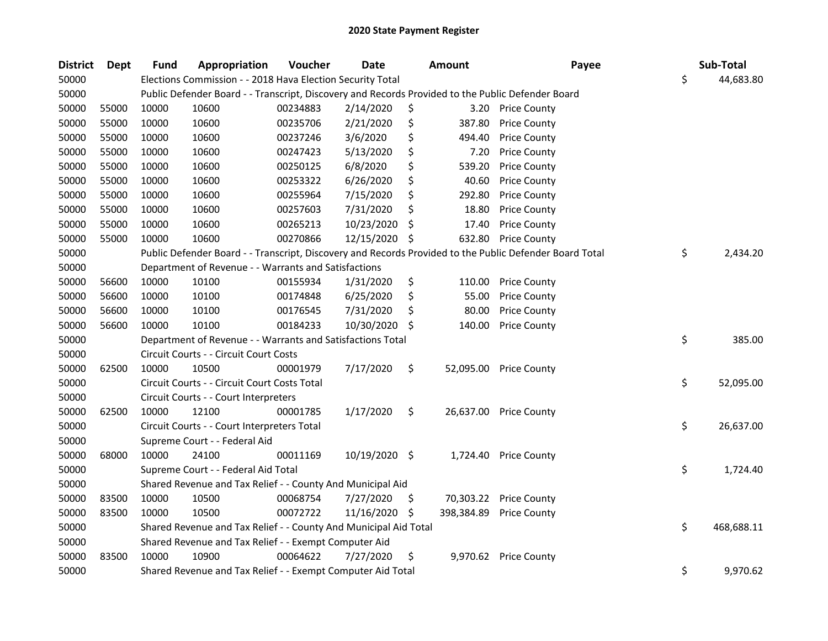| <b>District</b> | <b>Dept</b> | Fund  | Appropriation                                                    | Voucher  | <b>Date</b>   |     | <b>Amount</b> | Payee                                                                                                   | Sub-Total        |
|-----------------|-------------|-------|------------------------------------------------------------------|----------|---------------|-----|---------------|---------------------------------------------------------------------------------------------------------|------------------|
| 50000           |             |       | Elections Commission - - 2018 Hava Election Security Total       |          |               |     |               |                                                                                                         | \$<br>44,683.80  |
| 50000           |             |       |                                                                  |          |               |     |               | Public Defender Board - - Transcript, Discovery and Records Provided to the Public Defender Board       |                  |
| 50000           | 55000       | 10000 | 10600                                                            | 00234883 | 2/14/2020     | \$  |               | 3.20 Price County                                                                                       |                  |
| 50000           | 55000       | 10000 | 10600                                                            | 00235706 | 2/21/2020     | \$  | 387.80        | <b>Price County</b>                                                                                     |                  |
| 50000           | 55000       | 10000 | 10600                                                            | 00237246 | 3/6/2020      | \$  | 494.40        | <b>Price County</b>                                                                                     |                  |
| 50000           | 55000       | 10000 | 10600                                                            | 00247423 | 5/13/2020     | \$  | 7.20          | <b>Price County</b>                                                                                     |                  |
| 50000           | 55000       | 10000 | 10600                                                            | 00250125 | 6/8/2020      | \$  | 539.20        | <b>Price County</b>                                                                                     |                  |
| 50000           | 55000       | 10000 | 10600                                                            | 00253322 | 6/26/2020     | \$  | 40.60         | <b>Price County</b>                                                                                     |                  |
| 50000           | 55000       | 10000 | 10600                                                            | 00255964 | 7/15/2020     | \$  | 292.80        | <b>Price County</b>                                                                                     |                  |
| 50000           | 55000       | 10000 | 10600                                                            | 00257603 | 7/31/2020     | \$  | 18.80         | <b>Price County</b>                                                                                     |                  |
| 50000           | 55000       | 10000 | 10600                                                            | 00265213 | 10/23/2020    | \$  | 17.40         | <b>Price County</b>                                                                                     |                  |
| 50000           | 55000       | 10000 | 10600                                                            | 00270866 | 12/15/2020    | \$  | 632.80        | <b>Price County</b>                                                                                     |                  |
| 50000           |             |       |                                                                  |          |               |     |               | Public Defender Board - - Transcript, Discovery and Records Provided to the Public Defender Board Total | \$<br>2,434.20   |
| 50000           |             |       | Department of Revenue - - Warrants and Satisfactions             |          |               |     |               |                                                                                                         |                  |
| 50000           | 56600       | 10000 | 10100                                                            | 00155934 | 1/31/2020     | \$  | 110.00        | <b>Price County</b>                                                                                     |                  |
| 50000           | 56600       | 10000 | 10100                                                            | 00174848 | 6/25/2020     | \$  | 55.00         | <b>Price County</b>                                                                                     |                  |
| 50000           | 56600       | 10000 | 10100                                                            | 00176545 | 7/31/2020     | \$  | 80.00         | <b>Price County</b>                                                                                     |                  |
| 50000           | 56600       | 10000 | 10100                                                            | 00184233 | 10/30/2020    | Ŝ.  | 140.00        | <b>Price County</b>                                                                                     |                  |
| 50000           |             |       | Department of Revenue - - Warrants and Satisfactions Total       |          |               |     |               |                                                                                                         | \$<br>385.00     |
| 50000           |             |       | Circuit Courts - - Circuit Court Costs                           |          |               |     |               |                                                                                                         |                  |
| 50000           | 62500       | 10000 | 10500                                                            | 00001979 | 7/17/2020     | \$  | 52,095.00     | <b>Price County</b>                                                                                     |                  |
| 50000           |             |       | Circuit Courts - - Circuit Court Costs Total                     |          |               |     |               |                                                                                                         | \$<br>52,095.00  |
| 50000           |             |       | Circuit Courts - - Court Interpreters                            |          |               |     |               |                                                                                                         |                  |
| 50000           | 62500       | 10000 | 12100                                                            | 00001785 | 1/17/2020     | \$  |               | 26,637.00 Price County                                                                                  |                  |
| 50000           |             |       | Circuit Courts - - Court Interpreters Total                      |          |               |     |               |                                                                                                         | \$<br>26,637.00  |
| 50000           |             |       | Supreme Court - - Federal Aid                                    |          |               |     |               |                                                                                                         |                  |
| 50000           | 68000       | 10000 | 24100                                                            | 00011169 | 10/19/2020 \$ |     | 1,724.40      | <b>Price County</b>                                                                                     |                  |
| 50000           |             |       | Supreme Court - - Federal Aid Total                              |          |               |     |               |                                                                                                         | \$<br>1,724.40   |
| 50000           |             |       | Shared Revenue and Tax Relief - - County And Municipal Aid       |          |               |     |               |                                                                                                         |                  |
| 50000           | 83500       | 10000 | 10500                                                            | 00068754 | 7/27/2020     | \$. | 70,303.22     | <b>Price County</b>                                                                                     |                  |
| 50000           | 83500       | 10000 | 10500                                                            | 00072722 | 11/16/2020    | -\$ | 398,384.89    | <b>Price County</b>                                                                                     |                  |
| 50000           |             |       | Shared Revenue and Tax Relief - - County And Municipal Aid Total |          |               |     |               |                                                                                                         | \$<br>468,688.11 |
| 50000           |             |       | Shared Revenue and Tax Relief - - Exempt Computer Aid            |          |               |     |               |                                                                                                         |                  |
| 50000           | 83500       | 10000 | 10900                                                            | 00064622 | 7/27/2020     | \$  |               | 9,970.62 Price County                                                                                   |                  |
| 50000           |             |       | Shared Revenue and Tax Relief - - Exempt Computer Aid Total      |          |               |     |               |                                                                                                         | \$<br>9,970.62   |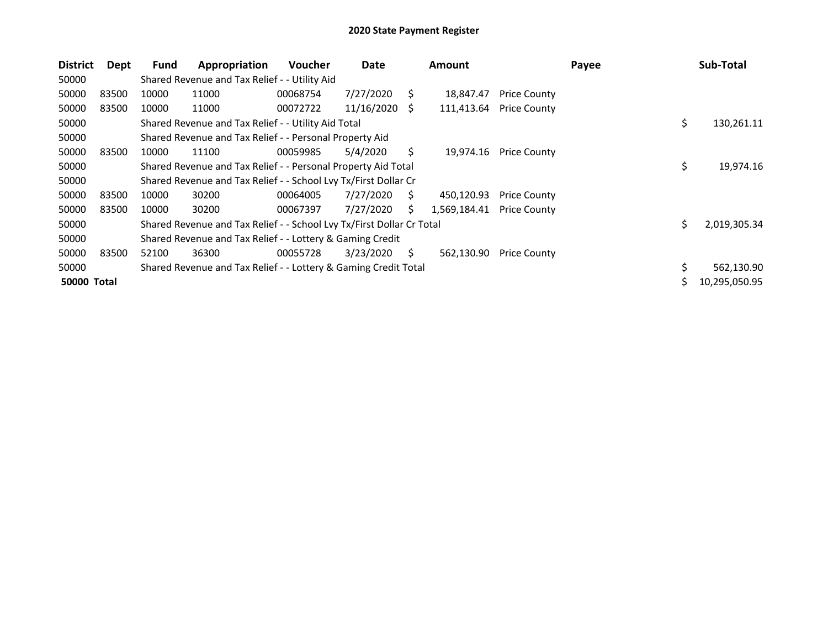| <b>District</b>    | Dept  | Fund  | Appropriation                                                         | <b>Voucher</b> | Date       |    | <b>Amount</b> |                     | Payee | Sub-Total          |
|--------------------|-------|-------|-----------------------------------------------------------------------|----------------|------------|----|---------------|---------------------|-------|--------------------|
| 50000              |       |       | Shared Revenue and Tax Relief - - Utility Aid                         |                |            |    |               |                     |       |                    |
| 50000              | 83500 | 10000 | 11000                                                                 | 00068754       | 7/27/2020  | S  | 18,847.47     | <b>Price County</b> |       |                    |
| 50000              | 83500 | 10000 | 11000                                                                 | 00072722       | 11/16/2020 | S  | 111,413.64    | <b>Price County</b> |       |                    |
| 50000              |       |       | Shared Revenue and Tax Relief - - Utility Aid Total                   |                |            |    |               |                     |       | \$<br>130,261.11   |
| 50000              |       |       | Shared Revenue and Tax Relief - - Personal Property Aid               |                |            |    |               |                     |       |                    |
| 50000              | 83500 | 10000 | 11100                                                                 | 00059985       | 5/4/2020   | S. | 19,974.16     | <b>Price County</b> |       |                    |
| 50000              |       |       | Shared Revenue and Tax Relief - - Personal Property Aid Total         |                |            |    |               |                     |       | \$<br>19,974.16    |
| 50000              |       |       | Shared Revenue and Tax Relief - - School Lvy Tx/First Dollar Cr       |                |            |    |               |                     |       |                    |
| 50000              | 83500 | 10000 | 30200                                                                 | 00064005       | 7/27/2020  | S. | 450,120.93    | <b>Price County</b> |       |                    |
| 50000              | 83500 | 10000 | 30200                                                                 | 00067397       | 7/27/2020  | Ś. | 1,569,184.41  | <b>Price County</b> |       |                    |
| 50000              |       |       | Shared Revenue and Tax Relief - - School Lvy Tx/First Dollar Cr Total |                |            |    |               |                     |       | \$<br>2,019,305.34 |
| 50000              |       |       | Shared Revenue and Tax Relief - - Lottery & Gaming Credit             |                |            |    |               |                     |       |                    |
| 50000              | 83500 | 52100 | 36300                                                                 | 00055728       | 3/23/2020  | Ś. | 562,130.90    | <b>Price County</b> |       |                    |
| 50000              |       |       | Shared Revenue and Tax Relief - - Lottery & Gaming Credit Total       |                |            |    |               |                     |       | \$<br>562,130.90   |
| <b>50000 Total</b> |       |       |                                                                       |                |            |    |               |                     |       | 10,295,050.95      |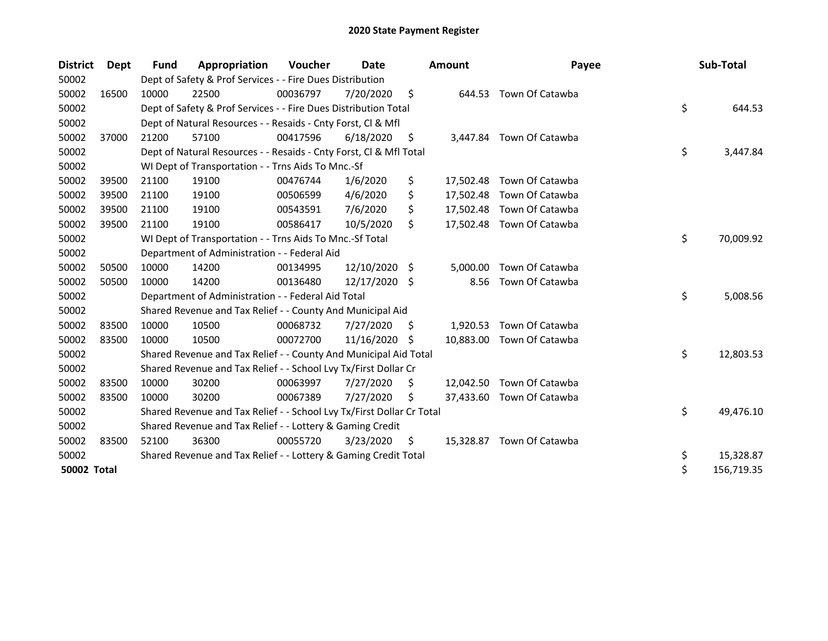| <b>District</b>    | <b>Dept</b> | <b>Fund</b> | Appropriation                                                         | Voucher  | Date          |     | Amount    | Payee                     | Sub-Total        |
|--------------------|-------------|-------------|-----------------------------------------------------------------------|----------|---------------|-----|-----------|---------------------------|------------------|
| 50002              |             |             | Dept of Safety & Prof Services - - Fire Dues Distribution             |          |               |     |           |                           |                  |
| 50002              | 16500       | 10000       | 22500                                                                 | 00036797 | 7/20/2020     | \$  | 644.53    | Town Of Catawba           |                  |
| 50002              |             |             | Dept of Safety & Prof Services - - Fire Dues Distribution Total       |          |               |     |           |                           | \$<br>644.53     |
| 50002              |             |             | Dept of Natural Resources - - Resaids - Cnty Forst, CI & Mfl          |          |               |     |           |                           |                  |
| 50002              | 37000       | 21200       | 57100                                                                 | 00417596 | 6/18/2020     | \$. | 3.447.84  | Town Of Catawba           |                  |
| 50002              |             |             | Dept of Natural Resources - - Resaids - Cnty Forst, Cl & Mfl Total    |          |               |     |           |                           | \$<br>3,447.84   |
| 50002              |             |             | WI Dept of Transportation - - Trns Aids To Mnc.-Sf                    |          |               |     |           |                           |                  |
| 50002              | 39500       | 21100       | 19100                                                                 | 00476744 | 1/6/2020      | \$  |           | 17,502.48 Town Of Catawba |                  |
| 50002              | 39500       | 21100       | 19100                                                                 | 00506599 | 4/6/2020      | \$  | 17,502.48 | Town Of Catawba           |                  |
| 50002              | 39500       | 21100       | 19100                                                                 | 00543591 | 7/6/2020      | \$  | 17,502.48 | Town Of Catawba           |                  |
| 50002              | 39500       | 21100       | 19100                                                                 | 00586417 | 10/5/2020     | Ŝ.  |           | 17,502.48 Town Of Catawba |                  |
| 50002              |             |             | WI Dept of Transportation - - Trns Aids To Mnc.-Sf Total              |          |               |     |           |                           | \$<br>70,009.92  |
| 50002              |             |             | Department of Administration - - Federal Aid                          |          |               |     |           |                           |                  |
| 50002              | 50500       | 10000       | 14200                                                                 | 00134995 | 12/10/2020 \$ |     | 5,000.00  | Town Of Catawba           |                  |
| 50002              | 50500       | 10000       | 14200                                                                 | 00136480 | 12/17/2020 \$ |     | 8.56      | Town Of Catawba           |                  |
| 50002              |             |             | Department of Administration - - Federal Aid Total                    |          |               |     |           |                           | \$<br>5,008.56   |
| 50002              |             |             | Shared Revenue and Tax Relief - - County And Municipal Aid            |          |               |     |           |                           |                  |
| 50002              | 83500       | 10000       | 10500                                                                 | 00068732 | 7/27/2020     | \$  | 1,920.53  | Town Of Catawba           |                  |
| 50002              | 83500       | 10000       | 10500                                                                 | 00072700 | 11/16/2020    | S   | 10,883.00 | Town Of Catawba           |                  |
| 50002              |             |             | Shared Revenue and Tax Relief - - County And Municipal Aid Total      |          |               |     |           |                           | \$<br>12,803.53  |
| 50002              |             |             | Shared Revenue and Tax Relief - - School Lvy Tx/First Dollar Cr       |          |               |     |           |                           |                  |
| 50002              | 83500       | 10000       | 30200                                                                 | 00063997 | 7/27/2020     | \$  | 12,042.50 | Town Of Catawba           |                  |
| 50002              | 83500       | 10000       | 30200                                                                 | 00067389 | 7/27/2020     | S   | 37,433.60 | Town Of Catawba           |                  |
| 50002              |             |             | Shared Revenue and Tax Relief - - School Lvy Tx/First Dollar Cr Total |          |               |     |           |                           | \$<br>49,476.10  |
| 50002              |             |             | Shared Revenue and Tax Relief - - Lottery & Gaming Credit             |          |               |     |           |                           |                  |
| 50002              | 83500       | 52100       | 36300                                                                 | 00055720 | 3/23/2020     | \$  | 15,328.87 | Town Of Catawba           |                  |
| 50002              |             |             | Shared Revenue and Tax Relief - - Lottery & Gaming Credit Total       |          |               |     |           |                           | \$<br>15,328.87  |
| <b>50002 Total</b> |             |             |                                                                       |          |               |     |           |                           | \$<br>156,719.35 |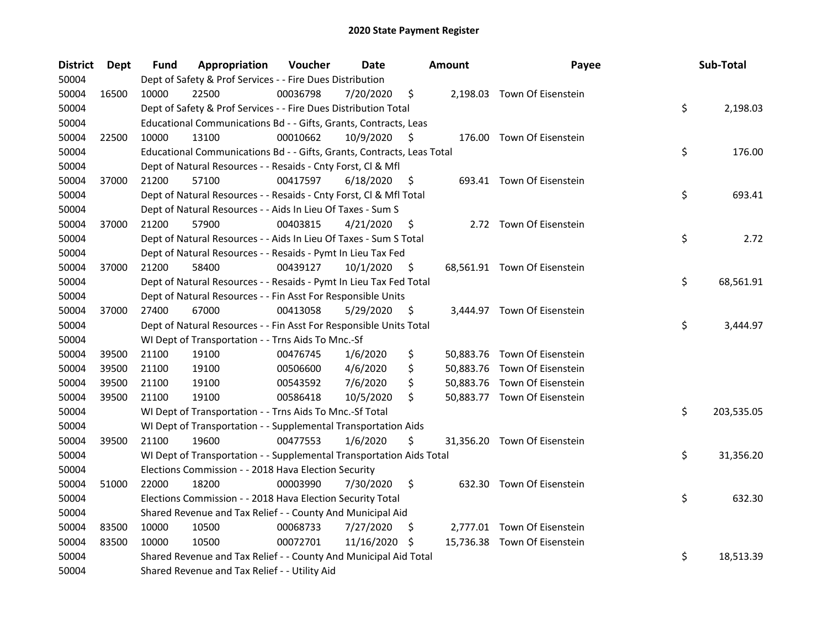| <b>District</b> | Dept  | <b>Fund</b> | Appropriation                                                          | Voucher  | Date          |     | <b>Amount</b> | Payee                        | Sub-Total        |
|-----------------|-------|-------------|------------------------------------------------------------------------|----------|---------------|-----|---------------|------------------------------|------------------|
| 50004           |       |             | Dept of Safety & Prof Services - - Fire Dues Distribution              |          |               |     |               |                              |                  |
| 50004           | 16500 | 10000       | 22500                                                                  | 00036798 | 7/20/2020     | \$  |               | 2,198.03 Town Of Eisenstein  |                  |
| 50004           |       |             | Dept of Safety & Prof Services - - Fire Dues Distribution Total        |          |               |     |               |                              | \$<br>2,198.03   |
| 50004           |       |             | Educational Communications Bd - - Gifts, Grants, Contracts, Leas       |          |               |     |               |                              |                  |
| 50004           | 22500 | 10000       | 13100                                                                  | 00010662 | 10/9/2020     | S   |               | 176.00 Town Of Eisenstein    |                  |
| 50004           |       |             | Educational Communications Bd - - Gifts, Grants, Contracts, Leas Total |          |               |     |               |                              | \$<br>176.00     |
| 50004           |       |             | Dept of Natural Resources - - Resaids - Cnty Forst, Cl & Mfl           |          |               |     |               |                              |                  |
| 50004           | 37000 | 21200       | 57100                                                                  | 00417597 | 6/18/2020     | \$  |               | 693.41 Town Of Eisenstein    |                  |
| 50004           |       |             | Dept of Natural Resources - - Resaids - Cnty Forst, Cl & Mfl Total     |          |               |     |               |                              | \$<br>693.41     |
| 50004           |       |             | Dept of Natural Resources - - Aids In Lieu Of Taxes - Sum S            |          |               |     |               |                              |                  |
| 50004           | 37000 | 21200       | 57900                                                                  | 00403815 | 4/21/2020     | \$. |               | 2.72 Town Of Eisenstein      |                  |
| 50004           |       |             | Dept of Natural Resources - - Aids In Lieu Of Taxes - Sum S Total      |          |               |     |               |                              | \$<br>2.72       |
| 50004           |       |             | Dept of Natural Resources - - Resaids - Pymt In Lieu Tax Fed           |          |               |     |               |                              |                  |
| 50004           | 37000 | 21200       | 58400                                                                  | 00439127 | 10/1/2020     | \$. |               | 68,561.91 Town Of Eisenstein |                  |
| 50004           |       |             | Dept of Natural Resources - - Resaids - Pymt In Lieu Tax Fed Total     |          |               |     |               |                              | \$<br>68,561.91  |
| 50004           |       |             | Dept of Natural Resources - - Fin Asst For Responsible Units           |          |               |     |               |                              |                  |
| 50004           | 37000 | 27400       | 67000                                                                  | 00413058 | 5/29/2020     | \$  |               | 3,444.97 Town Of Eisenstein  |                  |
| 50004           |       |             | Dept of Natural Resources - - Fin Asst For Responsible Units Total     |          |               |     |               |                              | \$<br>3,444.97   |
| 50004           |       |             | WI Dept of Transportation - - Trns Aids To Mnc.-Sf                     |          |               |     |               |                              |                  |
| 50004           | 39500 | 21100       | 19100                                                                  | 00476745 | 1/6/2020      | \$  |               | 50,883.76 Town Of Eisenstein |                  |
| 50004           | 39500 | 21100       | 19100                                                                  | 00506600 | 4/6/2020      | \$  |               | 50,883.76 Town Of Eisenstein |                  |
| 50004           | 39500 | 21100       | 19100                                                                  | 00543592 | 7/6/2020      | \$  |               | 50,883.76 Town Of Eisenstein |                  |
| 50004           | 39500 | 21100       | 19100                                                                  | 00586418 | 10/5/2020     | \$  |               | 50,883.77 Town Of Eisenstein |                  |
| 50004           |       |             | WI Dept of Transportation - - Trns Aids To Mnc.-Sf Total               |          |               |     |               |                              | \$<br>203,535.05 |
| 50004           |       |             | WI Dept of Transportation - - Supplemental Transportation Aids         |          |               |     |               |                              |                  |
| 50004           | 39500 | 21100       | 19600                                                                  | 00477553 | 1/6/2020      | \$  |               | 31,356.20 Town Of Eisenstein |                  |
| 50004           |       |             | WI Dept of Transportation - - Supplemental Transportation Aids Total   |          |               |     |               |                              | \$<br>31,356.20  |
| 50004           |       |             | Elections Commission - - 2018 Hava Election Security                   |          |               |     |               |                              |                  |
| 50004           | 51000 | 22000       | 18200                                                                  | 00003990 | 7/30/2020     | \$  |               | 632.30 Town Of Eisenstein    |                  |
| 50004           |       |             | Elections Commission - - 2018 Hava Election Security Total             |          |               |     |               |                              | \$<br>632.30     |
| 50004           |       |             | Shared Revenue and Tax Relief - - County And Municipal Aid             |          |               |     |               |                              |                  |
| 50004           | 83500 | 10000       | 10500                                                                  | 00068733 | 7/27/2020     | \$. |               | 2,777.01 Town Of Eisenstein  |                  |
| 50004           | 83500 | 10000       | 10500                                                                  | 00072701 | 11/16/2020 \$ |     |               | 15,736.38 Town Of Eisenstein |                  |
| 50004           |       |             | Shared Revenue and Tax Relief - - County And Municipal Aid Total       |          |               |     |               |                              | \$<br>18,513.39  |
| 50004           |       |             | Shared Revenue and Tax Relief - - Utility Aid                          |          |               |     |               |                              |                  |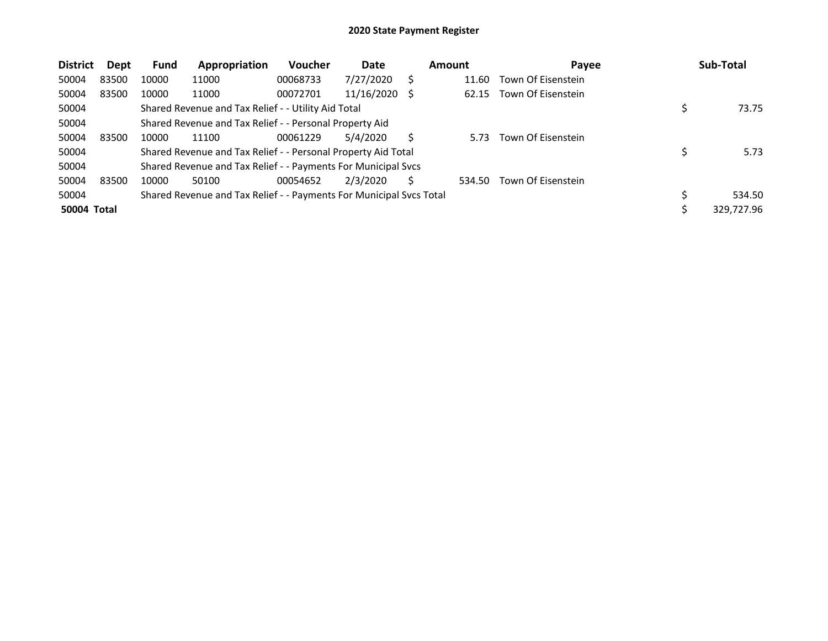| <b>District</b> | Dept  | Fund  | Appropriation                                                       | <b>Voucher</b> | Date       |    | Amount | Payee              |     | Sub-Total  |
|-----------------|-------|-------|---------------------------------------------------------------------|----------------|------------|----|--------|--------------------|-----|------------|
| 50004           | 83500 | 10000 | 11000                                                               | 00068733       | 7/27/2020  | S  | 11.60  | Town Of Eisenstein |     |            |
| 50004           | 83500 | 10000 | 11000                                                               | 00072701       | 11/16/2020 | -S | 62.15  | Town Of Eisenstein |     |            |
| 50004           |       |       | Shared Revenue and Tax Relief - - Utility Aid Total                 |                |            |    |        |                    |     | 73.75      |
| 50004           |       |       | Shared Revenue and Tax Relief - - Personal Property Aid             |                |            |    |        |                    |     |            |
| 50004           | 83500 | 10000 | 11100                                                               | 00061229       | 5/4/2020   | S  | 5.73   | Town Of Eisenstein |     |            |
| 50004           |       |       | Shared Revenue and Tax Relief - - Personal Property Aid Total       |                |            |    |        |                    |     | 5.73       |
| 50004           |       |       | Shared Revenue and Tax Relief - - Payments For Municipal Svcs       |                |            |    |        |                    |     |            |
| 50004           | 83500 | 10000 | 50100                                                               | 00054652       | 2/3/2020   |    | 534.50 | Town Of Eisenstein |     |            |
| 50004           |       |       | Shared Revenue and Tax Relief - - Payments For Municipal Svcs Total |                |            |    |        |                    | \$. | 534.50     |
| 50004 Total     |       |       |                                                                     |                |            |    |        |                    |     | 329.727.96 |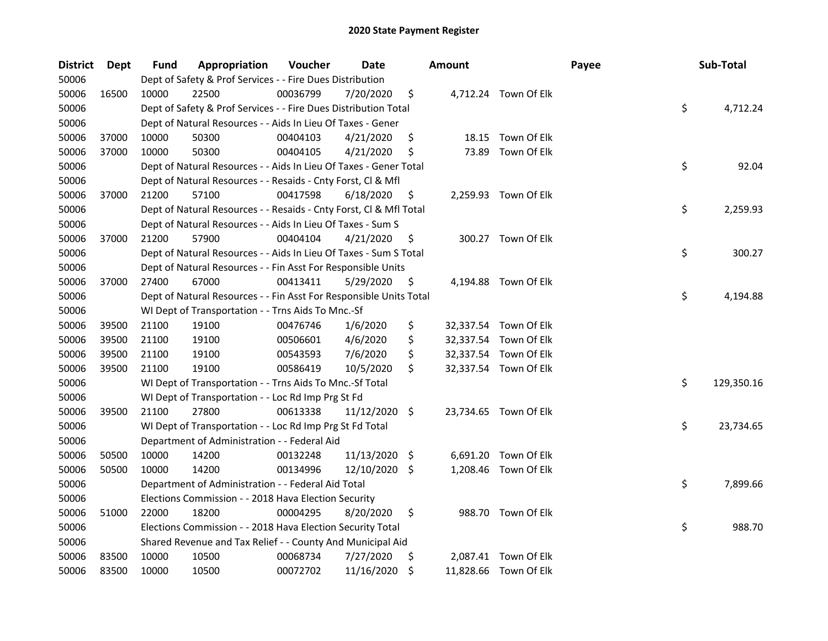| District | Dept  | Fund  | Appropriation                                                      | Voucher  | Date          |    | <b>Amount</b> |                       | Payee | Sub-Total        |
|----------|-------|-------|--------------------------------------------------------------------|----------|---------------|----|---------------|-----------------------|-------|------------------|
| 50006    |       |       | Dept of Safety & Prof Services - - Fire Dues Distribution          |          |               |    |               |                       |       |                  |
| 50006    | 16500 | 10000 | 22500                                                              | 00036799 | 7/20/2020     | \$ |               | 4,712.24 Town Of Elk  |       |                  |
| 50006    |       |       | Dept of Safety & Prof Services - - Fire Dues Distribution Total    |          |               |    |               |                       |       | \$<br>4,712.24   |
| 50006    |       |       | Dept of Natural Resources - - Aids In Lieu Of Taxes - Gener        |          |               |    |               |                       |       |                  |
| 50006    | 37000 | 10000 | 50300                                                              | 00404103 | 4/21/2020     | \$ |               | 18.15 Town Of Elk     |       |                  |
| 50006    | 37000 | 10000 | 50300                                                              | 00404105 | 4/21/2020     | \$ | 73.89         | Town Of Elk           |       |                  |
| 50006    |       |       | Dept of Natural Resources - - Aids In Lieu Of Taxes - Gener Total  |          |               |    |               |                       |       | \$<br>92.04      |
| 50006    |       |       | Dept of Natural Resources - - Resaids - Cnty Forst, Cl & Mfl       |          |               |    |               |                       |       |                  |
| 50006    | 37000 | 21200 | 57100                                                              | 00417598 | 6/18/2020     | \$ |               | 2,259.93 Town Of Elk  |       |                  |
| 50006    |       |       | Dept of Natural Resources - - Resaids - Cnty Forst, Cl & Mfl Total |          |               |    |               |                       |       | \$<br>2,259.93   |
| 50006    |       |       | Dept of Natural Resources - - Aids In Lieu Of Taxes - Sum S        |          |               |    |               |                       |       |                  |
| 50006    | 37000 | 21200 | 57900                                                              | 00404104 | 4/21/2020     | \$ |               | 300.27 Town Of Elk    |       |                  |
| 50006    |       |       | Dept of Natural Resources - - Aids In Lieu Of Taxes - Sum S Total  |          |               |    |               |                       |       | \$<br>300.27     |
| 50006    |       |       | Dept of Natural Resources - - Fin Asst For Responsible Units       |          |               |    |               |                       |       |                  |
| 50006    | 37000 | 27400 | 67000                                                              | 00413411 | 5/29/2020     | \$ |               | 4,194.88 Town Of Elk  |       |                  |
| 50006    |       |       | Dept of Natural Resources - - Fin Asst For Responsible Units Total |          |               |    |               |                       |       | \$<br>4,194.88   |
| 50006    |       |       | WI Dept of Transportation - - Trns Aids To Mnc.-Sf                 |          |               |    |               |                       |       |                  |
| 50006    | 39500 | 21100 | 19100                                                              | 00476746 | 1/6/2020      | \$ |               | 32,337.54 Town Of Elk |       |                  |
| 50006    | 39500 | 21100 | 19100                                                              | 00506601 | 4/6/2020      | \$ |               | 32,337.54 Town Of Elk |       |                  |
| 50006    | 39500 | 21100 | 19100                                                              | 00543593 | 7/6/2020      | \$ |               | 32,337.54 Town Of Elk |       |                  |
| 50006    | 39500 | 21100 | 19100                                                              | 00586419 | 10/5/2020     | \$ |               | 32,337.54 Town Of Elk |       |                  |
| 50006    |       |       | WI Dept of Transportation - - Trns Aids To Mnc.-Sf Total           |          |               |    |               |                       |       | \$<br>129,350.16 |
| 50006    |       |       | WI Dept of Transportation - - Loc Rd Imp Prg St Fd                 |          |               |    |               |                       |       |                  |
| 50006    | 39500 | 21100 | 27800                                                              | 00613338 | 11/12/2020 \$ |    |               | 23,734.65 Town Of Elk |       |                  |
| 50006    |       |       | WI Dept of Transportation - - Loc Rd Imp Prg St Fd Total           |          |               |    |               |                       |       | \$<br>23,734.65  |
| 50006    |       |       | Department of Administration - - Federal Aid                       |          |               |    |               |                       |       |                  |
| 50006    | 50500 | 10000 | 14200                                                              | 00132248 | 11/13/2020 \$ |    | 6,691.20      | Town Of Elk           |       |                  |
| 50006    | 50500 | 10000 | 14200                                                              | 00134996 | 12/10/2020    | S. |               | 1,208.46 Town Of Elk  |       |                  |
| 50006    |       |       | Department of Administration - - Federal Aid Total                 |          |               |    |               |                       |       | \$<br>7,899.66   |
| 50006    |       |       | Elections Commission - - 2018 Hava Election Security               |          |               |    |               |                       |       |                  |
| 50006    | 51000 | 22000 | 18200                                                              | 00004295 | 8/20/2020     | \$ |               | 988.70 Town Of Elk    |       |                  |
| 50006    |       |       | Elections Commission - - 2018 Hava Election Security Total         |          |               |    |               |                       |       | \$<br>988.70     |
| 50006    |       |       | Shared Revenue and Tax Relief - - County And Municipal Aid         |          |               |    |               |                       |       |                  |
| 50006    | 83500 | 10000 | 10500                                                              | 00068734 | 7/27/2020     | \$ |               | 2,087.41 Town Of Elk  |       |                  |
| 50006    | 83500 | 10000 | 10500                                                              | 00072702 | 11/16/2020    | \$ |               | 11,828.66 Town Of Elk |       |                  |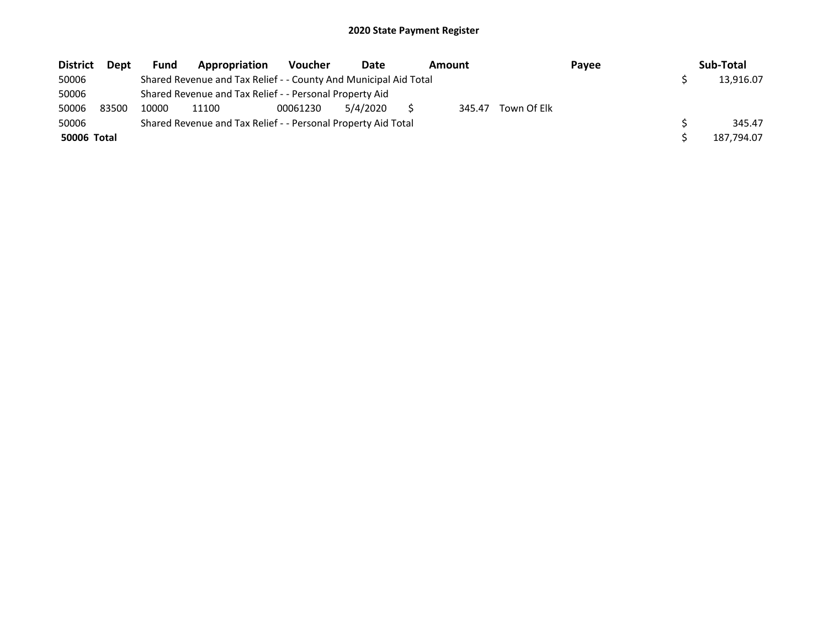| <b>District</b> | <b>Dept</b> | Fund  | Appropriation                                                    | <b>Voucher</b> | Date     | Amount |             | Payee | Sub-Total  |
|-----------------|-------------|-------|------------------------------------------------------------------|----------------|----------|--------|-------------|-------|------------|
| 50006           |             |       | Shared Revenue and Tax Relief - - County And Municipal Aid Total |                |          |        |             |       | 13.916.07  |
| 50006           |             |       | Shared Revenue and Tax Relief - - Personal Property Aid          |                |          |        |             |       |            |
| 50006           | 83500       | 10000 | 11100                                                            | 00061230       | 5/4/2020 | 345.47 | Town Of Elk |       |            |
| 50006           |             |       | Shared Revenue and Tax Relief - - Personal Property Aid Total    |                |          |        |             |       | 345.47     |
| 50006 Total     |             |       |                                                                  |                |          |        |             |       | 187,794.07 |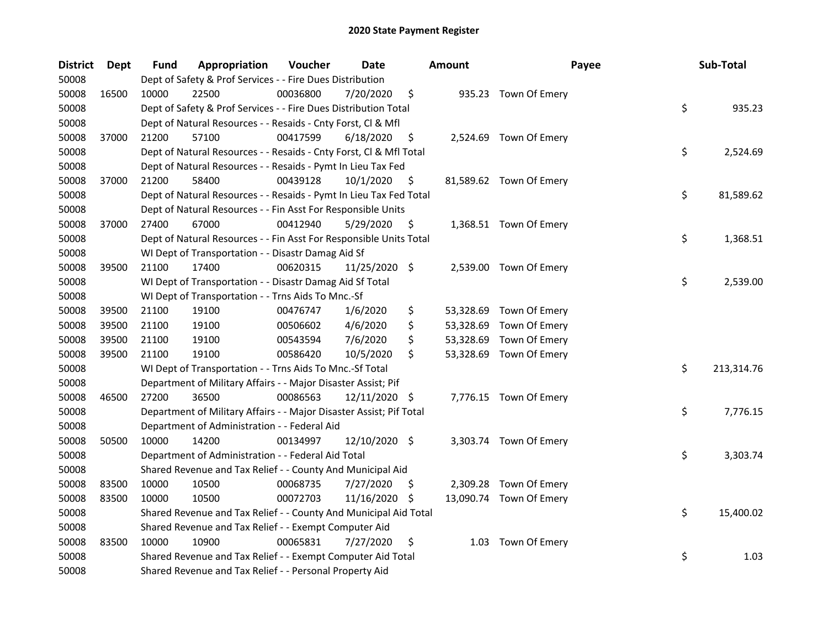| District | Dept  | Fund  | Appropriation                                                       | Voucher  | Date          |    | <b>Amount</b> | Payee                   | Sub-Total        |
|----------|-------|-------|---------------------------------------------------------------------|----------|---------------|----|---------------|-------------------------|------------------|
| 50008    |       |       | Dept of Safety & Prof Services - - Fire Dues Distribution           |          |               |    |               |                         |                  |
| 50008    | 16500 | 10000 | 22500                                                               | 00036800 | 7/20/2020     | \$ |               | 935.23 Town Of Emery    |                  |
| 50008    |       |       | Dept of Safety & Prof Services - - Fire Dues Distribution Total     |          |               |    |               |                         | \$<br>935.23     |
| 50008    |       |       | Dept of Natural Resources - - Resaids - Cnty Forst, Cl & Mfl        |          |               |    |               |                         |                  |
| 50008    | 37000 | 21200 | 57100                                                               | 00417599 | 6/18/2020     | \$ |               | 2,524.69 Town Of Emery  |                  |
| 50008    |       |       | Dept of Natural Resources - - Resaids - Cnty Forst, CI & Mfl Total  |          |               |    |               |                         | \$<br>2,524.69   |
| 50008    |       |       | Dept of Natural Resources - - Resaids - Pymt In Lieu Tax Fed        |          |               |    |               |                         |                  |
| 50008    | 37000 | 21200 | 58400                                                               | 00439128 | 10/1/2020     | \$ |               | 81,589.62 Town Of Emery |                  |
| 50008    |       |       | Dept of Natural Resources - - Resaids - Pymt In Lieu Tax Fed Total  |          |               |    |               |                         | \$<br>81,589.62  |
| 50008    |       |       | Dept of Natural Resources - - Fin Asst For Responsible Units        |          |               |    |               |                         |                  |
| 50008    | 37000 | 27400 | 67000                                                               | 00412940 | 5/29/2020     | \$ |               | 1,368.51 Town Of Emery  |                  |
| 50008    |       |       | Dept of Natural Resources - - Fin Asst For Responsible Units Total  |          |               |    |               |                         | \$<br>1,368.51   |
| 50008    |       |       | WI Dept of Transportation - - Disastr Damag Aid Sf                  |          |               |    |               |                         |                  |
| 50008    | 39500 | 21100 | 17400                                                               | 00620315 | 11/25/2020 \$ |    |               | 2,539.00 Town Of Emery  |                  |
| 50008    |       |       | WI Dept of Transportation - - Disastr Damag Aid Sf Total            |          |               |    |               |                         | \$<br>2,539.00   |
| 50008    |       |       | WI Dept of Transportation - - Trns Aids To Mnc.-Sf                  |          |               |    |               |                         |                  |
| 50008    | 39500 | 21100 | 19100                                                               | 00476747 | 1/6/2020      | \$ |               | 53,328.69 Town Of Emery |                  |
| 50008    | 39500 | 21100 | 19100                                                               | 00506602 | 4/6/2020      | \$ |               | 53,328.69 Town Of Emery |                  |
| 50008    | 39500 | 21100 | 19100                                                               | 00543594 | 7/6/2020      | \$ |               | 53,328.69 Town Of Emery |                  |
| 50008    | 39500 | 21100 | 19100                                                               | 00586420 | 10/5/2020     | \$ |               | 53,328.69 Town Of Emery |                  |
| 50008    |       |       | WI Dept of Transportation - - Trns Aids To Mnc.-Sf Total            |          |               |    |               |                         | \$<br>213,314.76 |
| 50008    |       |       | Department of Military Affairs - - Major Disaster Assist; Pif       |          |               |    |               |                         |                  |
| 50008    | 46500 | 27200 | 36500                                                               | 00086563 | 12/11/2020 \$ |    |               | 7,776.15 Town Of Emery  |                  |
| 50008    |       |       | Department of Military Affairs - - Major Disaster Assist; Pif Total |          |               |    |               |                         | \$<br>7,776.15   |
| 50008    |       |       | Department of Administration - - Federal Aid                        |          |               |    |               |                         |                  |
| 50008    | 50500 | 10000 | 14200                                                               | 00134997 | 12/10/2020 \$ |    |               | 3,303.74 Town Of Emery  |                  |
| 50008    |       |       | Department of Administration - - Federal Aid Total                  |          |               |    |               |                         | \$<br>3,303.74   |
| 50008    |       |       | Shared Revenue and Tax Relief - - County And Municipal Aid          |          |               |    |               |                         |                  |
| 50008    | 83500 | 10000 | 10500                                                               | 00068735 | 7/27/2020     | S  |               | 2,309.28 Town Of Emery  |                  |
| 50008    | 83500 | 10000 | 10500                                                               | 00072703 | 11/16/2020 \$ |    |               | 13,090.74 Town Of Emery |                  |
| 50008    |       |       | Shared Revenue and Tax Relief - - County And Municipal Aid Total    |          |               |    |               |                         | \$<br>15,400.02  |
| 50008    |       |       | Shared Revenue and Tax Relief - - Exempt Computer Aid               |          |               |    |               |                         |                  |
| 50008    | 83500 | 10000 | 10900                                                               | 00065831 | 7/27/2020     | \$ |               | 1.03 Town Of Emery      |                  |
| 50008    |       |       | Shared Revenue and Tax Relief - - Exempt Computer Aid Total         |          |               |    |               |                         | \$<br>1.03       |
| 50008    |       |       | Shared Revenue and Tax Relief - - Personal Property Aid             |          |               |    |               |                         |                  |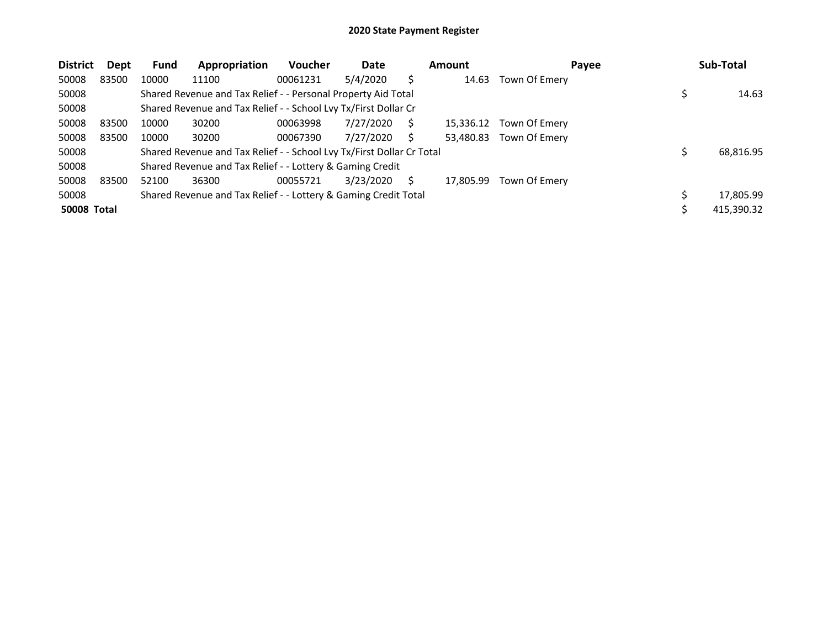| <b>District</b>    | Dept  | <b>Fund</b> | Appropriation                                                         | <b>Voucher</b> | Date      |   | Amount    | Payee         | Sub-Total  |
|--------------------|-------|-------------|-----------------------------------------------------------------------|----------------|-----------|---|-----------|---------------|------------|
| 50008              | 83500 | 10000       | 11100                                                                 | 00061231       | 5/4/2020  |   | 14.63     | Town Of Emery |            |
| 50008              |       |             | Shared Revenue and Tax Relief - - Personal Property Aid Total         |                |           |   |           |               | 14.63      |
| 50008              |       |             | Shared Revenue and Tax Relief - - School Lvy Tx/First Dollar Cr       |                |           |   |           |               |            |
| 50008              | 83500 | 10000       | 30200                                                                 | 00063998       | 7/27/2020 | S | 15,336.12 | Town Of Emery |            |
| 50008              | 83500 | 10000       | 30200                                                                 | 00067390       | 7/27/2020 |   | 53.480.83 | Town Of Emery |            |
| 50008              |       |             | Shared Revenue and Tax Relief - - School Lvy Tx/First Dollar Cr Total |                |           |   |           |               | 68,816.95  |
| 50008              |       |             | Shared Revenue and Tax Relief - - Lottery & Gaming Credit             |                |           |   |           |               |            |
| 50008              | 83500 | 52100       | 36300                                                                 | 00055721       | 3/23/2020 |   | 17.805.99 | Town Of Emery |            |
| 50008              |       |             | Shared Revenue and Tax Relief - - Lottery & Gaming Credit Total       |                |           |   |           |               | 17,805.99  |
| <b>50008 Total</b> |       |             |                                                                       |                |           |   |           |               | 415,390.32 |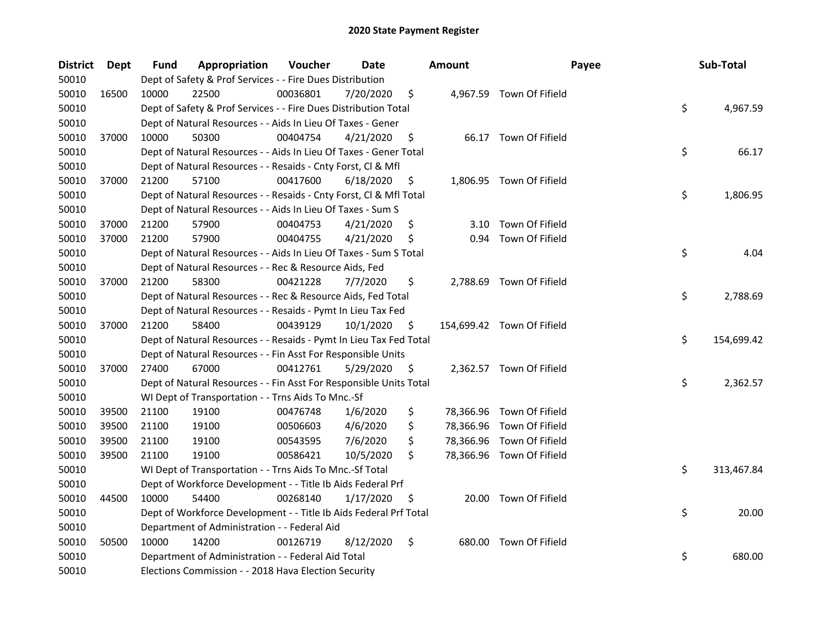| District | Dept  | <b>Fund</b> | Appropriation                                                      | Voucher  | Date      | <b>Amount</b> | Payee                      | Sub-Total        |
|----------|-------|-------------|--------------------------------------------------------------------|----------|-----------|---------------|----------------------------|------------------|
| 50010    |       |             | Dept of Safety & Prof Services - - Fire Dues Distribution          |          |           |               |                            |                  |
| 50010    | 16500 | 10000       | 22500                                                              | 00036801 | 7/20/2020 | \$            | 4,967.59 Town Of Fifield   |                  |
| 50010    |       |             | Dept of Safety & Prof Services - - Fire Dues Distribution Total    |          |           |               |                            | \$<br>4,967.59   |
| 50010    |       |             | Dept of Natural Resources - - Aids In Lieu Of Taxes - Gener        |          |           |               |                            |                  |
| 50010    | 37000 | 10000       | 50300                                                              | 00404754 | 4/21/2020 | \$            | 66.17 Town Of Fifield      |                  |
| 50010    |       |             | Dept of Natural Resources - - Aids In Lieu Of Taxes - Gener Total  |          |           |               |                            | \$<br>66.17      |
| 50010    |       |             | Dept of Natural Resources - - Resaids - Cnty Forst, Cl & Mfl       |          |           |               |                            |                  |
| 50010    | 37000 | 21200       | 57100                                                              | 00417600 | 6/18/2020 | \$            | 1,806.95 Town Of Fifield   |                  |
| 50010    |       |             | Dept of Natural Resources - - Resaids - Cnty Forst, Cl & Mfl Total |          |           |               |                            | \$<br>1,806.95   |
| 50010    |       |             | Dept of Natural Resources - - Aids In Lieu Of Taxes - Sum S        |          |           |               |                            |                  |
| 50010    | 37000 | 21200       | 57900                                                              | 00404753 | 4/21/2020 | \$<br>3.10    | Town Of Fifield            |                  |
| 50010    | 37000 | 21200       | 57900                                                              | 00404755 | 4/21/2020 | \$<br>0.94    | Town Of Fifield            |                  |
| 50010    |       |             | Dept of Natural Resources - - Aids In Lieu Of Taxes - Sum S Total  |          |           |               |                            | \$<br>4.04       |
| 50010    |       |             | Dept of Natural Resources - - Rec & Resource Aids, Fed             |          |           |               |                            |                  |
| 50010    | 37000 | 21200       | 58300                                                              | 00421228 | 7/7/2020  | \$            | 2,788.69 Town Of Fifield   |                  |
| 50010    |       |             | Dept of Natural Resources - - Rec & Resource Aids, Fed Total       |          |           |               |                            | \$<br>2,788.69   |
| 50010    |       |             | Dept of Natural Resources - - Resaids - Pymt In Lieu Tax Fed       |          |           |               |                            |                  |
| 50010    | 37000 | 21200       | 58400                                                              | 00439129 | 10/1/2020 | \$            | 154,699.42 Town Of Fifield |                  |
| 50010    |       |             | Dept of Natural Resources - - Resaids - Pymt In Lieu Tax Fed Total |          |           |               |                            | \$<br>154,699.42 |
| 50010    |       |             | Dept of Natural Resources - - Fin Asst For Responsible Units       |          |           |               |                            |                  |
| 50010    | 37000 | 27400       | 67000                                                              | 00412761 | 5/29/2020 | \$            | 2,362.57 Town Of Fifield   |                  |
| 50010    |       |             | Dept of Natural Resources - - Fin Asst For Responsible Units Total |          |           |               |                            | \$<br>2,362.57   |
| 50010    |       |             | WI Dept of Transportation - - Trns Aids To Mnc.-Sf                 |          |           |               |                            |                  |
| 50010    | 39500 | 21100       | 19100                                                              | 00476748 | 1/6/2020  | \$            | 78,366.96 Town Of Fifield  |                  |
| 50010    | 39500 | 21100       | 19100                                                              | 00506603 | 4/6/2020  | \$            | 78,366.96 Town Of Fifield  |                  |
| 50010    | 39500 | 21100       | 19100                                                              | 00543595 | 7/6/2020  | \$            | 78,366.96 Town Of Fifield  |                  |
| 50010    | 39500 | 21100       | 19100                                                              | 00586421 | 10/5/2020 | \$            | 78,366.96 Town Of Fifield  |                  |
| 50010    |       |             | WI Dept of Transportation - - Trns Aids To Mnc.-Sf Total           |          |           |               |                            | \$<br>313,467.84 |
| 50010    |       |             | Dept of Workforce Development - - Title Ib Aids Federal Prf        |          |           |               |                            |                  |
| 50010    | 44500 | 10000       | 54400                                                              | 00268140 | 1/17/2020 | \$            | 20.00 Town Of Fifield      |                  |
| 50010    |       |             | Dept of Workforce Development - - Title Ib Aids Federal Prf Total  |          |           |               |                            | \$<br>20.00      |
| 50010    |       |             | Department of Administration - - Federal Aid                       |          |           |               |                            |                  |
| 50010    | 50500 | 10000       | 14200                                                              | 00126719 | 8/12/2020 | \$            | 680.00 Town Of Fifield     |                  |
| 50010    |       |             | Department of Administration - - Federal Aid Total                 |          |           |               |                            | \$<br>680.00     |
| 50010    |       |             | Elections Commission - - 2018 Hava Election Security               |          |           |               |                            |                  |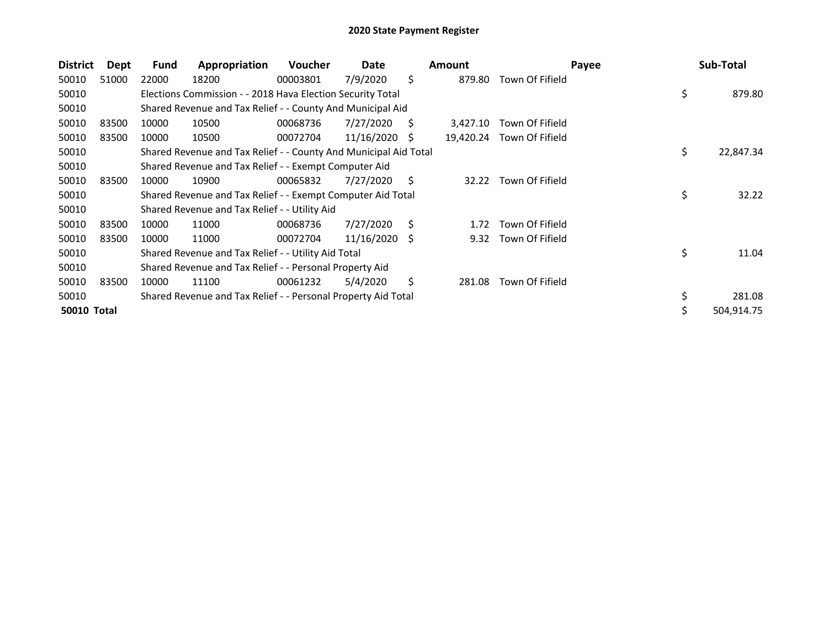| <b>District</b>    | Dept  | <b>Fund</b> | Appropriation                                                    | <b>Voucher</b> | Date            |    | <b>Amount</b> |                           | Payee | Sub-Total       |
|--------------------|-------|-------------|------------------------------------------------------------------|----------------|-----------------|----|---------------|---------------------------|-------|-----------------|
| 50010              | 51000 | 22000       | 18200                                                            | 00003801       | 7/9/2020        | \$ | 879.80        | Town Of Fifield           |       |                 |
| 50010              |       |             | Elections Commission - - 2018 Hava Election Security Total       |                |                 |    |               |                           |       | \$<br>879.80    |
| 50010              |       |             | Shared Revenue and Tax Relief - - County And Municipal Aid       |                |                 |    |               |                           |       |                 |
| 50010              | 83500 | 10000       | 10500                                                            | 00068736       | 7/27/2020       | S  | 3,427.10      | Town Of Fifield           |       |                 |
| 50010              | 83500 | 10000       | 10500                                                            | 00072704       | 11/16/2020      | S  |               | 19,420.24 Town Of Fifield |       |                 |
| 50010              |       |             | Shared Revenue and Tax Relief - - County And Municipal Aid Total |                |                 |    |               |                           |       | \$<br>22,847.34 |
| 50010              |       |             | Shared Revenue and Tax Relief - - Exempt Computer Aid            |                |                 |    |               |                           |       |                 |
| 50010              | 83500 | 10000       | 10900                                                            | 00065832       | 7/27/2020       | S  | 32.22         | Town Of Fifield           |       |                 |
| 50010              |       |             | Shared Revenue and Tax Relief - - Exempt Computer Aid Total      |                |                 |    |               |                           |       | \$<br>32.22     |
| 50010              |       |             | Shared Revenue and Tax Relief - - Utility Aid                    |                |                 |    |               |                           |       |                 |
| 50010              | 83500 | 10000       | 11000                                                            | 00068736       | 7/27/2020       | S  | 1.72          | Town Of Fifield           |       |                 |
| 50010              | 83500 | 10000       | 11000                                                            | 00072704       | $11/16/2020$ \$ |    | 9.32          | Town Of Fifield           |       |                 |
| 50010              |       |             | Shared Revenue and Tax Relief - - Utility Aid Total              |                |                 |    |               |                           |       | \$<br>11.04     |
| 50010              |       |             | Shared Revenue and Tax Relief - - Personal Property Aid          |                |                 |    |               |                           |       |                 |
| 50010              | 83500 | 10000       | 11100                                                            | 00061232       | 5/4/2020        | \$ | 281.08        | Town Of Fifield           |       |                 |
| 50010              |       |             | Shared Revenue and Tax Relief - - Personal Property Aid Total    |                |                 |    |               |                           |       | \$<br>281.08    |
| <b>50010 Total</b> |       |             |                                                                  |                |                 |    |               |                           |       | 504,914.75      |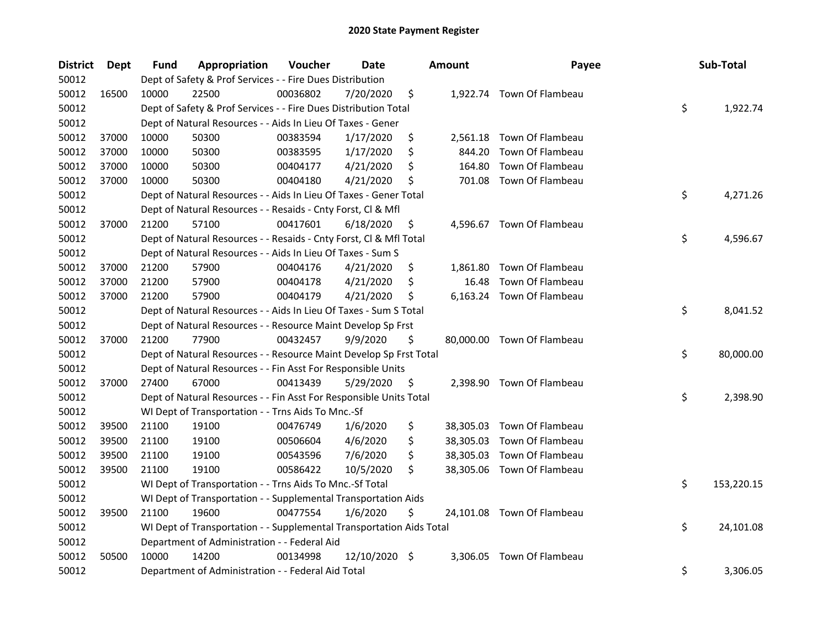| <b>District</b> | <b>Dept</b> | Fund  | Appropriation                                                        | Voucher  | <b>Date</b> | <b>Amount</b>  | Payee                      | Sub-Total        |
|-----------------|-------------|-------|----------------------------------------------------------------------|----------|-------------|----------------|----------------------------|------------------|
| 50012           |             |       | Dept of Safety & Prof Services - - Fire Dues Distribution            |          |             |                |                            |                  |
| 50012           | 16500       | 10000 | 22500                                                                | 00036802 | 7/20/2020   | \$             | 1,922.74 Town Of Flambeau  |                  |
| 50012           |             |       | Dept of Safety & Prof Services - - Fire Dues Distribution Total      |          |             |                |                            | \$<br>1,922.74   |
| 50012           |             |       | Dept of Natural Resources - - Aids In Lieu Of Taxes - Gener          |          |             |                |                            |                  |
| 50012           | 37000       | 10000 | 50300                                                                | 00383594 | 1/17/2020   | \$             | 2,561.18 Town Of Flambeau  |                  |
| 50012           | 37000       | 10000 | 50300                                                                | 00383595 | 1/17/2020   | \$<br>844.20   | Town Of Flambeau           |                  |
| 50012           | 37000       | 10000 | 50300                                                                | 00404177 | 4/21/2020   | \$<br>164.80   | Town Of Flambeau           |                  |
| 50012           | 37000       | 10000 | 50300                                                                | 00404180 | 4/21/2020   | \$<br>701.08   | Town Of Flambeau           |                  |
| 50012           |             |       | Dept of Natural Resources - - Aids In Lieu Of Taxes - Gener Total    |          |             |                |                            | \$<br>4,271.26   |
| 50012           |             |       | Dept of Natural Resources - - Resaids - Cnty Forst, Cl & Mfl         |          |             |                |                            |                  |
| 50012           | 37000       | 21200 | 57100                                                                | 00417601 | 6/18/2020   | \$             | 4,596.67 Town Of Flambeau  |                  |
| 50012           |             |       | Dept of Natural Resources - - Resaids - Cnty Forst, Cl & Mfl Total   |          |             |                |                            | \$<br>4,596.67   |
| 50012           |             |       | Dept of Natural Resources - - Aids In Lieu Of Taxes - Sum S          |          |             |                |                            |                  |
| 50012           | 37000       | 21200 | 57900                                                                | 00404176 | 4/21/2020   | \$<br>1,861.80 | Town Of Flambeau           |                  |
| 50012           | 37000       | 21200 | 57900                                                                | 00404178 | 4/21/2020   | \$<br>16.48    | Town Of Flambeau           |                  |
| 50012           | 37000       | 21200 | 57900                                                                | 00404179 | 4/21/2020   | \$             | 6,163.24 Town Of Flambeau  |                  |
| 50012           |             |       | Dept of Natural Resources - - Aids In Lieu Of Taxes - Sum S Total    |          |             |                |                            | \$<br>8,041.52   |
| 50012           |             |       | Dept of Natural Resources - - Resource Maint Develop Sp Frst         |          |             |                |                            |                  |
| 50012           | 37000       | 21200 | 77900                                                                | 00432457 | 9/9/2020    | \$             | 80,000.00 Town Of Flambeau |                  |
| 50012           |             |       | Dept of Natural Resources - - Resource Maint Develop Sp Frst Total   |          |             |                |                            | \$<br>80,000.00  |
| 50012           |             |       | Dept of Natural Resources - - Fin Asst For Responsible Units         |          |             |                |                            |                  |
| 50012           | 37000       | 27400 | 67000                                                                | 00413439 | 5/29/2020   | \$             | 2,398.90 Town Of Flambeau  |                  |
| 50012           |             |       | Dept of Natural Resources - - Fin Asst For Responsible Units Total   |          |             |                |                            | \$<br>2,398.90   |
| 50012           |             |       | WI Dept of Transportation - - Trns Aids To Mnc.-Sf                   |          |             |                |                            |                  |
| 50012           | 39500       | 21100 | 19100                                                                | 00476749 | 1/6/2020    | \$             | 38,305.03 Town Of Flambeau |                  |
| 50012           | 39500       | 21100 | 19100                                                                | 00506604 | 4/6/2020    | \$             | 38,305.03 Town Of Flambeau |                  |
| 50012           | 39500       | 21100 | 19100                                                                | 00543596 | 7/6/2020    | \$             | 38,305.03 Town Of Flambeau |                  |
| 50012           | 39500       | 21100 | 19100                                                                | 00586422 | 10/5/2020   | \$             | 38,305.06 Town Of Flambeau |                  |
| 50012           |             |       | WI Dept of Transportation - - Trns Aids To Mnc.-Sf Total             |          |             |                |                            | \$<br>153,220.15 |
| 50012           |             |       | WI Dept of Transportation - - Supplemental Transportation Aids       |          |             |                |                            |                  |
| 50012           | 39500       | 21100 | 19600                                                                | 00477554 | 1/6/2020    | \$             | 24,101.08 Town Of Flambeau |                  |
| 50012           |             |       | WI Dept of Transportation - - Supplemental Transportation Aids Total |          |             |                |                            | \$<br>24,101.08  |
| 50012           |             |       | Department of Administration - - Federal Aid                         |          |             |                |                            |                  |
| 50012           | 50500       | 10000 | 14200                                                                | 00134998 | 12/10/2020  | \$<br>3,306.05 | Town Of Flambeau           |                  |
| 50012           |             |       | Department of Administration - - Federal Aid Total                   |          |             |                |                            | \$<br>3,306.05   |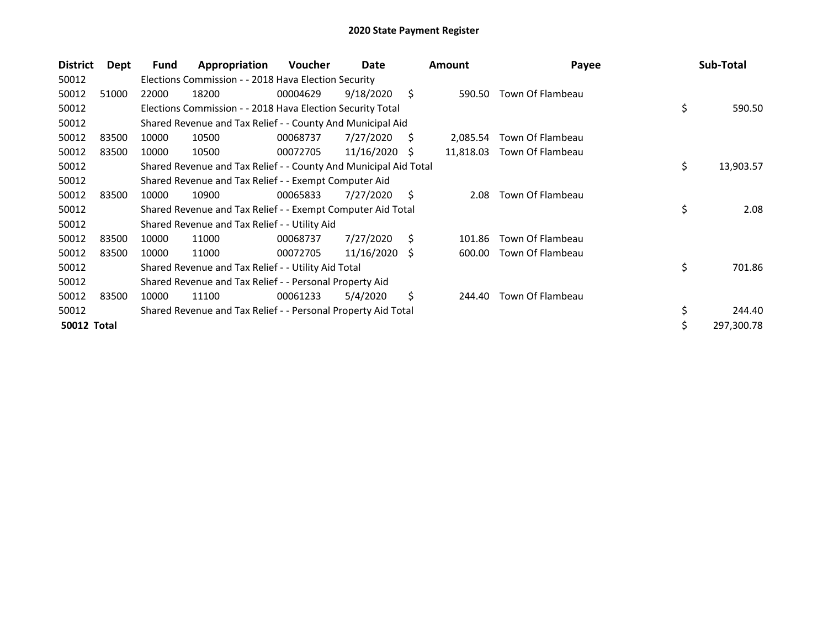| <b>District</b>    | Dept  | Fund  | Appropriation                                                    | <b>Voucher</b> | Date       |    | <b>Amount</b> | Payee            | Sub-Total        |
|--------------------|-------|-------|------------------------------------------------------------------|----------------|------------|----|---------------|------------------|------------------|
| 50012              |       |       | Elections Commission - - 2018 Hava Election Security             |                |            |    |               |                  |                  |
| 50012              | 51000 | 22000 | 18200                                                            | 00004629       | 9/18/2020  | S. | 590.50        | Town Of Flambeau |                  |
| 50012              |       |       | Elections Commission - - 2018 Hava Election Security Total       |                |            |    |               |                  | \$<br>590.50     |
| 50012              |       |       | Shared Revenue and Tax Relief - - County And Municipal Aid       |                |            |    |               |                  |                  |
| 50012              | 83500 | 10000 | 10500                                                            | 00068737       | 7/27/2020  | S  | 2,085.54      | Town Of Flambeau |                  |
| 50012              | 83500 | 10000 | 10500                                                            | 00072705       | 11/16/2020 | -S | 11,818.03     | Town Of Flambeau |                  |
| 50012              |       |       | Shared Revenue and Tax Relief - - County And Municipal Aid Total |                |            |    |               |                  | \$<br>13,903.57  |
| 50012              |       |       | Shared Revenue and Tax Relief - - Exempt Computer Aid            |                |            |    |               |                  |                  |
| 50012              | 83500 | 10000 | 10900                                                            | 00065833       | 7/27/2020  | S  | 2.08          | Town Of Flambeau |                  |
| 50012              |       |       | Shared Revenue and Tax Relief - - Exempt Computer Aid Total      |                |            |    |               |                  | \$<br>2.08       |
| 50012              |       |       | Shared Revenue and Tax Relief - - Utility Aid                    |                |            |    |               |                  |                  |
| 50012              | 83500 | 10000 | 11000                                                            | 00068737       | 7/27/2020  | Ŝ. | 101.86        | Town Of Flambeau |                  |
| 50012              | 83500 | 10000 | 11000                                                            | 00072705       | 11/16/2020 | S  | 600.00        | Town Of Flambeau |                  |
| 50012              |       |       | Shared Revenue and Tax Relief - - Utility Aid Total              |                |            |    |               |                  | \$<br>701.86     |
| 50012              |       |       | Shared Revenue and Tax Relief - - Personal Property Aid          |                |            |    |               |                  |                  |
| 50012              | 83500 | 10000 | 11100                                                            | 00061233       | 5/4/2020   | \$ | 244.40        | Town Of Flambeau |                  |
| 50012              |       |       | Shared Revenue and Tax Relief - - Personal Property Aid Total    |                |            |    |               |                  | \$<br>244.40     |
| <b>50012 Total</b> |       |       |                                                                  |                |            |    |               |                  | \$<br>297,300.78 |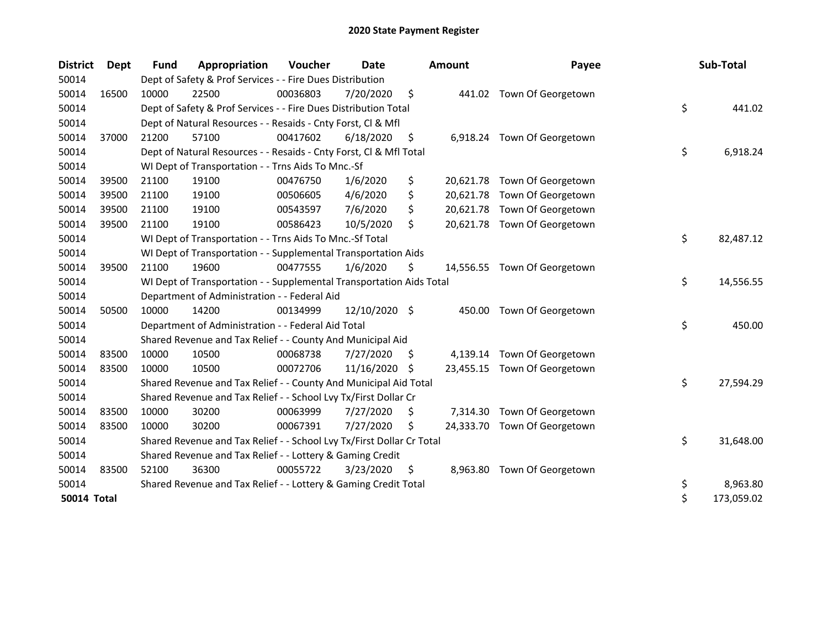| <b>District</b> | <b>Dept</b> | <b>Fund</b> | Appropriation                                                         | Voucher  | Date          |     | <b>Amount</b> | Payee                        | Sub-Total        |
|-----------------|-------------|-------------|-----------------------------------------------------------------------|----------|---------------|-----|---------------|------------------------------|------------------|
| 50014           |             |             | Dept of Safety & Prof Services - - Fire Dues Distribution             |          |               |     |               |                              |                  |
| 50014           | 16500       | 10000       | 22500                                                                 | 00036803 | 7/20/2020     | \$  |               | 441.02 Town Of Georgetown    |                  |
| 50014           |             |             | Dept of Safety & Prof Services - - Fire Dues Distribution Total       |          |               |     |               |                              | \$<br>441.02     |
| 50014           |             |             | Dept of Natural Resources - - Resaids - Cnty Forst, Cl & Mfl          |          |               |     |               |                              |                  |
| 50014           | 37000       | 21200       | 57100                                                                 | 00417602 | 6/18/2020     | \$. |               | 6,918.24 Town Of Georgetown  |                  |
| 50014           |             |             | Dept of Natural Resources - - Resaids - Cnty Forst, Cl & Mfl Total    |          |               |     |               |                              | \$<br>6,918.24   |
| 50014           |             |             | WI Dept of Transportation - - Trns Aids To Mnc.-Sf                    |          |               |     |               |                              |                  |
| 50014           | 39500       | 21100       | 19100                                                                 | 00476750 | 1/6/2020      | \$  |               | 20,621.78 Town Of Georgetown |                  |
| 50014           | 39500       | 21100       | 19100                                                                 | 00506605 | 4/6/2020      | \$  |               | 20,621.78 Town Of Georgetown |                  |
| 50014           | 39500       | 21100       | 19100                                                                 | 00543597 | 7/6/2020      | \$  |               | 20,621.78 Town Of Georgetown |                  |
| 50014           | 39500       | 21100       | 19100                                                                 | 00586423 | 10/5/2020     | \$  |               | 20,621.78 Town Of Georgetown |                  |
| 50014           |             |             | WI Dept of Transportation - - Trns Aids To Mnc.-Sf Total              |          |               |     |               |                              | \$<br>82,487.12  |
| 50014           |             |             | WI Dept of Transportation - - Supplemental Transportation Aids        |          |               |     |               |                              |                  |
| 50014           | 39500       | 21100       | 19600                                                                 | 00477555 | 1/6/2020      | \$  |               | 14,556.55 Town Of Georgetown |                  |
| 50014           |             |             | WI Dept of Transportation - - Supplemental Transportation Aids Total  |          |               |     |               |                              | \$<br>14,556.55  |
| 50014           |             |             | Department of Administration - - Federal Aid                          |          |               |     |               |                              |                  |
| 50014           | 50500       | 10000       | 14200                                                                 | 00134999 | 12/10/2020 \$ |     | 450.00        | Town Of Georgetown           |                  |
| 50014           |             |             | Department of Administration - - Federal Aid Total                    |          |               |     |               |                              | \$<br>450.00     |
| 50014           |             |             | Shared Revenue and Tax Relief - - County And Municipal Aid            |          |               |     |               |                              |                  |
| 50014           | 83500       | 10000       | 10500                                                                 | 00068738 | 7/27/2020     | S.  |               | 4,139.14 Town Of Georgetown  |                  |
| 50014           | 83500       | 10000       | 10500                                                                 | 00072706 | 11/16/2020 \$ |     |               | 23,455.15 Town Of Georgetown |                  |
| 50014           |             |             | Shared Revenue and Tax Relief - - County And Municipal Aid Total      |          |               |     |               |                              | \$<br>27,594.29  |
| 50014           |             |             | Shared Revenue and Tax Relief - - School Lvy Tx/First Dollar Cr       |          |               |     |               |                              |                  |
| 50014           | 83500       | 10000       | 30200                                                                 | 00063999 | 7/27/2020     | S   | 7,314.30      | Town Of Georgetown           |                  |
| 50014           | 83500       | 10000       | 30200                                                                 | 00067391 | 7/27/2020     | \$  |               | 24,333.70 Town Of Georgetown |                  |
| 50014           |             |             | Shared Revenue and Tax Relief - - School Lvy Tx/First Dollar Cr Total |          |               |     |               |                              | \$<br>31,648.00  |
| 50014           |             |             | Shared Revenue and Tax Relief - - Lottery & Gaming Credit             |          |               |     |               |                              |                  |
| 50014           | 83500       | 52100       | 36300                                                                 | 00055722 | 3/23/2020     | \$  |               | 8,963.80 Town Of Georgetown  |                  |
| 50014           |             |             | Shared Revenue and Tax Relief - - Lottery & Gaming Credit Total       |          |               |     |               |                              | \$<br>8,963.80   |
| 50014 Total     |             |             |                                                                       |          |               |     |               |                              | \$<br>173,059.02 |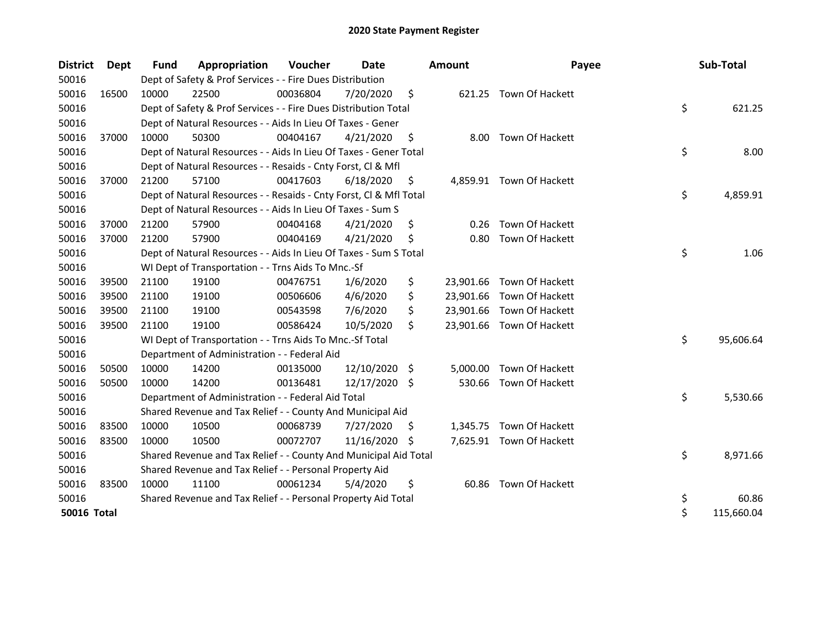| <b>District</b>    | Dept  | <b>Fund</b> | Appropriation                                                      | Voucher  | Date       |     | Amount    | Payee                     | Sub-Total        |
|--------------------|-------|-------------|--------------------------------------------------------------------|----------|------------|-----|-----------|---------------------------|------------------|
| 50016              |       |             | Dept of Safety & Prof Services - - Fire Dues Distribution          |          |            |     |           |                           |                  |
| 50016              | 16500 | 10000       | 22500                                                              | 00036804 | 7/20/2020  | \$  |           | 621.25 Town Of Hackett    |                  |
| 50016              |       |             | Dept of Safety & Prof Services - - Fire Dues Distribution Total    |          |            |     |           |                           | \$<br>621.25     |
| 50016              |       |             | Dept of Natural Resources - - Aids In Lieu Of Taxes - Gener        |          |            |     |           |                           |                  |
| 50016              | 37000 | 10000       | 50300                                                              | 00404167 | 4/21/2020  | \$  | 8.00      | Town Of Hackett           |                  |
| 50016              |       |             | Dept of Natural Resources - - Aids In Lieu Of Taxes - Gener Total  |          |            |     |           |                           | \$<br>8.00       |
| 50016              |       |             | Dept of Natural Resources - - Resaids - Cnty Forst, Cl & Mfl       |          |            |     |           |                           |                  |
| 50016              | 37000 | 21200       | 57100                                                              | 00417603 | 6/18/2020  | \$  |           | 4,859.91 Town Of Hackett  |                  |
| 50016              |       |             | Dept of Natural Resources - - Resaids - Cnty Forst, Cl & Mfl Total |          |            |     |           |                           | \$<br>4,859.91   |
| 50016              |       |             | Dept of Natural Resources - - Aids In Lieu Of Taxes - Sum S        |          |            |     |           |                           |                  |
| 50016              | 37000 | 21200       | 57900                                                              | 00404168 | 4/21/2020  | \$  | 0.26      | Town Of Hackett           |                  |
| 50016              | 37000 | 21200       | 57900                                                              | 00404169 | 4/21/2020  | S   | 0.80      | Town Of Hackett           |                  |
| 50016              |       |             | Dept of Natural Resources - - Aids In Lieu Of Taxes - Sum S Total  |          |            |     |           |                           | \$<br>1.06       |
| 50016              |       |             | WI Dept of Transportation - - Trns Aids To Mnc.-Sf                 |          |            |     |           |                           |                  |
| 50016              | 39500 | 21100       | 19100                                                              | 00476751 | 1/6/2020   | \$  | 23,901.66 | Town Of Hackett           |                  |
| 50016              | 39500 | 21100       | 19100                                                              | 00506606 | 4/6/2020   | \$  |           | 23,901.66 Town Of Hackett |                  |
| 50016              | 39500 | 21100       | 19100                                                              | 00543598 | 7/6/2020   | \$  |           | 23,901.66 Town Of Hackett |                  |
| 50016              | 39500 | 21100       | 19100                                                              | 00586424 | 10/5/2020  | \$  |           | 23,901.66 Town Of Hackett |                  |
| 50016              |       |             | WI Dept of Transportation - - Trns Aids To Mnc.-Sf Total           |          |            |     |           |                           | \$<br>95,606.64  |
| 50016              |       |             | Department of Administration - - Federal Aid                       |          |            |     |           |                           |                  |
| 50016              | 50500 | 10000       | 14200                                                              | 00135000 | 12/10/2020 | \$  | 5,000.00  | Town Of Hackett           |                  |
| 50016              | 50500 | 10000       | 14200                                                              | 00136481 | 12/17/2020 | -\$ | 530.66    | Town Of Hackett           |                  |
| 50016              |       |             | Department of Administration - - Federal Aid Total                 |          |            |     |           |                           | \$<br>5,530.66   |
| 50016              |       |             | Shared Revenue and Tax Relief - - County And Municipal Aid         |          |            |     |           |                           |                  |
| 50016              | 83500 | 10000       | 10500                                                              | 00068739 | 7/27/2020  | \$. |           | 1,345.75 Town Of Hackett  |                  |
| 50016              | 83500 | 10000       | 10500                                                              | 00072707 | 11/16/2020 | -Ş  |           | 7,625.91 Town Of Hackett  |                  |
| 50016              |       |             | Shared Revenue and Tax Relief - - County And Municipal Aid Total   |          |            |     |           |                           | \$<br>8,971.66   |
| 50016              |       |             | Shared Revenue and Tax Relief - - Personal Property Aid            |          |            |     |           |                           |                  |
| 50016              | 83500 | 10000       | 11100                                                              | 00061234 | 5/4/2020   | \$  |           | 60.86 Town Of Hackett     |                  |
| 50016              |       |             | Shared Revenue and Tax Relief - - Personal Property Aid Total      |          |            |     |           |                           | \$<br>60.86      |
| <b>50016 Total</b> |       |             |                                                                    |          |            |     |           |                           | \$<br>115,660.04 |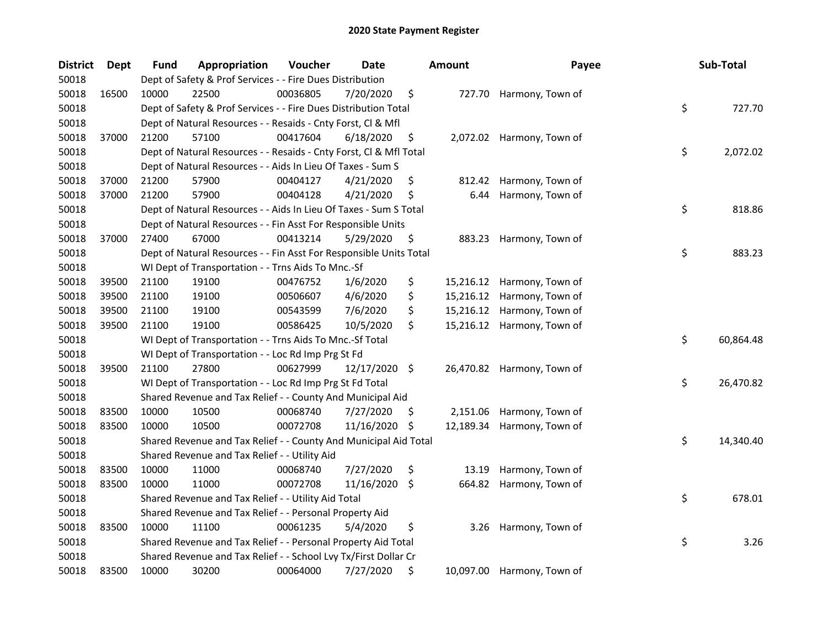| <b>District</b> | Dept  | Fund  | Appropriation                                                      | Voucher  | Date          |     | <b>Amount</b> | Payee                      | Sub-Total       |
|-----------------|-------|-------|--------------------------------------------------------------------|----------|---------------|-----|---------------|----------------------------|-----------------|
| 50018           |       |       | Dept of Safety & Prof Services - - Fire Dues Distribution          |          |               |     |               |                            |                 |
| 50018           | 16500 | 10000 | 22500                                                              | 00036805 | 7/20/2020     | \$  |               | 727.70 Harmony, Town of    |                 |
| 50018           |       |       | Dept of Safety & Prof Services - - Fire Dues Distribution Total    |          |               |     |               |                            | \$<br>727.70    |
| 50018           |       |       | Dept of Natural Resources - - Resaids - Cnty Forst, Cl & Mfl       |          |               |     |               |                            |                 |
| 50018           | 37000 | 21200 | 57100                                                              | 00417604 | 6/18/2020     | \$  |               | 2,072.02 Harmony, Town of  |                 |
| 50018           |       |       | Dept of Natural Resources - - Resaids - Cnty Forst, Cl & Mfl Total |          |               |     |               |                            | \$<br>2,072.02  |
| 50018           |       |       | Dept of Natural Resources - - Aids In Lieu Of Taxes - Sum S        |          |               |     |               |                            |                 |
| 50018           | 37000 | 21200 | 57900                                                              | 00404127 | 4/21/2020     | \$  |               | 812.42 Harmony, Town of    |                 |
| 50018           | 37000 | 21200 | 57900                                                              | 00404128 | 4/21/2020     | \$  | 6.44          | Harmony, Town of           |                 |
| 50018           |       |       | Dept of Natural Resources - - Aids In Lieu Of Taxes - Sum S Total  |          |               |     |               |                            | \$<br>818.86    |
| 50018           |       |       | Dept of Natural Resources - - Fin Asst For Responsible Units       |          |               |     |               |                            |                 |
| 50018           | 37000 | 27400 | 67000                                                              | 00413214 | 5/29/2020     | \$  |               | 883.23 Harmony, Town of    |                 |
| 50018           |       |       | Dept of Natural Resources - - Fin Asst For Responsible Units Total |          |               |     |               |                            | \$<br>883.23    |
| 50018           |       |       | WI Dept of Transportation - - Trns Aids To Mnc.-Sf                 |          |               |     |               |                            |                 |
| 50018           | 39500 | 21100 | 19100                                                              | 00476752 | 1/6/2020      | \$  |               | 15,216.12 Harmony, Town of |                 |
| 50018           | 39500 | 21100 | 19100                                                              | 00506607 | 4/6/2020      | \$  |               | 15,216.12 Harmony, Town of |                 |
| 50018           | 39500 | 21100 | 19100                                                              | 00543599 | 7/6/2020      | \$  |               | 15,216.12 Harmony, Town of |                 |
| 50018           | 39500 | 21100 | 19100                                                              | 00586425 | 10/5/2020     | \$  |               | 15,216.12 Harmony, Town of |                 |
| 50018           |       |       | WI Dept of Transportation - - Trns Aids To Mnc.-Sf Total           |          |               |     |               |                            | \$<br>60,864.48 |
| 50018           |       |       | WI Dept of Transportation - - Loc Rd Imp Prg St Fd                 |          |               |     |               |                            |                 |
| 50018           | 39500 | 21100 | 27800                                                              | 00627999 | 12/17/2020 \$ |     |               | 26,470.82 Harmony, Town of |                 |
| 50018           |       |       | WI Dept of Transportation - - Loc Rd Imp Prg St Fd Total           |          |               |     |               |                            | \$<br>26,470.82 |
| 50018           |       |       | Shared Revenue and Tax Relief - - County And Municipal Aid         |          |               |     |               |                            |                 |
| 50018           | 83500 | 10000 | 10500                                                              | 00068740 | 7/27/2020     | \$. | 2,151.06      | Harmony, Town of           |                 |
| 50018           | 83500 | 10000 | 10500                                                              | 00072708 | 11/16/2020    | \$  | 12,189.34     | Harmony, Town of           |                 |
| 50018           |       |       | Shared Revenue and Tax Relief - - County And Municipal Aid Total   |          |               |     |               |                            | \$<br>14,340.40 |
| 50018           |       |       | Shared Revenue and Tax Relief - - Utility Aid                      |          |               |     |               |                            |                 |
| 50018           | 83500 | 10000 | 11000                                                              | 00068740 | 7/27/2020     | \$  | 13.19         | Harmony, Town of           |                 |
| 50018           | 83500 | 10000 | 11000                                                              | 00072708 | 11/16/2020    | \$. | 664.82        | Harmony, Town of           |                 |
| 50018           |       |       | Shared Revenue and Tax Relief - - Utility Aid Total                |          |               |     |               |                            | \$<br>678.01    |
| 50018           |       |       | Shared Revenue and Tax Relief - - Personal Property Aid            |          |               |     |               |                            |                 |
| 50018           | 83500 | 10000 | 11100                                                              | 00061235 | 5/4/2020      | \$  | 3.26          | Harmony, Town of           |                 |
| 50018           |       |       | Shared Revenue and Tax Relief - - Personal Property Aid Total      |          |               |     |               |                            | \$<br>3.26      |
| 50018           |       |       | Shared Revenue and Tax Relief - - School Lvy Tx/First Dollar Cr    |          |               |     |               |                            |                 |
| 50018           | 83500 | 10000 | 30200                                                              | 00064000 | 7/27/2020     | \$  |               | 10,097.00 Harmony, Town of |                 |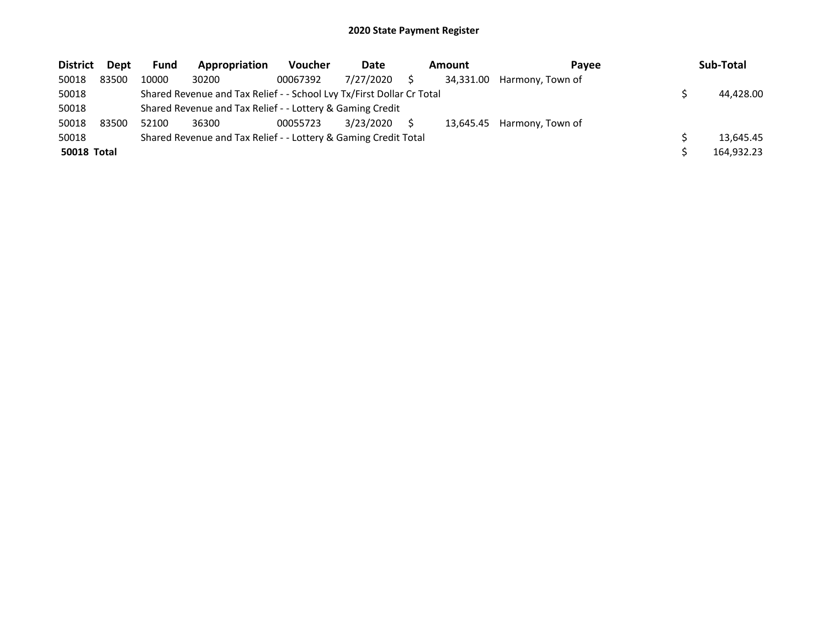| <b>District</b>    | Dept  | <b>Fund</b> | Appropriation                                                         | <b>Voucher</b> | Date      | Amount    | Pavee            | Sub-Total  |
|--------------------|-------|-------------|-----------------------------------------------------------------------|----------------|-----------|-----------|------------------|------------|
| 50018              | 83500 | 10000       | 30200                                                                 | 00067392       | 7/27/2020 | 34,331.00 | Harmony, Town of |            |
| 50018              |       |             | Shared Revenue and Tax Relief - - School Lvy Tx/First Dollar Cr Total |                |           |           |                  | 44,428.00  |
| 50018              |       |             | Shared Revenue and Tax Relief - - Lottery & Gaming Credit             |                |           |           |                  |            |
| 50018              | 83500 | 52100       | 36300                                                                 | 00055723       | 3/23/2020 | 13.645.45 | Harmony, Town of |            |
| 50018              |       |             | Shared Revenue and Tax Relief - - Lottery & Gaming Credit Total       |                |           |           |                  | 13.645.45  |
| <b>50018 Total</b> |       |             |                                                                       |                |           |           |                  | 164,932.23 |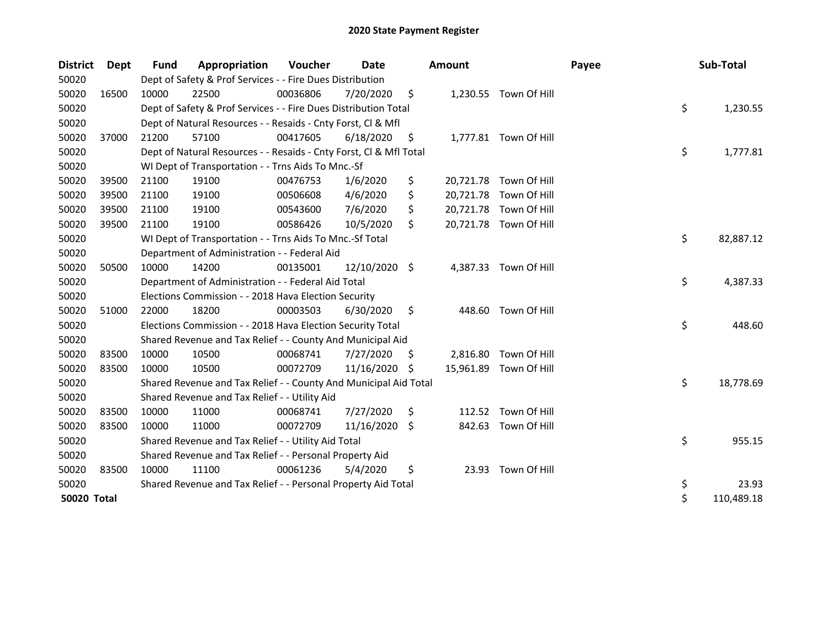| <b>District</b> | <b>Dept</b> | Fund  | Appropriation                                                      | Voucher  | Date          |     | Amount   |                        | Payee | Sub-Total        |
|-----------------|-------------|-------|--------------------------------------------------------------------|----------|---------------|-----|----------|------------------------|-------|------------------|
| 50020           |             |       | Dept of Safety & Prof Services - - Fire Dues Distribution          |          |               |     |          |                        |       |                  |
| 50020           | 16500       | 10000 | 22500                                                              | 00036806 | 7/20/2020     | \$  |          | 1,230.55 Town Of Hill  |       |                  |
| 50020           |             |       | Dept of Safety & Prof Services - - Fire Dues Distribution Total    |          |               |     |          |                        |       | \$<br>1,230.55   |
| 50020           |             |       | Dept of Natural Resources - - Resaids - Cnty Forst, Cl & Mfl       |          |               |     |          |                        |       |                  |
| 50020           | 37000       | 21200 | 57100                                                              | 00417605 | 6/18/2020     | \$  |          | 1,777.81 Town Of Hill  |       |                  |
| 50020           |             |       | Dept of Natural Resources - - Resaids - Cnty Forst, Cl & Mfl Total |          |               |     |          |                        |       | \$<br>1,777.81   |
| 50020           |             |       | WI Dept of Transportation - - Trns Aids To Mnc.-Sf                 |          |               |     |          |                        |       |                  |
| 50020           | 39500       | 21100 | 19100                                                              | 00476753 | 1/6/2020      | \$  |          | 20,721.78 Town Of Hill |       |                  |
| 50020           | 39500       | 21100 | 19100                                                              | 00506608 | 4/6/2020      | \$  |          | 20,721.78 Town Of Hill |       |                  |
| 50020           | 39500       | 21100 | 19100                                                              | 00543600 | 7/6/2020      | \$  |          | 20,721.78 Town Of Hill |       |                  |
| 50020           | 39500       | 21100 | 19100                                                              | 00586426 | 10/5/2020     | \$  |          | 20,721.78 Town Of Hill |       |                  |
| 50020           |             |       | WI Dept of Transportation - - Trns Aids To Mnc.-Sf Total           |          |               |     |          |                        |       | \$<br>82,887.12  |
| 50020           |             |       | Department of Administration - - Federal Aid                       |          |               |     |          |                        |       |                  |
| 50020           | 50500       | 10000 | 14200                                                              | 00135001 | 12/10/2020 \$ |     |          | 4,387.33 Town Of Hill  |       |                  |
| 50020           |             |       | Department of Administration - - Federal Aid Total                 |          |               |     |          |                        |       | \$<br>4,387.33   |
| 50020           |             |       | Elections Commission - - 2018 Hava Election Security               |          |               |     |          |                        |       |                  |
| 50020           | 51000       | 22000 | 18200                                                              | 00003503 | 6/30/2020     | \$  | 448.60   | Town Of Hill           |       |                  |
| 50020           |             |       | Elections Commission - - 2018 Hava Election Security Total         |          |               |     |          |                        |       | \$<br>448.60     |
| 50020           |             |       | Shared Revenue and Tax Relief - - County And Municipal Aid         |          |               |     |          |                        |       |                  |
| 50020           | 83500       | 10000 | 10500                                                              | 00068741 | 7/27/2020     | \$. | 2,816.80 | Town Of Hill           |       |                  |
| 50020           | 83500       | 10000 | 10500                                                              | 00072709 | 11/16/2020    | S   |          | 15,961.89 Town Of Hill |       |                  |
| 50020           |             |       | Shared Revenue and Tax Relief - - County And Municipal Aid Total   |          |               |     |          |                        |       | \$<br>18,778.69  |
| 50020           |             |       | Shared Revenue and Tax Relief - - Utility Aid                      |          |               |     |          |                        |       |                  |
| 50020           | 83500       | 10000 | 11000                                                              | 00068741 | 7/27/2020     | \$  |          | 112.52 Town Of Hill    |       |                  |
| 50020           | 83500       | 10000 | 11000                                                              | 00072709 | 11/16/2020    | Ŝ.  | 842.63   | Town Of Hill           |       |                  |
| 50020           |             |       | Shared Revenue and Tax Relief - - Utility Aid Total                |          |               |     |          |                        |       | \$<br>955.15     |
| 50020           |             |       | Shared Revenue and Tax Relief - - Personal Property Aid            |          |               |     |          |                        |       |                  |
| 50020           | 83500       | 10000 | 11100                                                              | 00061236 | 5/4/2020      | \$  |          | 23.93 Town Of Hill     |       |                  |
| 50020           |             |       | Shared Revenue and Tax Relief - - Personal Property Aid Total      |          |               |     |          |                        |       | \$<br>23.93      |
| 50020 Total     |             |       |                                                                    |          |               |     |          |                        |       | \$<br>110,489.18 |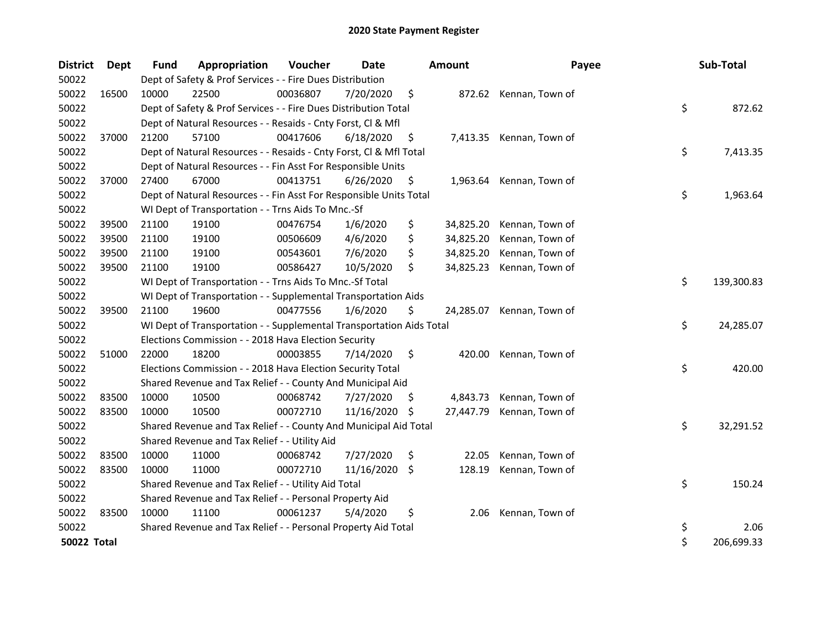| <b>District</b> | <b>Dept</b> | <b>Fund</b> | Appropriation                                                        | Voucher  | <b>Date</b> |     | <b>Amount</b> | Payee                  | Sub-Total        |
|-----------------|-------------|-------------|----------------------------------------------------------------------|----------|-------------|-----|---------------|------------------------|------------------|
| 50022           |             |             | Dept of Safety & Prof Services - - Fire Dues Distribution            |          |             |     |               |                        |                  |
| 50022           | 16500       | 10000       | 22500                                                                | 00036807 | 7/20/2020   | \$  |               | 872.62 Kennan, Town of |                  |
| 50022           |             |             | Dept of Safety & Prof Services - - Fire Dues Distribution Total      |          |             |     |               |                        | \$<br>872.62     |
| 50022           |             |             | Dept of Natural Resources - - Resaids - Cnty Forst, CI & Mfl         |          |             |     |               |                        |                  |
| 50022           | 37000       | 21200       | 57100                                                                | 00417606 | 6/18/2020   | \$  | 7,413.35      | Kennan, Town of        |                  |
| 50022           |             |             | Dept of Natural Resources - - Resaids - Cnty Forst, Cl & Mfl Total   |          |             |     |               |                        | \$<br>7,413.35   |
| 50022           |             |             | Dept of Natural Resources - - Fin Asst For Responsible Units         |          |             |     |               |                        |                  |
| 50022           | 37000       | 27400       | 67000                                                                | 00413751 | 6/26/2020   | \$  | 1,963.64      | Kennan, Town of        |                  |
| 50022           |             |             | Dept of Natural Resources - - Fin Asst For Responsible Units Total   |          |             |     |               |                        | \$<br>1,963.64   |
| 50022           |             |             | WI Dept of Transportation - - Trns Aids To Mnc.-Sf                   |          |             |     |               |                        |                  |
| 50022           | 39500       | 21100       | 19100                                                                | 00476754 | 1/6/2020    | \$  | 34,825.20     | Kennan, Town of        |                  |
| 50022           | 39500       | 21100       | 19100                                                                | 00506609 | 4/6/2020    | \$  | 34,825.20     | Kennan, Town of        |                  |
| 50022           | 39500       | 21100       | 19100                                                                | 00543601 | 7/6/2020    | \$  | 34,825.20     | Kennan, Town of        |                  |
| 50022           | 39500       | 21100       | 19100                                                                | 00586427 | 10/5/2020   | \$  | 34,825.23     | Kennan, Town of        |                  |
| 50022           |             |             | WI Dept of Transportation - - Trns Aids To Mnc.-Sf Total             |          |             |     |               |                        | \$<br>139,300.83 |
| 50022           |             |             | WI Dept of Transportation - - Supplemental Transportation Aids       |          |             |     |               |                        |                  |
| 50022           | 39500       | 21100       | 19600                                                                | 00477556 | 1/6/2020    | \$  | 24,285.07     | Kennan, Town of        |                  |
| 50022           |             |             | WI Dept of Transportation - - Supplemental Transportation Aids Total |          |             |     |               |                        | \$<br>24,285.07  |
| 50022           |             |             | Elections Commission - - 2018 Hava Election Security                 |          |             |     |               |                        |                  |
| 50022           | 51000       | 22000       | 18200                                                                | 00003855 | 7/14/2020   | \$  | 420.00        | Kennan, Town of        |                  |
| 50022           |             |             | Elections Commission - - 2018 Hava Election Security Total           |          |             |     |               |                        | \$<br>420.00     |
| 50022           |             |             | Shared Revenue and Tax Relief - - County And Municipal Aid           |          |             |     |               |                        |                  |
| 50022           | 83500       | 10000       | 10500                                                                | 00068742 | 7/27/2020   | \$. | 4,843.73      | Kennan, Town of        |                  |
| 50022           | 83500       | 10000       | 10500                                                                | 00072710 | 11/16/2020  | -\$ | 27,447.79     | Kennan, Town of        |                  |
| 50022           |             |             | Shared Revenue and Tax Relief - - County And Municipal Aid Total     |          |             |     |               |                        | \$<br>32,291.52  |
| 50022           |             |             | Shared Revenue and Tax Relief - - Utility Aid                        |          |             |     |               |                        |                  |
| 50022           | 83500       | 10000       | 11000                                                                | 00068742 | 7/27/2020   | \$  | 22.05         | Kennan, Town of        |                  |
| 50022           | 83500       | 10000       | 11000                                                                | 00072710 | 11/16/2020  | -\$ | 128.19        | Kennan, Town of        |                  |
| 50022           |             |             | Shared Revenue and Tax Relief - - Utility Aid Total                  |          |             |     |               |                        | \$<br>150.24     |
| 50022           |             |             | Shared Revenue and Tax Relief - - Personal Property Aid              |          |             |     |               |                        |                  |
| 50022           | 83500       | 10000       | 11100                                                                | 00061237 | 5/4/2020    | \$  | 2.06          | Kennan, Town of        |                  |
| 50022           |             |             | Shared Revenue and Tax Relief - - Personal Property Aid Total        |          |             |     |               |                        | \$<br>2.06       |
| 50022 Total     |             |             |                                                                      |          |             |     |               |                        | \$<br>206,699.33 |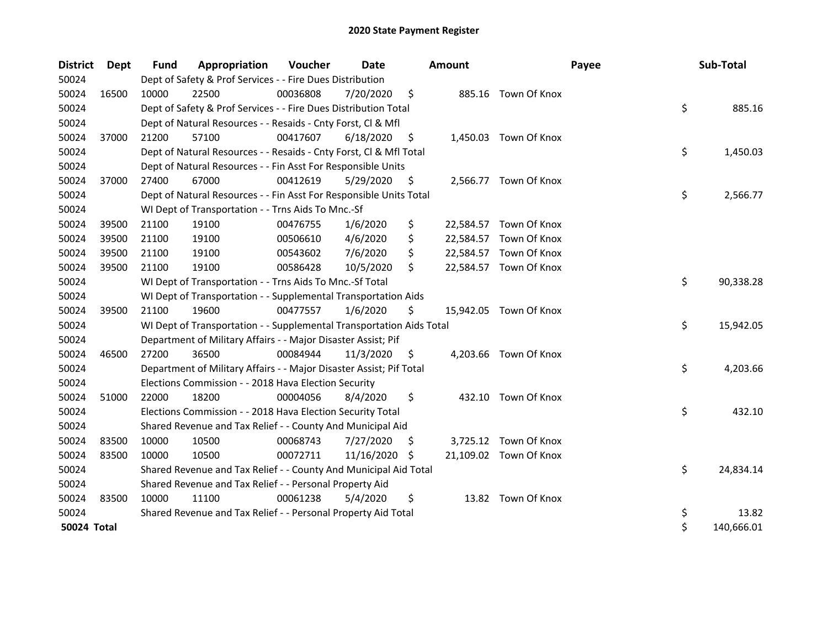| <b>District</b> | <b>Dept</b> | <b>Fund</b> | Appropriation                                                        | Voucher  | Date       |     | <b>Amount</b> |                        | Payee | Sub-Total        |
|-----------------|-------------|-------------|----------------------------------------------------------------------|----------|------------|-----|---------------|------------------------|-------|------------------|
| 50024           |             |             | Dept of Safety & Prof Services - - Fire Dues Distribution            |          |            |     |               |                        |       |                  |
| 50024           | 16500       | 10000       | 22500                                                                | 00036808 | 7/20/2020  | \$  |               | 885.16 Town Of Knox    |       |                  |
| 50024           |             |             | Dept of Safety & Prof Services - - Fire Dues Distribution Total      |          |            |     |               |                        |       | \$<br>885.16     |
| 50024           |             |             | Dept of Natural Resources - - Resaids - Cnty Forst, Cl & Mfl         |          |            |     |               |                        |       |                  |
| 50024           | 37000       | 21200       | 57100                                                                | 00417607 | 6/18/2020  | \$, |               | 1,450.03 Town Of Knox  |       |                  |
| 50024           |             |             | Dept of Natural Resources - - Resaids - Cnty Forst, Cl & Mfl Total   |          |            |     |               |                        |       | \$<br>1,450.03   |
| 50024           |             |             | Dept of Natural Resources - - Fin Asst For Responsible Units         |          |            |     |               |                        |       |                  |
| 50024           | 37000       | 27400       | 67000                                                                | 00412619 | 5/29/2020  | S   |               | 2,566.77 Town Of Knox  |       |                  |
| 50024           |             |             | Dept of Natural Resources - - Fin Asst For Responsible Units Total   |          |            |     |               |                        |       | \$<br>2,566.77   |
| 50024           |             |             | WI Dept of Transportation - - Trns Aids To Mnc.-Sf                   |          |            |     |               |                        |       |                  |
| 50024           | 39500       | 21100       | 19100                                                                | 00476755 | 1/6/2020   | \$  | 22,584.57     | Town Of Knox           |       |                  |
| 50024           | 39500       | 21100       | 19100                                                                | 00506610 | 4/6/2020   | \$  | 22,584.57     | Town Of Knox           |       |                  |
| 50024           | 39500       | 21100       | 19100                                                                | 00543602 | 7/6/2020   | \$  |               | 22,584.57 Town Of Knox |       |                  |
| 50024           | 39500       | 21100       | 19100                                                                | 00586428 | 10/5/2020  | \$  |               | 22,584.57 Town Of Knox |       |                  |
| 50024           |             |             | WI Dept of Transportation - - Trns Aids To Mnc.-Sf Total             |          |            |     |               |                        |       | \$<br>90,338.28  |
| 50024           |             |             | WI Dept of Transportation - - Supplemental Transportation Aids       |          |            |     |               |                        |       |                  |
| 50024           | 39500       | 21100       | 19600                                                                | 00477557 | 1/6/2020   | \$  |               | 15,942.05 Town Of Knox |       |                  |
| 50024           |             |             | WI Dept of Transportation - - Supplemental Transportation Aids Total |          |            |     |               |                        |       | \$<br>15,942.05  |
| 50024           |             |             | Department of Military Affairs - - Major Disaster Assist; Pif        |          |            |     |               |                        |       |                  |
| 50024           | 46500       | 27200       | 36500                                                                | 00084944 | 11/3/2020  | \$  |               | 4,203.66 Town Of Knox  |       |                  |
| 50024           |             |             | Department of Military Affairs - - Major Disaster Assist; Pif Total  |          |            |     |               |                        |       | \$<br>4,203.66   |
| 50024           |             |             | Elections Commission - - 2018 Hava Election Security                 |          |            |     |               |                        |       |                  |
| 50024           | 51000       | 22000       | 18200                                                                | 00004056 | 8/4/2020   | \$  |               | 432.10 Town Of Knox    |       |                  |
| 50024           |             |             | Elections Commission - - 2018 Hava Election Security Total           |          |            |     |               |                        |       | \$<br>432.10     |
| 50024           |             |             | Shared Revenue and Tax Relief - - County And Municipal Aid           |          |            |     |               |                        |       |                  |
| 50024           | 83500       | 10000       | 10500                                                                | 00068743 | 7/27/2020  | \$. |               | 3,725.12 Town Of Knox  |       |                  |
| 50024           | 83500       | 10000       | 10500                                                                | 00072711 | 11/16/2020 | -S  |               | 21,109.02 Town Of Knox |       |                  |
| 50024           |             |             | Shared Revenue and Tax Relief - - County And Municipal Aid Total     |          |            |     |               |                        |       | \$<br>24,834.14  |
| 50024           |             |             | Shared Revenue and Tax Relief - - Personal Property Aid              |          |            |     |               |                        |       |                  |
| 50024           | 83500       | 10000       | 11100                                                                | 00061238 | 5/4/2020   | \$  |               | 13.82 Town Of Knox     |       |                  |
| 50024           |             |             | Shared Revenue and Tax Relief - - Personal Property Aid Total        |          |            |     |               |                        |       | \$<br>13.82      |
| 50024 Total     |             |             |                                                                      |          |            |     |               |                        |       | \$<br>140,666.01 |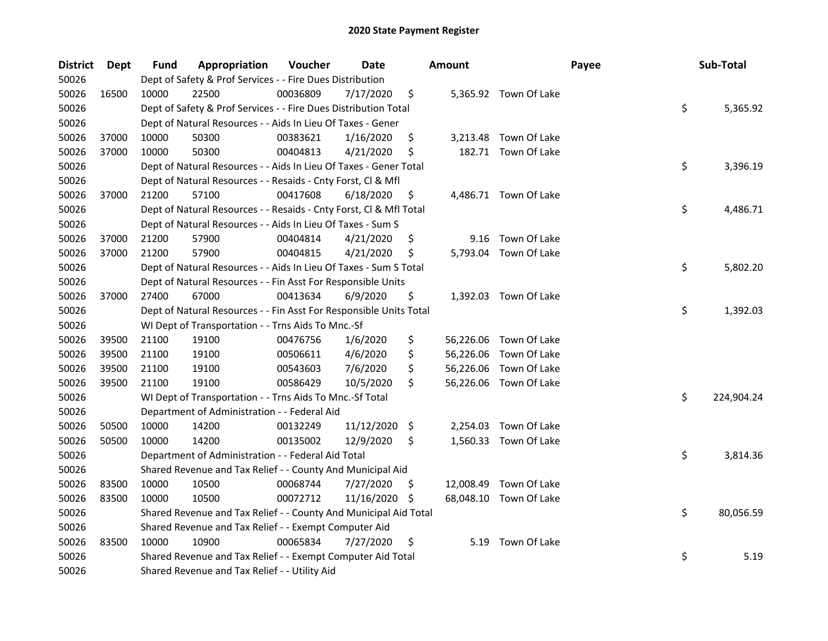| <b>District</b> | <b>Dept</b> | Fund  | Appropriation                                                      | Voucher  | <b>Date</b> |     | <b>Amount</b> |                        | Payee | Sub-Total        |
|-----------------|-------------|-------|--------------------------------------------------------------------|----------|-------------|-----|---------------|------------------------|-------|------------------|
| 50026           |             |       | Dept of Safety & Prof Services - - Fire Dues Distribution          |          |             |     |               |                        |       |                  |
| 50026           | 16500       | 10000 | 22500                                                              | 00036809 | 7/17/2020   | \$  |               | 5,365.92 Town Of Lake  |       |                  |
| 50026           |             |       | Dept of Safety & Prof Services - - Fire Dues Distribution Total    |          |             |     |               |                        |       | \$<br>5,365.92   |
| 50026           |             |       | Dept of Natural Resources - - Aids In Lieu Of Taxes - Gener        |          |             |     |               |                        |       |                  |
| 50026           | 37000       | 10000 | 50300                                                              | 00383621 | 1/16/2020   | \$  |               | 3,213.48 Town Of Lake  |       |                  |
| 50026           | 37000       | 10000 | 50300                                                              | 00404813 | 4/21/2020   | \$  |               | 182.71 Town Of Lake    |       |                  |
| 50026           |             |       | Dept of Natural Resources - - Aids In Lieu Of Taxes - Gener Total  |          |             |     |               |                        |       | \$<br>3,396.19   |
| 50026           |             |       | Dept of Natural Resources - - Resaids - Cnty Forst, Cl & Mfl       |          |             |     |               |                        |       |                  |
| 50026           | 37000       | 21200 | 57100                                                              | 00417608 | 6/18/2020   | \$  |               | 4,486.71 Town Of Lake  |       |                  |
| 50026           |             |       | Dept of Natural Resources - - Resaids - Cnty Forst, Cl & Mfl Total |          |             |     |               |                        |       | \$<br>4,486.71   |
| 50026           |             |       | Dept of Natural Resources - - Aids In Lieu Of Taxes - Sum S        |          |             |     |               |                        |       |                  |
| 50026           | 37000       | 21200 | 57900                                                              | 00404814 | 4/21/2020   | \$  | 9.16          | Town Of Lake           |       |                  |
| 50026           | 37000       | 21200 | 57900                                                              | 00404815 | 4/21/2020   | \$  |               | 5,793.04 Town Of Lake  |       |                  |
| 50026           |             |       | Dept of Natural Resources - - Aids In Lieu Of Taxes - Sum S Total  |          |             |     |               |                        |       | \$<br>5,802.20   |
| 50026           |             |       | Dept of Natural Resources - - Fin Asst For Responsible Units       |          |             |     |               |                        |       |                  |
| 50026           | 37000       | 27400 | 67000                                                              | 00413634 | 6/9/2020    | \$  |               | 1,392.03 Town Of Lake  |       |                  |
| 50026           |             |       | Dept of Natural Resources - - Fin Asst For Responsible Units Total |          |             |     |               |                        |       | \$<br>1,392.03   |
| 50026           |             |       | WI Dept of Transportation - - Trns Aids To Mnc.-Sf                 |          |             |     |               |                        |       |                  |
| 50026           | 39500       | 21100 | 19100                                                              | 00476756 | 1/6/2020    | \$  | 56,226.06     | Town Of Lake           |       |                  |
| 50026           | 39500       | 21100 | 19100                                                              | 00506611 | 4/6/2020    | \$  | 56,226.06     | Town Of Lake           |       |                  |
| 50026           | 39500       | 21100 | 19100                                                              | 00543603 | 7/6/2020    | \$  | 56,226.06     | Town Of Lake           |       |                  |
| 50026           | 39500       | 21100 | 19100                                                              | 00586429 | 10/5/2020   | \$  |               | 56,226.06 Town Of Lake |       |                  |
| 50026           |             |       | WI Dept of Transportation - - Trns Aids To Mnc.-Sf Total           |          |             |     |               |                        |       | \$<br>224,904.24 |
| 50026           |             |       | Department of Administration - - Federal Aid                       |          |             |     |               |                        |       |                  |
| 50026           | 50500       | 10000 | 14200                                                              | 00132249 | 11/12/2020  | \$  | 2,254.03      | Town Of Lake           |       |                  |
| 50026           | 50500       | 10000 | 14200                                                              | 00135002 | 12/9/2020   | \$  |               | 1,560.33 Town Of Lake  |       |                  |
| 50026           |             |       | Department of Administration - - Federal Aid Total                 |          |             |     |               |                        |       | \$<br>3,814.36   |
| 50026           |             |       | Shared Revenue and Tax Relief - - County And Municipal Aid         |          |             |     |               |                        |       |                  |
| 50026           | 83500       | 10000 | 10500                                                              | 00068744 | 7/27/2020   | S   |               | 12,008.49 Town Of Lake |       |                  |
| 50026           | 83500       | 10000 | 10500                                                              | 00072712 | 11/16/2020  | \$. |               | 68,048.10 Town Of Lake |       |                  |
| 50026           |             |       | Shared Revenue and Tax Relief - - County And Municipal Aid Total   |          |             |     |               |                        |       | \$<br>80,056.59  |
| 50026           |             |       | Shared Revenue and Tax Relief - - Exempt Computer Aid              |          |             |     |               |                        |       |                  |
| 50026           | 83500       | 10000 | 10900                                                              | 00065834 | 7/27/2020   | \$  |               | 5.19 Town Of Lake      |       |                  |
| 50026           |             |       | Shared Revenue and Tax Relief - - Exempt Computer Aid Total        |          |             |     |               |                        |       | \$<br>5.19       |
| 50026           |             |       | Shared Revenue and Tax Relief - - Utility Aid                      |          |             |     |               |                        |       |                  |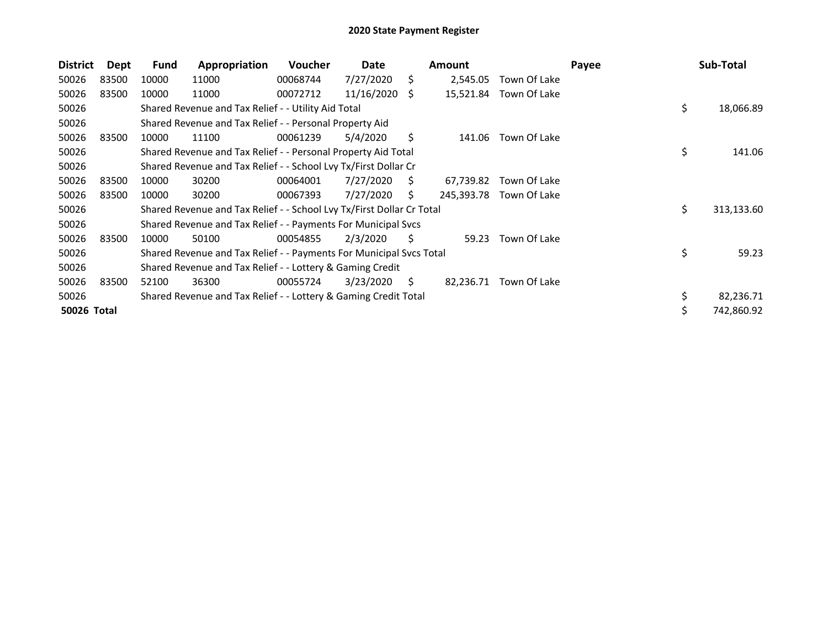| <b>District</b> | Dept  | <b>Fund</b> | Appropriation                                                         | <b>Voucher</b> | Date       |    | <b>Amount</b> |                        | Payee | Sub-Total        |
|-----------------|-------|-------------|-----------------------------------------------------------------------|----------------|------------|----|---------------|------------------------|-------|------------------|
| 50026           | 83500 | 10000       | 11000                                                                 | 00068744       | 7/27/2020  | \$ | 2,545.05      | Town Of Lake           |       |                  |
| 50026           | 83500 | 10000       | 11000                                                                 | 00072712       | 11/16/2020 | S. |               | 15,521.84 Town Of Lake |       |                  |
| 50026           |       |             | Shared Revenue and Tax Relief - - Utility Aid Total                   |                |            |    |               |                        |       | \$<br>18,066.89  |
| 50026           |       |             | Shared Revenue and Tax Relief - - Personal Property Aid               |                |            |    |               |                        |       |                  |
| 50026           | 83500 | 10000       | 11100                                                                 | 00061239       | 5/4/2020   | S  | 141.06        | Town Of Lake           |       |                  |
| 50026           |       |             | Shared Revenue and Tax Relief - - Personal Property Aid Total         |                |            |    |               |                        |       | \$<br>141.06     |
| 50026           |       |             | Shared Revenue and Tax Relief - - School Lvy Tx/First Dollar Cr       |                |            |    |               |                        |       |                  |
| 50026           | 83500 | 10000       | 30200                                                                 | 00064001       | 7/27/2020  | S  | 67,739.82     | Town Of Lake           |       |                  |
| 50026           | 83500 | 10000       | 30200                                                                 | 00067393       | 7/27/2020  | S  | 245,393.78    | Town Of Lake           |       |                  |
| 50026           |       |             | Shared Revenue and Tax Relief - - School Lvy Tx/First Dollar Cr Total |                |            |    |               |                        |       | \$<br>313,133.60 |
| 50026           |       |             | Shared Revenue and Tax Relief - - Payments For Municipal Svcs         |                |            |    |               |                        |       |                  |
| 50026           | 83500 | 10000       | 50100                                                                 | 00054855       | 2/3/2020   | S  | 59.23         | Town Of Lake           |       |                  |
| 50026           |       |             | Shared Revenue and Tax Relief - - Payments For Municipal Svcs Total   |                |            |    |               |                        |       | \$<br>59.23      |
| 50026           |       |             | Shared Revenue and Tax Relief - - Lottery & Gaming Credit             |                |            |    |               |                        |       |                  |
| 50026           | 83500 | 52100       | 36300                                                                 | 00055724       | 3/23/2020  | S. | 82,236.71     | Town Of Lake           |       |                  |
| 50026           |       |             | Shared Revenue and Tax Relief - - Lottery & Gaming Credit Total       |                |            |    |               |                        |       | 82,236.71        |
| 50026 Total     |       |             |                                                                       |                |            |    |               |                        |       | 742,860.92       |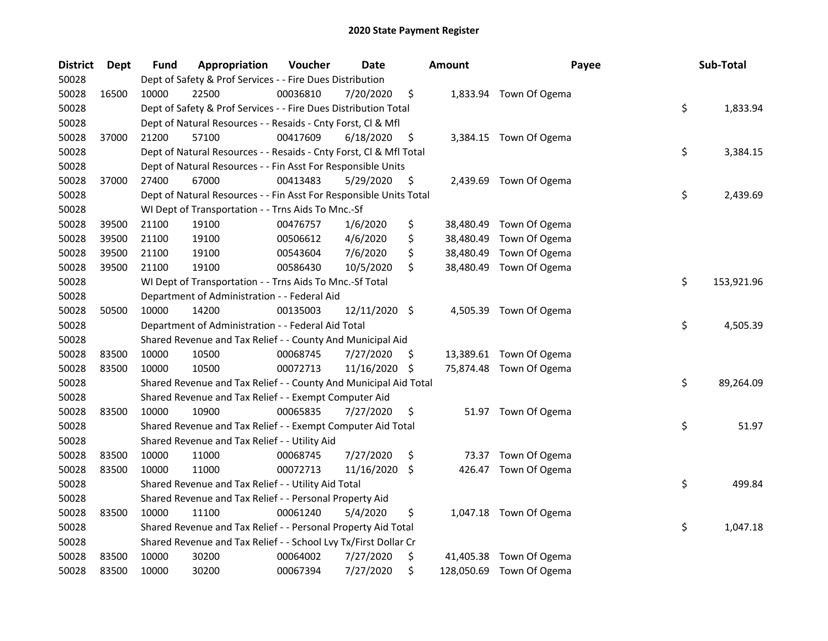| <b>District</b> | <b>Dept</b> | <b>Fund</b> | Appropriation                                                      | Voucher  | <b>Date</b>   | <b>Amount</b>   | Payee                    | Sub-Total        |
|-----------------|-------------|-------------|--------------------------------------------------------------------|----------|---------------|-----------------|--------------------------|------------------|
| 50028           |             |             | Dept of Safety & Prof Services - - Fire Dues Distribution          |          |               |                 |                          |                  |
| 50028           | 16500       | 10000       | 22500                                                              | 00036810 | 7/20/2020     | \$              | 1,833.94 Town Of Ogema   |                  |
| 50028           |             |             | Dept of Safety & Prof Services - - Fire Dues Distribution Total    |          |               |                 |                          | \$<br>1,833.94   |
| 50028           |             |             | Dept of Natural Resources - - Resaids - Cnty Forst, Cl & Mfl       |          |               |                 |                          |                  |
| 50028           | 37000       | 21200       | 57100                                                              | 00417609 | 6/18/2020     | \$              | 3,384.15 Town Of Ogema   |                  |
| 50028           |             |             | Dept of Natural Resources - - Resaids - Cnty Forst, Cl & Mfl Total |          |               |                 |                          | \$<br>3,384.15   |
| 50028           |             |             | Dept of Natural Resources - - Fin Asst For Responsible Units       |          |               |                 |                          |                  |
| 50028           | 37000       | 27400       | 67000                                                              | 00413483 | 5/29/2020     | \$              | 2,439.69 Town Of Ogema   |                  |
| 50028           |             |             | Dept of Natural Resources - - Fin Asst For Responsible Units Total |          |               |                 |                          | \$<br>2,439.69   |
| 50028           |             |             | WI Dept of Transportation - - Trns Aids To Mnc.-Sf                 |          |               |                 |                          |                  |
| 50028           | 39500       | 21100       | 19100                                                              | 00476757 | 1/6/2020      | \$              | 38,480.49 Town Of Ogema  |                  |
| 50028           | 39500       | 21100       | 19100                                                              | 00506612 | 4/6/2020      | \$<br>38,480.49 | Town Of Ogema            |                  |
| 50028           | 39500       | 21100       | 19100                                                              | 00543604 | 7/6/2020      | \$<br>38,480.49 | Town Of Ogema            |                  |
| 50028           | 39500       | 21100       | 19100                                                              | 00586430 | 10/5/2020     | \$<br>38,480.49 | Town Of Ogema            |                  |
| 50028           |             |             | WI Dept of Transportation - - Trns Aids To Mnc.-Sf Total           |          |               |                 |                          | \$<br>153,921.96 |
| 50028           |             |             | Department of Administration - - Federal Aid                       |          |               |                 |                          |                  |
| 50028           | 50500       | 10000       | 14200                                                              | 00135003 | 12/11/2020 \$ |                 | 4,505.39 Town Of Ogema   |                  |
| 50028           |             |             | Department of Administration - - Federal Aid Total                 |          |               |                 |                          | \$<br>4,505.39   |
| 50028           |             |             | Shared Revenue and Tax Relief - - County And Municipal Aid         |          |               |                 |                          |                  |
| 50028           | 83500       | 10000       | 10500                                                              | 00068745 | 7/27/2020     | \$              | 13,389.61 Town Of Ogema  |                  |
| 50028           | 83500       | 10000       | 10500                                                              | 00072713 | 11/16/2020 \$ |                 | 75,874.48 Town Of Ogema  |                  |
| 50028           |             |             | Shared Revenue and Tax Relief - - County And Municipal Aid Total   |          |               |                 |                          | \$<br>89,264.09  |
| 50028           |             |             | Shared Revenue and Tax Relief - - Exempt Computer Aid              |          |               |                 |                          |                  |
| 50028           | 83500       | 10000       | 10900                                                              | 00065835 | 7/27/2020     | \$              | 51.97 Town Of Ogema      |                  |
| 50028           |             |             | Shared Revenue and Tax Relief - - Exempt Computer Aid Total        |          |               |                 |                          | \$<br>51.97      |
| 50028           |             |             | Shared Revenue and Tax Relief - - Utility Aid                      |          |               |                 |                          |                  |
| 50028           | 83500       | 10000       | 11000                                                              | 00068745 | 7/27/2020     | \$              | 73.37 Town Of Ogema      |                  |
| 50028           | 83500       | 10000       | 11000                                                              | 00072713 | 11/16/2020    | \$              | 426.47 Town Of Ogema     |                  |
| 50028           |             |             | Shared Revenue and Tax Relief - - Utility Aid Total                |          |               |                 |                          | \$<br>499.84     |
| 50028           |             |             | Shared Revenue and Tax Relief - - Personal Property Aid            |          |               |                 |                          |                  |
| 50028           | 83500       | 10000       | 11100                                                              | 00061240 | 5/4/2020      | \$              | 1,047.18 Town Of Ogema   |                  |
| 50028           |             |             | Shared Revenue and Tax Relief - - Personal Property Aid Total      |          |               |                 |                          | \$<br>1,047.18   |
| 50028           |             |             | Shared Revenue and Tax Relief - - School Lvy Tx/First Dollar Cr    |          |               |                 |                          |                  |
| 50028           | 83500       | 10000       | 30200                                                              | 00064002 | 7/27/2020     | \$              | 41,405.38 Town Of Ogema  |                  |
| 50028           | 83500       | 10000       | 30200                                                              | 00067394 | 7/27/2020     | \$              | 128,050.69 Town Of Ogema |                  |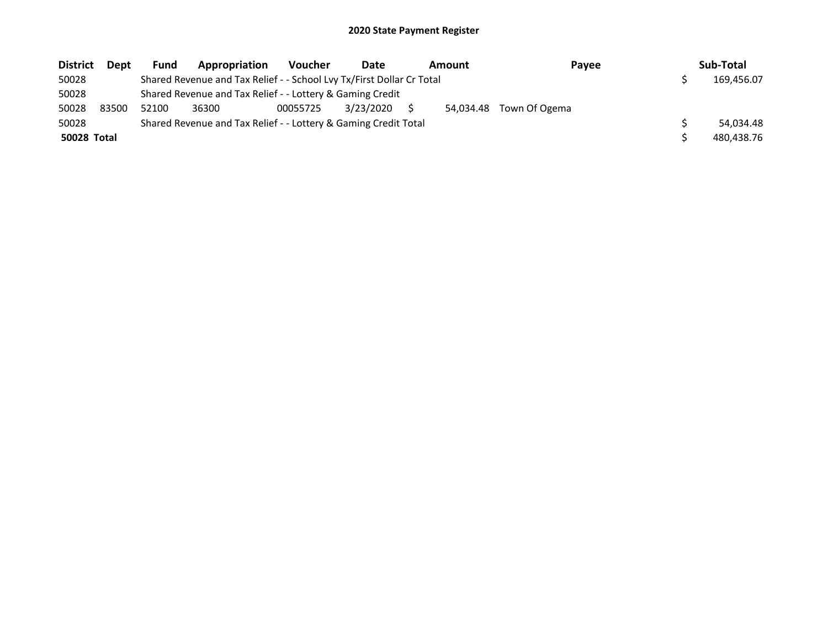| <b>District</b>    | Dept  | Fund  | Appropriation                                                         | <b>Voucher</b> | Date      | <b>Amount</b> | Payee         | Sub-Total  |
|--------------------|-------|-------|-----------------------------------------------------------------------|----------------|-----------|---------------|---------------|------------|
| 50028              |       |       | Shared Revenue and Tax Relief - - School Lvy Tx/First Dollar Cr Total |                |           |               |               | 169,456.07 |
| 50028              |       |       | Shared Revenue and Tax Relief - - Lottery & Gaming Credit             |                |           |               |               |            |
| 50028              | 83500 | 52100 | 36300                                                                 | 00055725       | 3/23/2020 | 54.034.48     | Town Of Ogema |            |
| 50028              |       |       | Shared Revenue and Tax Relief - - Lottery & Gaming Credit Total       |                |           |               |               | 54.034.48  |
| <b>50028 Total</b> |       |       |                                                                       |                |           |               |               | 480.438.76 |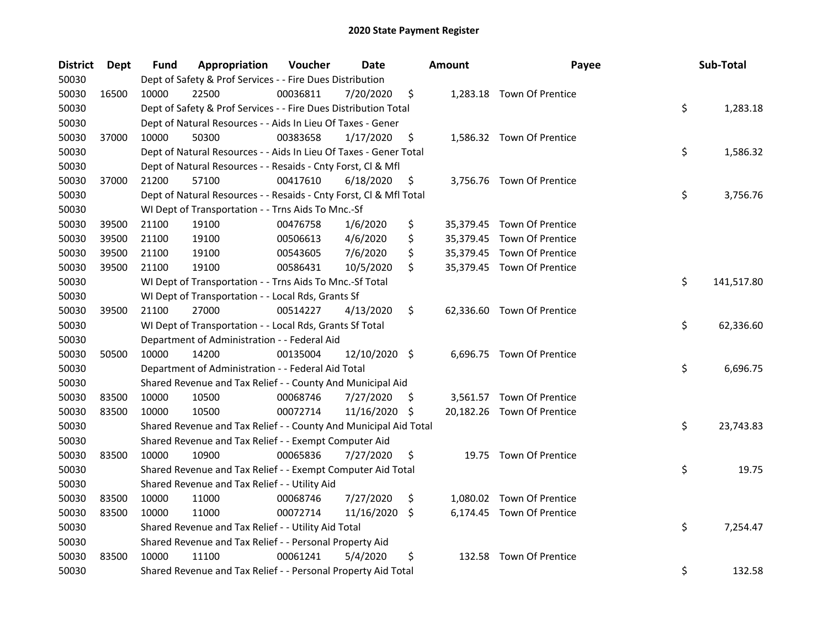| District | <b>Dept</b> | Fund  | Appropriation                                                      | Voucher  | Date          |     | <b>Amount</b> | Payee                      | Sub-Total        |
|----------|-------------|-------|--------------------------------------------------------------------|----------|---------------|-----|---------------|----------------------------|------------------|
| 50030    |             |       | Dept of Safety & Prof Services - - Fire Dues Distribution          |          |               |     |               |                            |                  |
| 50030    | 16500       | 10000 | 22500                                                              | 00036811 | 7/20/2020     | \$  |               | 1,283.18 Town Of Prentice  |                  |
| 50030    |             |       | Dept of Safety & Prof Services - - Fire Dues Distribution Total    |          |               |     |               |                            | \$<br>1,283.18   |
| 50030    |             |       | Dept of Natural Resources - - Aids In Lieu Of Taxes - Gener        |          |               |     |               |                            |                  |
| 50030    | 37000       | 10000 | 50300                                                              | 00383658 | 1/17/2020     | \$  |               | 1,586.32 Town Of Prentice  |                  |
| 50030    |             |       | Dept of Natural Resources - - Aids In Lieu Of Taxes - Gener Total  |          |               |     |               |                            | \$<br>1,586.32   |
| 50030    |             |       | Dept of Natural Resources - - Resaids - Cnty Forst, Cl & Mfl       |          |               |     |               |                            |                  |
| 50030    | 37000       | 21200 | 57100                                                              | 00417610 | 6/18/2020     | \$  |               | 3,756.76 Town Of Prentice  |                  |
| 50030    |             |       | Dept of Natural Resources - - Resaids - Cnty Forst, Cl & Mfl Total |          |               |     |               |                            | \$<br>3,756.76   |
| 50030    |             |       | WI Dept of Transportation - - Trns Aids To Mnc.-Sf                 |          |               |     |               |                            |                  |
| 50030    | 39500       | 21100 | 19100                                                              | 00476758 | 1/6/2020      | \$  |               | 35,379.45 Town Of Prentice |                  |
| 50030    | 39500       | 21100 | 19100                                                              | 00506613 | 4/6/2020      | \$  |               | 35,379.45 Town Of Prentice |                  |
| 50030    | 39500       | 21100 | 19100                                                              | 00543605 | 7/6/2020      | \$  |               | 35,379.45 Town Of Prentice |                  |
| 50030    | 39500       | 21100 | 19100                                                              | 00586431 | 10/5/2020     | \$  |               | 35,379.45 Town Of Prentice |                  |
| 50030    |             |       | WI Dept of Transportation - - Trns Aids To Mnc.-Sf Total           |          |               |     |               |                            | \$<br>141,517.80 |
| 50030    |             |       | WI Dept of Transportation - - Local Rds, Grants Sf                 |          |               |     |               |                            |                  |
| 50030    | 39500       | 21100 | 27000                                                              | 00514227 | 4/13/2020     | \$  |               | 62,336.60 Town Of Prentice |                  |
| 50030    |             |       | WI Dept of Transportation - - Local Rds, Grants Sf Total           |          |               |     |               |                            | \$<br>62,336.60  |
| 50030    |             |       | Department of Administration - - Federal Aid                       |          |               |     |               |                            |                  |
| 50030    | 50500       | 10000 | 14200                                                              | 00135004 | 12/10/2020 \$ |     |               | 6,696.75 Town Of Prentice  |                  |
| 50030    |             |       | Department of Administration - - Federal Aid Total                 |          |               |     |               |                            | \$<br>6,696.75   |
| 50030    |             |       | Shared Revenue and Tax Relief - - County And Municipal Aid         |          |               |     |               |                            |                  |
| 50030    | 83500       | 10000 | 10500                                                              | 00068746 | 7/27/2020     | \$. |               | 3,561.57 Town Of Prentice  |                  |
| 50030    | 83500       | 10000 | 10500                                                              | 00072714 | 11/16/2020 \$ |     |               | 20,182.26 Town Of Prentice |                  |
| 50030    |             |       | Shared Revenue and Tax Relief - - County And Municipal Aid Total   |          |               |     |               |                            | \$<br>23,743.83  |
| 50030    |             |       | Shared Revenue and Tax Relief - - Exempt Computer Aid              |          |               |     |               |                            |                  |
| 50030    | 83500       | 10000 | 10900                                                              | 00065836 | 7/27/2020     | \$  |               | 19.75 Town Of Prentice     |                  |
| 50030    |             |       | Shared Revenue and Tax Relief - - Exempt Computer Aid Total        |          |               |     |               |                            | \$<br>19.75      |
| 50030    |             |       | Shared Revenue and Tax Relief - - Utility Aid                      |          |               |     |               |                            |                  |
| 50030    | 83500       | 10000 | 11000                                                              | 00068746 | 7/27/2020     | \$  |               | 1,080.02 Town Of Prentice  |                  |
| 50030    | 83500       | 10000 | 11000                                                              | 00072714 | 11/16/2020    | \$  |               | 6,174.45 Town Of Prentice  |                  |
| 50030    |             |       | Shared Revenue and Tax Relief - - Utility Aid Total                |          |               |     |               |                            | \$<br>7,254.47   |
| 50030    |             |       | Shared Revenue and Tax Relief - - Personal Property Aid            |          |               |     |               |                            |                  |
| 50030    | 83500       | 10000 | 11100                                                              | 00061241 | 5/4/2020      | \$  |               | 132.58 Town Of Prentice    |                  |
| 50030    |             |       | Shared Revenue and Tax Relief - - Personal Property Aid Total      |          |               |     |               |                            | \$<br>132.58     |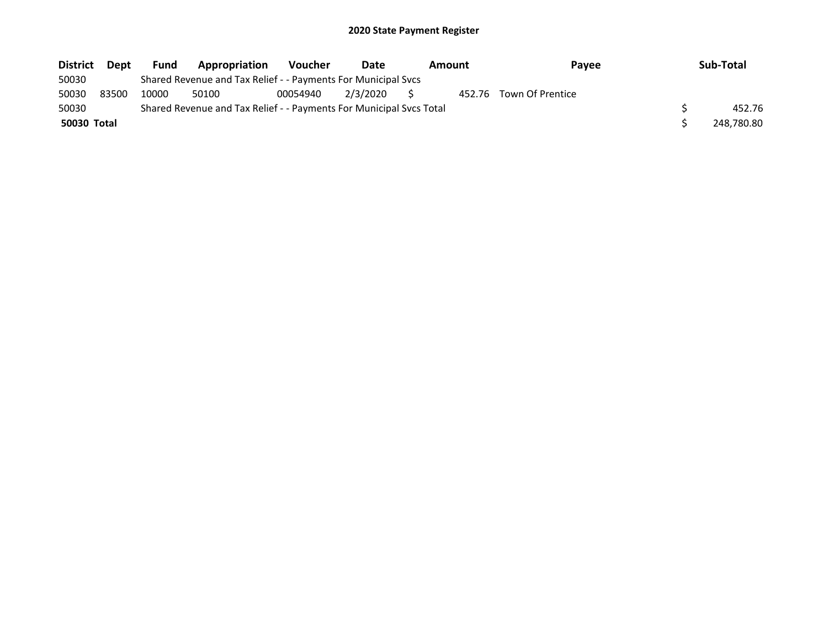| <b>District</b> | Dept  | <b>Fund</b> | <b>Appropriation</b>                                                | <b>Voucher</b> | Date        | Amount | Pavee                   | Sub-Total  |
|-----------------|-------|-------------|---------------------------------------------------------------------|----------------|-------------|--------|-------------------------|------------|
| 50030           |       |             | Shared Revenue and Tax Relief - - Payments For Municipal Svcs       |                |             |        |                         |            |
| 50030           | 83500 | 10000       | 50100                                                               | 00054940       | 2/3/2020 \$ |        | 452.76 Town Of Prentice |            |
| 50030           |       |             | Shared Revenue and Tax Relief - - Payments For Municipal Svcs Total |                |             |        |                         | 452.76     |
| 50030 Total     |       |             |                                                                     |                |             |        |                         | 248.780.80 |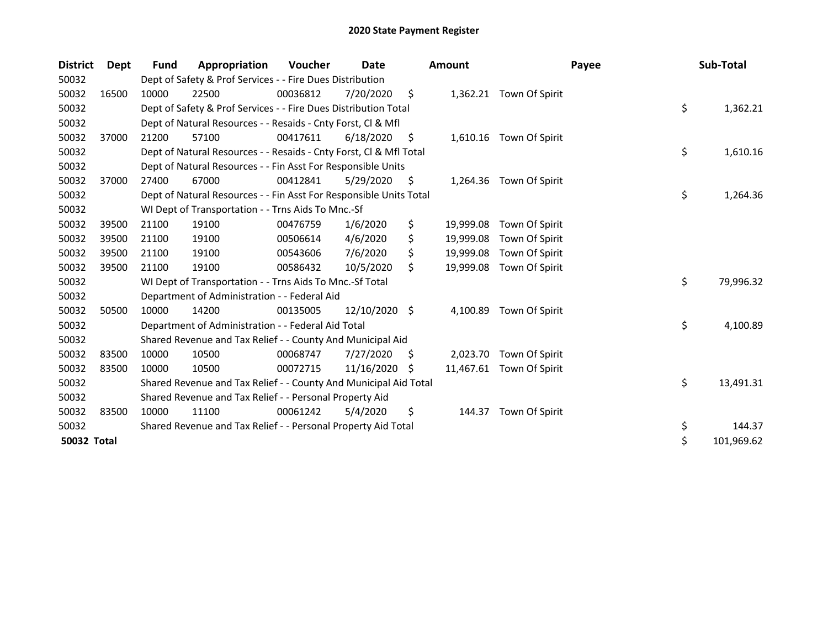| <b>District</b> | Dept  | <b>Fund</b> | Appropriation                                                      | Voucher  | Date          |     | <b>Amount</b> | Payee                    | Sub-Total        |
|-----------------|-------|-------------|--------------------------------------------------------------------|----------|---------------|-----|---------------|--------------------------|------------------|
| 50032           |       |             | Dept of Safety & Prof Services - - Fire Dues Distribution          |          |               |     |               |                          |                  |
| 50032           | 16500 | 10000       | 22500                                                              | 00036812 | 7/20/2020     | \$  |               | 1,362.21 Town Of Spirit  |                  |
| 50032           |       |             | Dept of Safety & Prof Services - - Fire Dues Distribution Total    |          |               |     |               |                          | \$<br>1,362.21   |
| 50032           |       |             | Dept of Natural Resources - - Resaids - Cnty Forst, Cl & Mfl       |          |               |     |               |                          |                  |
| 50032           | 37000 | 21200       | 57100                                                              | 00417611 | 6/18/2020     | S.  | 1,610.16      | Town Of Spirit           |                  |
| 50032           |       |             | Dept of Natural Resources - - Resaids - Cnty Forst, CI & Mfl Total |          |               |     |               |                          | \$<br>1,610.16   |
| 50032           |       |             | Dept of Natural Resources - - Fin Asst For Responsible Units       |          |               |     |               |                          |                  |
| 50032           | 37000 | 27400       | 67000                                                              | 00412841 | 5/29/2020     | \$, | 1,264.36      | Town Of Spirit           |                  |
| 50032           |       |             | Dept of Natural Resources - - Fin Asst For Responsible Units Total |          |               |     |               |                          | \$<br>1,264.36   |
| 50032           |       |             | WI Dept of Transportation - - Trns Aids To Mnc.-Sf                 |          |               |     |               |                          |                  |
| 50032           | 39500 | 21100       | 19100                                                              | 00476759 | 1/6/2020      | \$  | 19,999.08     | Town Of Spirit           |                  |
| 50032           | 39500 | 21100       | 19100                                                              | 00506614 | 4/6/2020      | \$  | 19,999.08     | Town Of Spirit           |                  |
| 50032           | 39500 | 21100       | 19100                                                              | 00543606 | 7/6/2020      | Ś   | 19,999.08     | Town Of Spirit           |                  |
| 50032           | 39500 | 21100       | 19100                                                              | 00586432 | 10/5/2020     | \$  | 19,999.08     | Town Of Spirit           |                  |
| 50032           |       |             | WI Dept of Transportation - - Trns Aids To Mnc.-Sf Total           |          |               |     |               |                          | \$<br>79,996.32  |
| 50032           |       |             | Department of Administration - - Federal Aid                       |          |               |     |               |                          |                  |
| 50032           | 50500 | 10000       | 14200                                                              | 00135005 | 12/10/2020 \$ |     | 4,100.89      | Town Of Spirit           |                  |
| 50032           |       |             | Department of Administration - - Federal Aid Total                 |          |               |     |               |                          | \$<br>4,100.89   |
| 50032           |       |             | Shared Revenue and Tax Relief - - County And Municipal Aid         |          |               |     |               |                          |                  |
| 50032           | 83500 | 10000       | 10500                                                              | 00068747 | 7/27/2020     | \$  | 2,023.70      | Town Of Spirit           |                  |
| 50032           | 83500 | 10000       | 10500                                                              | 00072715 | 11/16/2020    | S   |               | 11,467.61 Town Of Spirit |                  |
| 50032           |       |             | Shared Revenue and Tax Relief - - County And Municipal Aid Total   |          |               |     |               |                          | \$<br>13,491.31  |
| 50032           |       |             | Shared Revenue and Tax Relief - - Personal Property Aid            |          |               |     |               |                          |                  |
| 50032           | 83500 | 10000       | 11100                                                              | 00061242 | 5/4/2020      | \$  | 144.37        | Town Of Spirit           |                  |
| 50032           |       |             | Shared Revenue and Tax Relief - - Personal Property Aid Total      |          |               |     |               |                          | \$<br>144.37     |
| 50032 Total     |       |             |                                                                    |          |               |     |               |                          | \$<br>101,969.62 |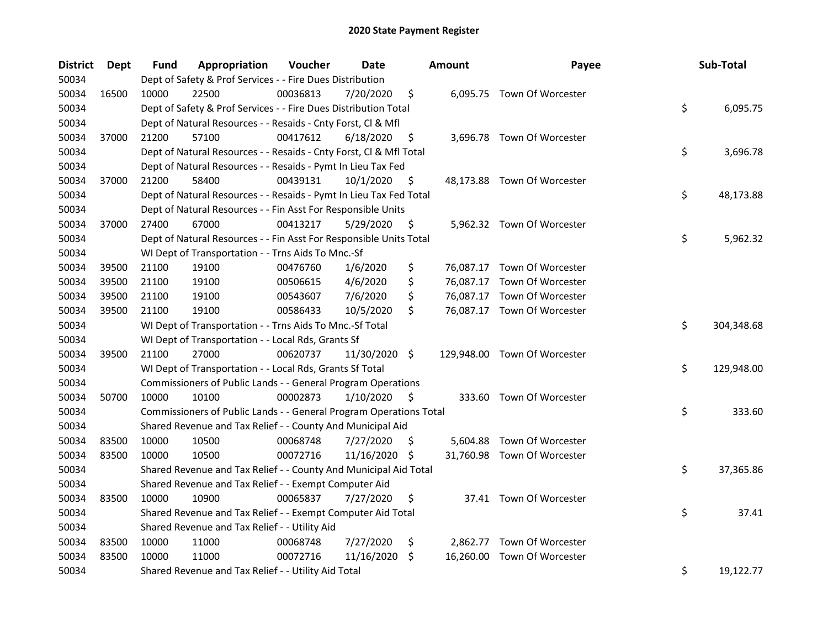| District | Dept  | Fund  | Appropriation                                                      | Voucher  | Date           |                     | <b>Amount</b> | Payee                        | Sub-Total        |
|----------|-------|-------|--------------------------------------------------------------------|----------|----------------|---------------------|---------------|------------------------------|------------------|
| 50034    |       |       | Dept of Safety & Prof Services - - Fire Dues Distribution          |          |                |                     |               |                              |                  |
| 50034    | 16500 | 10000 | 22500                                                              | 00036813 | 7/20/2020      | \$                  |               | 6,095.75 Town Of Worcester   |                  |
| 50034    |       |       | Dept of Safety & Prof Services - - Fire Dues Distribution Total    |          |                |                     |               |                              | \$<br>6,095.75   |
| 50034    |       |       | Dept of Natural Resources - - Resaids - Cnty Forst, Cl & Mfl       |          |                |                     |               |                              |                  |
| 50034    | 37000 | 21200 | 57100                                                              | 00417612 | 6/18/2020      | \$                  |               | 3,696.78 Town Of Worcester   |                  |
| 50034    |       |       | Dept of Natural Resources - - Resaids - Cnty Forst, Cl & Mfl Total |          |                |                     |               |                              | \$<br>3,696.78   |
| 50034    |       |       | Dept of Natural Resources - - Resaids - Pymt In Lieu Tax Fed       |          |                |                     |               |                              |                  |
| 50034    | 37000 | 21200 | 58400                                                              | 00439131 | $10/1/2020$ \$ |                     |               | 48,173.88 Town Of Worcester  |                  |
| 50034    |       |       | Dept of Natural Resources - - Resaids - Pymt In Lieu Tax Fed Total |          |                |                     |               |                              | \$<br>48,173.88  |
| 50034    |       |       | Dept of Natural Resources - - Fin Asst For Responsible Units       |          |                |                     |               |                              |                  |
| 50034    | 37000 | 27400 | 67000                                                              | 00413217 | 5/29/2020      | \$                  |               | 5,962.32 Town Of Worcester   |                  |
| 50034    |       |       | Dept of Natural Resources - - Fin Asst For Responsible Units Total |          |                |                     |               |                              | \$<br>5,962.32   |
| 50034    |       |       | WI Dept of Transportation - - Trns Aids To Mnc.-Sf                 |          |                |                     |               |                              |                  |
| 50034    | 39500 | 21100 | 19100                                                              | 00476760 | 1/6/2020       | \$                  |               | 76,087.17 Town Of Worcester  |                  |
| 50034    | 39500 | 21100 | 19100                                                              | 00506615 | 4/6/2020       | \$                  |               | 76,087.17 Town Of Worcester  |                  |
| 50034    | 39500 | 21100 | 19100                                                              | 00543607 | 7/6/2020       | \$                  |               | 76,087.17 Town Of Worcester  |                  |
| 50034    | 39500 | 21100 | 19100                                                              | 00586433 | 10/5/2020      | Ś.                  |               | 76,087.17 Town Of Worcester  |                  |
| 50034    |       |       | WI Dept of Transportation - - Trns Aids To Mnc.-Sf Total           |          |                |                     |               |                              | \$<br>304,348.68 |
| 50034    |       |       | WI Dept of Transportation - - Local Rds, Grants Sf                 |          |                |                     |               |                              |                  |
| 50034    | 39500 | 21100 | 27000                                                              | 00620737 | 11/30/2020 \$  |                     |               | 129,948.00 Town Of Worcester |                  |
| 50034    |       |       | WI Dept of Transportation - - Local Rds, Grants Sf Total           |          |                |                     |               |                              | \$<br>129,948.00 |
| 50034    |       |       | Commissioners of Public Lands - - General Program Operations       |          |                |                     |               |                              |                  |
| 50034    | 50700 | 10000 | 10100                                                              | 00002873 | 1/10/2020      | $\ddot{\mathsf{s}}$ |               | 333.60 Town Of Worcester     |                  |
| 50034    |       |       | Commissioners of Public Lands - - General Program Operations Total |          |                |                     |               |                              | \$<br>333.60     |
| 50034    |       |       | Shared Revenue and Tax Relief - - County And Municipal Aid         |          |                |                     |               |                              |                  |
| 50034    | 83500 | 10000 | 10500                                                              | 00068748 | 7/27/2020      | $\ddot{\varsigma}$  |               | 5,604.88 Town Of Worcester   |                  |
| 50034    | 83500 | 10000 | 10500                                                              | 00072716 | 11/16/2020 \$  |                     |               | 31,760.98 Town Of Worcester  |                  |
| 50034    |       |       | Shared Revenue and Tax Relief - - County And Municipal Aid Total   |          |                |                     |               |                              | \$<br>37,365.86  |
| 50034    |       |       | Shared Revenue and Tax Relief - - Exempt Computer Aid              |          |                |                     |               |                              |                  |
| 50034    | 83500 | 10000 | 10900                                                              | 00065837 | 7/27/2020      | \$                  |               | 37.41 Town Of Worcester      |                  |
| 50034    |       |       | Shared Revenue and Tax Relief - - Exempt Computer Aid Total        |          |                |                     |               |                              | \$<br>37.41      |
| 50034    |       |       | Shared Revenue and Tax Relief - - Utility Aid                      |          |                |                     |               |                              |                  |
| 50034    | 83500 | 10000 | 11000                                                              | 00068748 | 7/27/2020      | \$                  |               | 2,862.77 Town Of Worcester   |                  |
| 50034    | 83500 | 10000 | 11000                                                              | 00072716 | 11/16/2020     | \$                  |               | 16,260.00 Town Of Worcester  |                  |
| 50034    |       |       | Shared Revenue and Tax Relief - - Utility Aid Total                |          |                |                     |               |                              | \$<br>19,122.77  |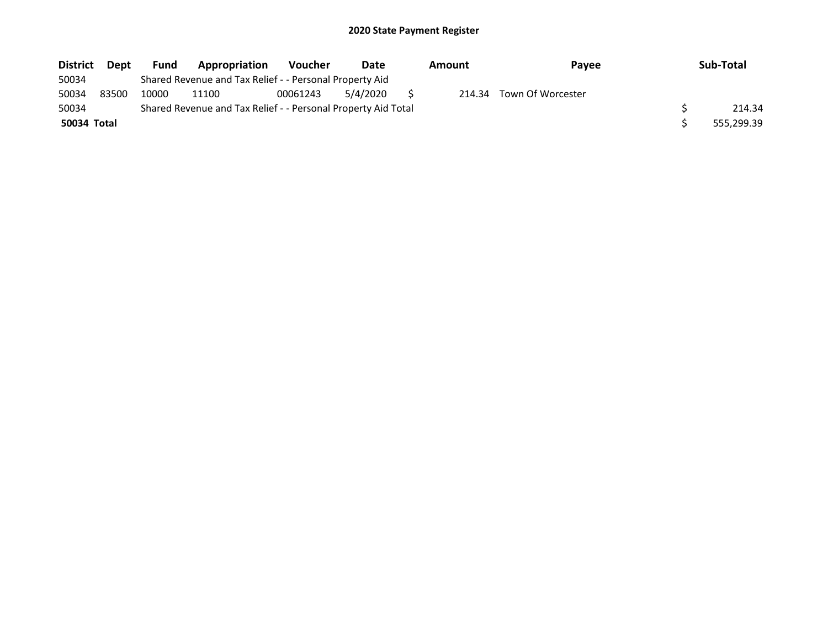| <b>District</b> | <b>Dept</b> | <b>Fund</b> | Appropriation                                                 | <b>Voucher</b> | Date     | Amount<br><b>Pavee</b> |                   | Sub-Total  |
|-----------------|-------------|-------------|---------------------------------------------------------------|----------------|----------|------------------------|-------------------|------------|
| 50034           |             |             | Shared Revenue and Tax Relief - - Personal Property Aid       |                |          |                        |                   |            |
| 50034           | 83500       | 10000       | 11100                                                         | 00061243       | 5/4/2020 | 214.34                 | Town Of Worcester |            |
| 50034           |             |             | Shared Revenue and Tax Relief - - Personal Property Aid Total |                |          |                        |                   | 214.34     |
| 50034 Total     |             |             |                                                               |                |          |                        |                   | 555,299.39 |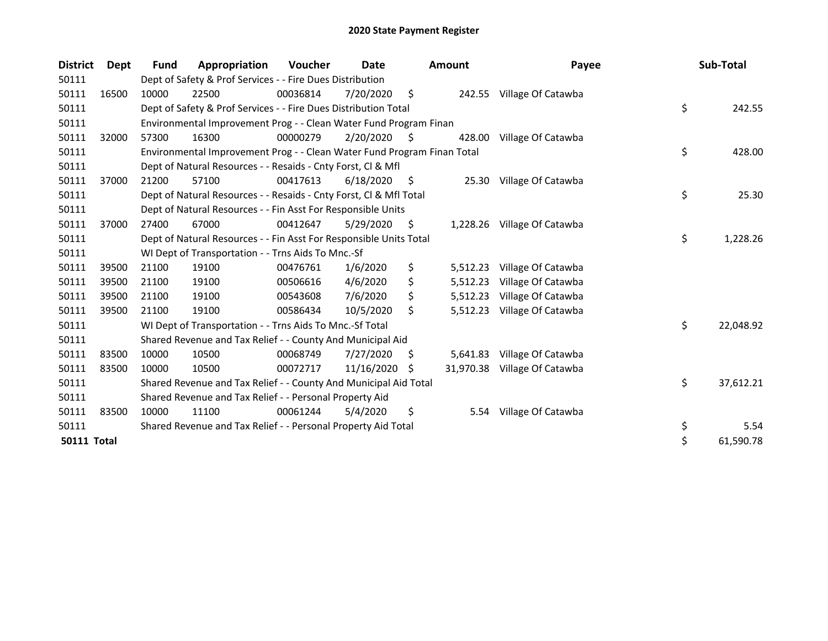| <b>District</b>    | Dept  | <b>Fund</b> | Appropriation                                                           | <b>Voucher</b> | Date       |     | <b>Amount</b> | Payee                        | Sub-Total       |
|--------------------|-------|-------------|-------------------------------------------------------------------------|----------------|------------|-----|---------------|------------------------------|-----------------|
| 50111              |       |             | Dept of Safety & Prof Services - - Fire Dues Distribution               |                |            |     |               |                              |                 |
| 50111              | 16500 | 10000       | 22500                                                                   | 00036814       | 7/20/2020  | \$  |               | 242.55 Village Of Catawba    |                 |
| 50111              |       |             | Dept of Safety & Prof Services - - Fire Dues Distribution Total         |                |            |     |               |                              | \$<br>242.55    |
| 50111              |       |             | Environmental Improvement Prog - - Clean Water Fund Program Finan       |                |            |     |               |                              |                 |
| 50111              | 32000 | 57300       | 16300                                                                   | 00000279       | 2/20/2020  | S   | 428.00        | Village Of Catawba           |                 |
| 50111              |       |             | Environmental Improvement Prog - - Clean Water Fund Program Finan Total |                |            |     |               |                              | \$<br>428.00    |
| 50111              |       |             | Dept of Natural Resources - - Resaids - Cnty Forst, Cl & Mfl            |                |            |     |               |                              |                 |
| 50111              | 37000 | 21200       | 57100                                                                   | 00417613       | 6/18/2020  | \$. | 25.30         | Village Of Catawba           |                 |
| 50111              |       |             | Dept of Natural Resources - - Resaids - Cnty Forst, Cl & Mfl Total      |                |            |     |               |                              | \$<br>25.30     |
| 50111              |       |             | Dept of Natural Resources - - Fin Asst For Responsible Units            |                |            |     |               |                              |                 |
| 50111              | 37000 | 27400       | 67000                                                                   | 00412647       | 5/29/2020  | \$  |               | 1,228.26 Village Of Catawba  |                 |
| 50111              |       |             | Dept of Natural Resources - - Fin Asst For Responsible Units Total      |                |            |     |               |                              | \$<br>1,228.26  |
| 50111              |       |             | WI Dept of Transportation - - Trns Aids To Mnc.-Sf                      |                |            |     |               |                              |                 |
| 50111              | 39500 | 21100       | 19100                                                                   | 00476761       | 1/6/2020   | \$  | 5,512.23      | Village Of Catawba           |                 |
| 50111              | 39500 | 21100       | 19100                                                                   | 00506616       | 4/6/2020   | \$  | 5,512.23      | Village Of Catawba           |                 |
| 50111              | 39500 | 21100       | 19100                                                                   | 00543608       | 7/6/2020   | \$  | 5,512.23      | Village Of Catawba           |                 |
| 50111              | 39500 | 21100       | 19100                                                                   | 00586434       | 10/5/2020  | \$  | 5,512.23      | Village Of Catawba           |                 |
| 50111              |       |             | WI Dept of Transportation - - Trns Aids To Mnc.-Sf Total                |                |            |     |               |                              | \$<br>22,048.92 |
| 50111              |       |             | Shared Revenue and Tax Relief - - County And Municipal Aid              |                |            |     |               |                              |                 |
| 50111              | 83500 | 10000       | 10500                                                                   | 00068749       | 7/27/2020  | \$, | 5,641.83      | Village Of Catawba           |                 |
| 50111              | 83500 | 10000       | 10500                                                                   | 00072717       | 11/16/2020 | S   |               | 31,970.38 Village Of Catawba |                 |
| 50111              |       |             | Shared Revenue and Tax Relief - - County And Municipal Aid Total        |                |            |     |               |                              | \$<br>37,612.21 |
| 50111              |       |             | Shared Revenue and Tax Relief - - Personal Property Aid                 |                |            |     |               |                              |                 |
| 50111              | 83500 | 10000       | 11100                                                                   | 00061244       | 5/4/2020   | \$  | 5.54          | Village Of Catawba           |                 |
| 50111              |       |             | Shared Revenue and Tax Relief - - Personal Property Aid Total           |                |            |     |               |                              | \$<br>5.54      |
| <b>50111 Total</b> |       |             |                                                                         |                |            |     |               |                              | \$<br>61,590.78 |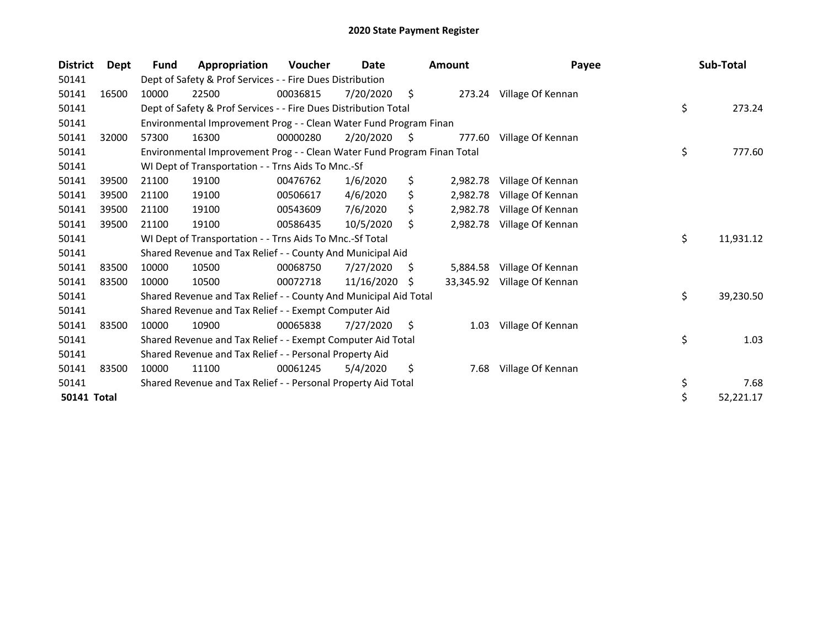| <b>District</b>    | Dept  | Fund  | Appropriation                                                           | <b>Voucher</b> | Date       |     | <b>Amount</b> | Payee                    | Sub-Total       |
|--------------------|-------|-------|-------------------------------------------------------------------------|----------------|------------|-----|---------------|--------------------------|-----------------|
| 50141              |       |       | Dept of Safety & Prof Services - - Fire Dues Distribution               |                |            |     |               |                          |                 |
| 50141              | 16500 | 10000 | 22500                                                                   | 00036815       | 7/20/2020  | \$  |               | 273.24 Village Of Kennan |                 |
| 50141              |       |       | Dept of Safety & Prof Services - - Fire Dues Distribution Total         |                |            |     |               |                          | \$<br>273.24    |
| 50141              |       |       | Environmental Improvement Prog - - Clean Water Fund Program Finan       |                |            |     |               |                          |                 |
| 50141              | 32000 | 57300 | 16300                                                                   | 00000280       | 2/20/2020  | S   | 777.60        | Village Of Kennan        |                 |
| 50141              |       |       | Environmental Improvement Prog - - Clean Water Fund Program Finan Total |                |            |     |               |                          | \$<br>777.60    |
| 50141              |       |       | WI Dept of Transportation - - Trns Aids To Mnc.-Sf                      |                |            |     |               |                          |                 |
| 50141              | 39500 | 21100 | 19100                                                                   | 00476762       | 1/6/2020   | \$  | 2,982.78      | Village Of Kennan        |                 |
| 50141              | 39500 | 21100 | 19100                                                                   | 00506617       | 4/6/2020   | \$  | 2,982.78      | Village Of Kennan        |                 |
| 50141              | 39500 | 21100 | 19100                                                                   | 00543609       | 7/6/2020   | \$  | 2,982.78      | Village Of Kennan        |                 |
| 50141              | 39500 | 21100 | 19100                                                                   | 00586435       | 10/5/2020  | \$  | 2,982.78      | Village Of Kennan        |                 |
| 50141              |       |       | WI Dept of Transportation - - Trns Aids To Mnc.-Sf Total                |                |            |     |               |                          | \$<br>11,931.12 |
| 50141              |       |       | Shared Revenue and Tax Relief - - County And Municipal Aid              |                |            |     |               |                          |                 |
| 50141              | 83500 | 10000 | 10500                                                                   | 00068750       | 7/27/2020  | S   | 5,884.58      | Village Of Kennan        |                 |
| 50141              | 83500 | 10000 | 10500                                                                   | 00072718       | 11/16/2020 | S   | 33,345.92     | Village Of Kennan        |                 |
| 50141              |       |       | Shared Revenue and Tax Relief - - County And Municipal Aid Total        |                |            |     |               |                          | \$<br>39,230.50 |
| 50141              |       |       | Shared Revenue and Tax Relief - - Exempt Computer Aid                   |                |            |     |               |                          |                 |
| 50141              | 83500 | 10000 | 10900                                                                   | 00065838       | 7/27/2020  | \$. | 1.03          | Village Of Kennan        |                 |
| 50141              |       |       | Shared Revenue and Tax Relief - - Exempt Computer Aid Total             |                |            |     |               |                          | \$<br>1.03      |
| 50141              |       |       | Shared Revenue and Tax Relief - - Personal Property Aid                 |                |            |     |               |                          |                 |
| 50141              | 83500 | 10000 | 11100                                                                   | 00061245       | 5/4/2020   | \$  | 7.68          | Village Of Kennan        |                 |
| 50141              |       |       | Shared Revenue and Tax Relief - - Personal Property Aid Total           |                |            |     |               |                          | \$<br>7.68      |
| <b>50141 Total</b> |       |       |                                                                         |                |            |     |               |                          | \$<br>52,221.17 |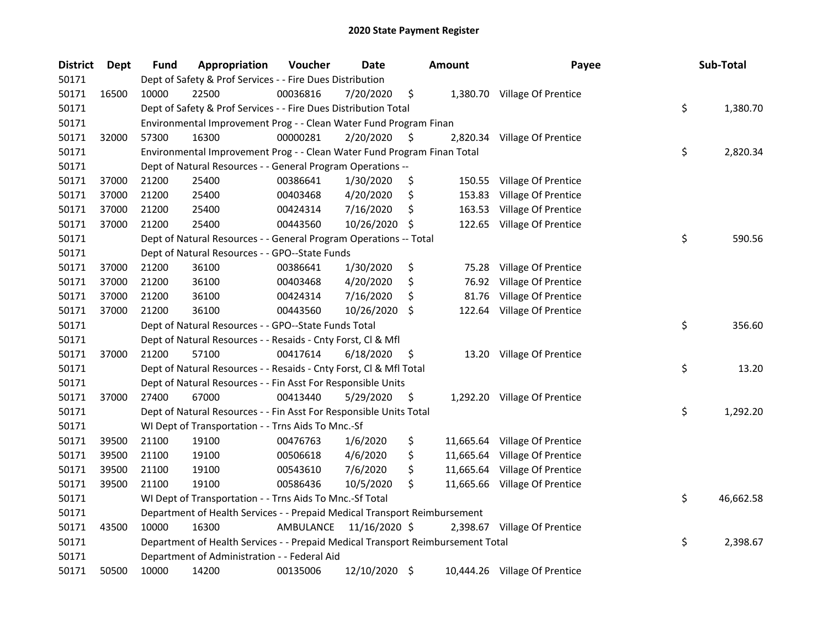| <b>District</b> | Dept  | <b>Fund</b> | Appropriation                                                                   | Voucher   | <b>Date</b>   |     | Amount | Payee                         | Sub-Total       |
|-----------------|-------|-------------|---------------------------------------------------------------------------------|-----------|---------------|-----|--------|-------------------------------|-----------------|
| 50171           |       |             | Dept of Safety & Prof Services - - Fire Dues Distribution                       |           |               |     |        |                               |                 |
| 50171           | 16500 | 10000       | 22500                                                                           | 00036816  | 7/20/2020     | \$  |        | 1,380.70 Village Of Prentice  |                 |
| 50171           |       |             | Dept of Safety & Prof Services - - Fire Dues Distribution Total                 |           |               |     |        |                               | \$<br>1,380.70  |
| 50171           |       |             | Environmental Improvement Prog - - Clean Water Fund Program Finan               |           |               |     |        |                               |                 |
| 50171           | 32000 | 57300       | 16300                                                                           | 00000281  | 2/20/2020     | \$. |        | 2,820.34 Village Of Prentice  |                 |
| 50171           |       |             | Environmental Improvement Prog - - Clean Water Fund Program Finan Total         |           |               |     |        |                               | \$<br>2,820.34  |
| 50171           |       |             | Dept of Natural Resources - - General Program Operations --                     |           |               |     |        |                               |                 |
| 50171           | 37000 | 21200       | 25400                                                                           | 00386641  | 1/30/2020     | \$  |        | 150.55 Village Of Prentice    |                 |
| 50171           | 37000 | 21200       | 25400                                                                           | 00403468  | 4/20/2020     | \$  |        | 153.83 Village Of Prentice    |                 |
| 50171           | 37000 | 21200       | 25400                                                                           | 00424314  | 7/16/2020     | \$  |        | 163.53 Village Of Prentice    |                 |
| 50171           | 37000 | 21200       | 25400                                                                           | 00443560  | 10/26/2020    | -\$ |        | 122.65 Village Of Prentice    |                 |
| 50171           |       |             | Dept of Natural Resources - - General Program Operations -- Total               |           |               |     |        |                               | \$<br>590.56    |
| 50171           |       |             | Dept of Natural Resources - - GPO--State Funds                                  |           |               |     |        |                               |                 |
| 50171           | 37000 | 21200       | 36100                                                                           | 00386641  | 1/30/2020     | \$  | 75.28  | Village Of Prentice           |                 |
| 50171           | 37000 | 21200       | 36100                                                                           | 00403468  | 4/20/2020     | \$  | 76.92  | Village Of Prentice           |                 |
| 50171           | 37000 | 21200       | 36100                                                                           | 00424314  | 7/16/2020     | \$, | 81.76  | Village Of Prentice           |                 |
| 50171           | 37000 | 21200       | 36100                                                                           | 00443560  | 10/26/2020    | -S  |        | 122.64 Village Of Prentice    |                 |
| 50171           |       |             | Dept of Natural Resources - - GPO--State Funds Total                            |           |               |     |        |                               | \$<br>356.60    |
| 50171           |       |             | Dept of Natural Resources - - Resaids - Cnty Forst, Cl & Mfl                    |           |               |     |        |                               |                 |
| 50171           | 37000 | 21200       | 57100                                                                           | 00417614  | 6/18/2020     | \$  |        | 13.20 Village Of Prentice     |                 |
| 50171           |       |             | Dept of Natural Resources - - Resaids - Cnty Forst, Cl & Mfl Total              |           |               |     |        |                               | \$<br>13.20     |
| 50171           |       |             | Dept of Natural Resources - - Fin Asst For Responsible Units                    |           |               |     |        |                               |                 |
| 50171           | 37000 | 27400       | 67000                                                                           | 00413440  | 5/29/2020     | \$  |        | 1,292.20 Village Of Prentice  |                 |
| 50171           |       |             | Dept of Natural Resources - - Fin Asst For Responsible Units Total              |           |               |     |        |                               | \$<br>1,292.20  |
| 50171           |       |             | WI Dept of Transportation - - Trns Aids To Mnc.-Sf                              |           |               |     |        |                               |                 |
| 50171           | 39500 | 21100       | 19100                                                                           | 00476763  | 1/6/2020      | \$  |        | 11,665.64 Village Of Prentice |                 |
| 50171           | 39500 | 21100       | 19100                                                                           | 00506618  | 4/6/2020      | \$  |        | 11,665.64 Village Of Prentice |                 |
| 50171           | 39500 | 21100       | 19100                                                                           | 00543610  | 7/6/2020      | \$  |        | 11,665.64 Village Of Prentice |                 |
| 50171           | 39500 | 21100       | 19100                                                                           | 00586436  | 10/5/2020     | \$  |        | 11,665.66 Village Of Prentice |                 |
| 50171           |       |             | WI Dept of Transportation - - Trns Aids To Mnc.-Sf Total                        |           |               |     |        |                               | \$<br>46,662.58 |
| 50171           |       |             | Department of Health Services - - Prepaid Medical Transport Reimbursement       |           |               |     |        |                               |                 |
| 50171           | 43500 | 10000       | 16300                                                                           | AMBULANCE | 11/16/2020 \$ |     |        | 2,398.67 Village Of Prentice  |                 |
| 50171           |       |             | Department of Health Services - - Prepaid Medical Transport Reimbursement Total |           |               |     |        |                               | \$<br>2,398.67  |
| 50171           |       |             | Department of Administration - - Federal Aid                                    |           |               |     |        |                               |                 |
| 50171           | 50500 | 10000       | 14200                                                                           | 00135006  | 12/10/2020 \$ |     |        | 10,444.26 Village Of Prentice |                 |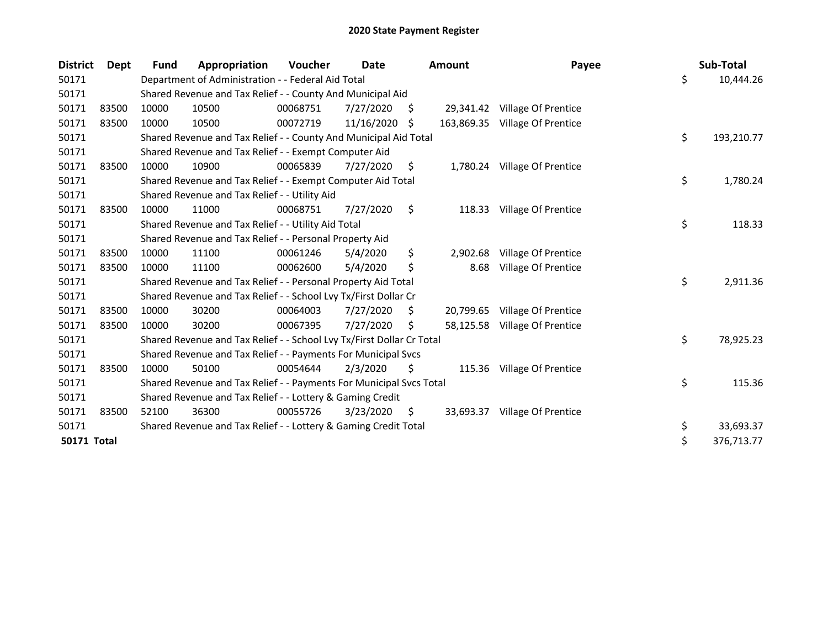| <b>District</b>    | Dept  | <b>Fund</b> | Appropriation                                                         | <b>Voucher</b> | Date       |    | <b>Amount</b> | Payee                         | Sub-Total        |
|--------------------|-------|-------------|-----------------------------------------------------------------------|----------------|------------|----|---------------|-------------------------------|------------------|
| 50171              |       |             | Department of Administration - - Federal Aid Total                    |                |            |    |               |                               | \$<br>10,444.26  |
| 50171              |       |             | Shared Revenue and Tax Relief - - County And Municipal Aid            |                |            |    |               |                               |                  |
| 50171              | 83500 | 10000       | 10500                                                                 | 00068751       | 7/27/2020  | S. |               | 29,341.42 Village Of Prentice |                  |
| 50171              | 83500 | 10000       | 10500                                                                 | 00072719       | 11/16/2020 | S  | 163,869.35    | Village Of Prentice           |                  |
| 50171              |       |             | Shared Revenue and Tax Relief - - County And Municipal Aid Total      |                |            |    |               |                               | \$<br>193,210.77 |
| 50171              |       |             | Shared Revenue and Tax Relief - - Exempt Computer Aid                 |                |            |    |               |                               |                  |
| 50171              | 83500 | 10000       | 10900                                                                 | 00065839       | 7/27/2020  | \$ |               | 1,780.24 Village Of Prentice  |                  |
| 50171              |       |             | Shared Revenue and Tax Relief - - Exempt Computer Aid Total           |                |            |    |               |                               | \$<br>1,780.24   |
| 50171              |       |             | Shared Revenue and Tax Relief - - Utility Aid                         |                |            |    |               |                               |                  |
| 50171              | 83500 | 10000       | 11000                                                                 | 00068751       | 7/27/2020  | \$ |               | 118.33 Village Of Prentice    |                  |
| 50171              |       |             | Shared Revenue and Tax Relief - - Utility Aid Total                   |                |            |    |               |                               | \$<br>118.33     |
| 50171              |       |             | Shared Revenue and Tax Relief - - Personal Property Aid               |                |            |    |               |                               |                  |
| 50171              | 83500 | 10000       | 11100                                                                 | 00061246       | 5/4/2020   | \$ | 2,902.68      | Village Of Prentice           |                  |
| 50171              | 83500 | 10000       | 11100                                                                 | 00062600       | 5/4/2020   | \$ | 8.68          | Village Of Prentice           |                  |
| 50171              |       |             | Shared Revenue and Tax Relief - - Personal Property Aid Total         |                |            |    |               |                               | \$<br>2,911.36   |
| 50171              |       |             | Shared Revenue and Tax Relief - - School Lvy Tx/First Dollar Cr       |                |            |    |               |                               |                  |
| 50171              | 83500 | 10000       | 30200                                                                 | 00064003       | 7/27/2020  | S. | 20,799.65     | Village Of Prentice           |                  |
| 50171              | 83500 | 10000       | 30200                                                                 | 00067395       | 7/27/2020  | S  |               | 58,125.58 Village Of Prentice |                  |
| 50171              |       |             | Shared Revenue and Tax Relief - - School Lvy Tx/First Dollar Cr Total |                |            |    |               |                               | \$<br>78,925.23  |
| 50171              |       |             | Shared Revenue and Tax Relief - - Payments For Municipal Svcs         |                |            |    |               |                               |                  |
| 50171              | 83500 | 10000       | 50100                                                                 | 00054644       | 2/3/2020   | \$ |               | 115.36 Village Of Prentice    |                  |
| 50171              |       |             | Shared Revenue and Tax Relief - - Payments For Municipal Svcs Total   |                |            |    |               |                               | \$<br>115.36     |
| 50171              |       |             | Shared Revenue and Tax Relief - - Lottery & Gaming Credit             |                |            |    |               |                               |                  |
| 50171              | 83500 | 52100       | 36300                                                                 | 00055726       | 3/23/2020  | S. | 33,693.37     | Village Of Prentice           |                  |
| 50171              |       |             | Shared Revenue and Tax Relief - - Lottery & Gaming Credit Total       |                |            |    |               |                               | \$<br>33,693.37  |
| <b>50171 Total</b> |       |             |                                                                       |                |            |    |               |                               | \$<br>376,713.77 |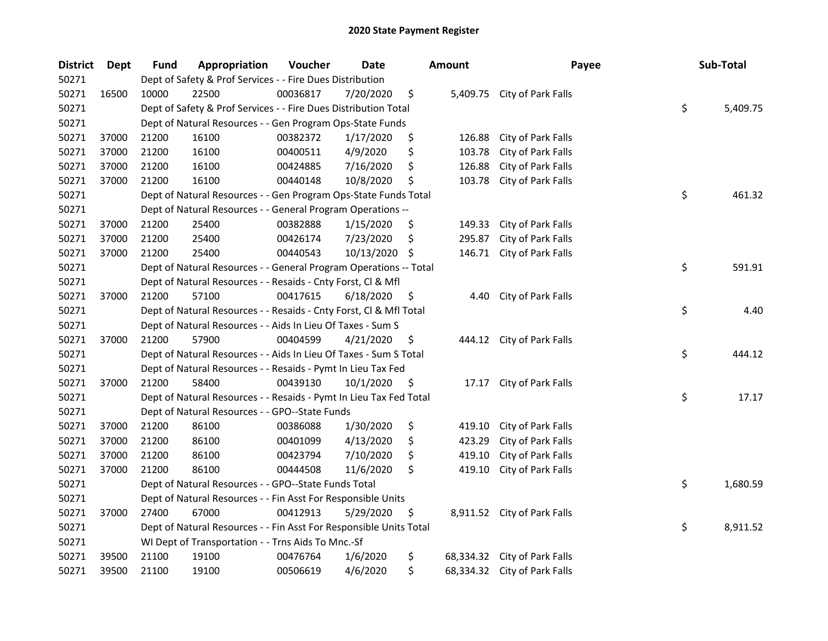| <b>District</b> | <b>Dept</b> | Fund  | Appropriation                                                      | Voucher  | Date       |    | <b>Amount</b> | Payee                        | Sub-Total      |
|-----------------|-------------|-------|--------------------------------------------------------------------|----------|------------|----|---------------|------------------------------|----------------|
| 50271           |             |       | Dept of Safety & Prof Services - - Fire Dues Distribution          |          |            |    |               |                              |                |
| 50271           | 16500       | 10000 | 22500                                                              | 00036817 | 7/20/2020  | \$ |               | 5,409.75 City of Park Falls  |                |
| 50271           |             |       | Dept of Safety & Prof Services - - Fire Dues Distribution Total    |          |            |    |               |                              | \$<br>5,409.75 |
| 50271           |             |       | Dept of Natural Resources - - Gen Program Ops-State Funds          |          |            |    |               |                              |                |
| 50271           | 37000       | 21200 | 16100                                                              | 00382372 | 1/17/2020  | \$ | 126.88        | City of Park Falls           |                |
| 50271           | 37000       | 21200 | 16100                                                              | 00400511 | 4/9/2020   | \$ | 103.78        | City of Park Falls           |                |
| 50271           | 37000       | 21200 | 16100                                                              | 00424885 | 7/16/2020  | \$ | 126.88        | City of Park Falls           |                |
| 50271           | 37000       | 21200 | 16100                                                              | 00440148 | 10/8/2020  | \$ | 103.78        | City of Park Falls           |                |
| 50271           |             |       | Dept of Natural Resources - - Gen Program Ops-State Funds Total    |          |            |    |               |                              | \$<br>461.32   |
| 50271           |             |       | Dept of Natural Resources - - General Program Operations --        |          |            |    |               |                              |                |
| 50271           | 37000       | 21200 | 25400                                                              | 00382888 | 1/15/2020  | \$ | 149.33        | City of Park Falls           |                |
| 50271           | 37000       | 21200 | 25400                                                              | 00426174 | 7/23/2020  | \$ | 295.87        | City of Park Falls           |                |
| 50271           | 37000       | 21200 | 25400                                                              | 00440543 | 10/13/2020 | S  | 146.71        | City of Park Falls           |                |
| 50271           |             |       | Dept of Natural Resources - - General Program Operations -- Total  |          |            |    |               |                              | \$<br>591.91   |
| 50271           |             |       | Dept of Natural Resources - - Resaids - Cnty Forst, Cl & Mfl       |          |            |    |               |                              |                |
| 50271           | 37000       | 21200 | 57100                                                              | 00417615 | 6/18/2020  | \$ | 4.40          | City of Park Falls           |                |
| 50271           |             |       | Dept of Natural Resources - - Resaids - Cnty Forst, Cl & Mfl Total |          |            |    |               |                              | \$<br>4.40     |
| 50271           |             |       | Dept of Natural Resources - - Aids In Lieu Of Taxes - Sum S        |          |            |    |               |                              |                |
| 50271           | 37000       | 21200 | 57900                                                              | 00404599 | 4/21/2020  | \$ |               | 444.12 City of Park Falls    |                |
| 50271           |             |       | Dept of Natural Resources - - Aids In Lieu Of Taxes - Sum S Total  |          |            |    |               |                              | \$<br>444.12   |
| 50271           |             |       | Dept of Natural Resources - - Resaids - Pymt In Lieu Tax Fed       |          |            |    |               |                              |                |
| 50271           | 37000       | 21200 | 58400                                                              | 00439130 | 10/1/2020  | \$ | 17.17         | City of Park Falls           |                |
| 50271           |             |       | Dept of Natural Resources - - Resaids - Pymt In Lieu Tax Fed Total |          |            |    |               |                              | \$<br>17.17    |
| 50271           |             |       | Dept of Natural Resources - - GPO--State Funds                     |          |            |    |               |                              |                |
| 50271           | 37000       | 21200 | 86100                                                              | 00386088 | 1/30/2020  | \$ | 419.10        | City of Park Falls           |                |
| 50271           | 37000       | 21200 | 86100                                                              | 00401099 | 4/13/2020  | \$ | 423.29        | City of Park Falls           |                |
| 50271           | 37000       | 21200 | 86100                                                              | 00423794 | 7/10/2020  | \$ | 419.10        | City of Park Falls           |                |
| 50271           | 37000       | 21200 | 86100                                                              | 00444508 | 11/6/2020  | \$ | 419.10        | City of Park Falls           |                |
| 50271           |             |       | Dept of Natural Resources - - GPO--State Funds Total               |          |            |    |               |                              | \$<br>1,680.59 |
| 50271           |             |       | Dept of Natural Resources - - Fin Asst For Responsible Units       |          |            |    |               |                              |                |
| 50271           | 37000       | 27400 | 67000                                                              | 00412913 | 5/29/2020  | \$ |               | 8,911.52 City of Park Falls  |                |
| 50271           |             |       | Dept of Natural Resources - - Fin Asst For Responsible Units Total |          |            |    |               |                              | \$<br>8,911.52 |
| 50271           |             |       | WI Dept of Transportation - - Trns Aids To Mnc.-Sf                 |          |            |    |               |                              |                |
| 50271           | 39500       | 21100 | 19100                                                              | 00476764 | 1/6/2020   | \$ |               | 68,334.32 City of Park Falls |                |
| 50271           | 39500       | 21100 | 19100                                                              | 00506619 | 4/6/2020   | \$ |               | 68,334.32 City of Park Falls |                |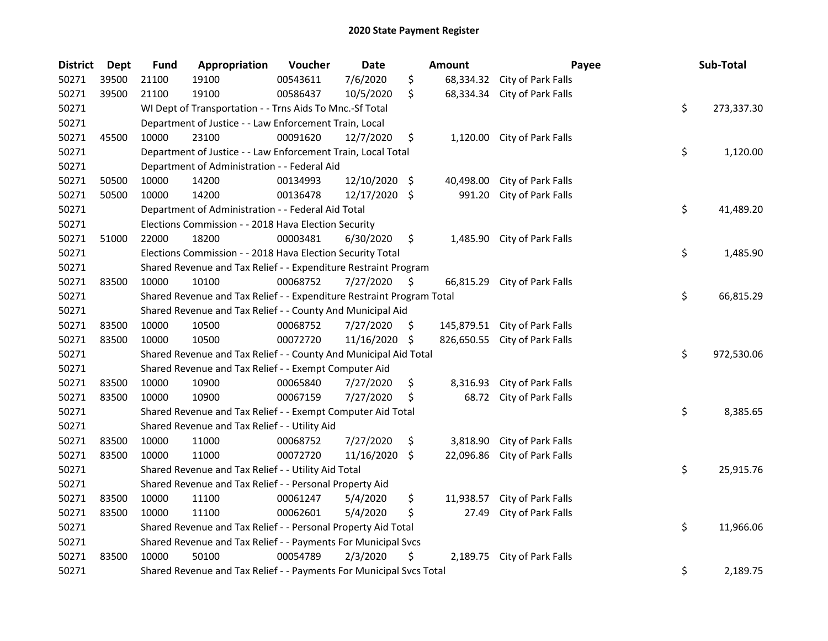| <b>District</b> | <b>Dept</b> | <b>Fund</b> | Appropriation                                                         | Voucher  | <b>Date</b>   | <b>Amount</b>    | Payee                         | Sub-Total        |
|-----------------|-------------|-------------|-----------------------------------------------------------------------|----------|---------------|------------------|-------------------------------|------------------|
| 50271           | 39500       | 21100       | 19100                                                                 | 00543611 | 7/6/2020      | \$<br>68,334.32  | City of Park Falls            |                  |
| 50271           | 39500       | 21100       | 19100                                                                 | 00586437 | 10/5/2020     | \$<br>68,334.34  | City of Park Falls            |                  |
| 50271           |             |             | WI Dept of Transportation - - Trns Aids To Mnc.-Sf Total              |          |               |                  |                               | \$<br>273,337.30 |
| 50271           |             |             | Department of Justice - - Law Enforcement Train, Local                |          |               |                  |                               |                  |
| 50271           | 45500       | 10000       | 23100                                                                 | 00091620 | 12/7/2020     | \$               | 1,120.00 City of Park Falls   |                  |
| 50271           |             |             | Department of Justice - - Law Enforcement Train, Local Total          |          |               |                  |                               | \$<br>1,120.00   |
| 50271           |             |             | Department of Administration - - Federal Aid                          |          |               |                  |                               |                  |
| 50271           | 50500       | 10000       | 14200                                                                 | 00134993 | 12/10/2020 \$ | 40,498.00        | City of Park Falls            |                  |
| 50271           | 50500       | 10000       | 14200                                                                 | 00136478 | 12/17/2020 \$ | 991.20           | City of Park Falls            |                  |
| 50271           |             |             | Department of Administration - - Federal Aid Total                    |          |               |                  |                               | \$<br>41,489.20  |
| 50271           |             |             | Elections Commission - - 2018 Hava Election Security                  |          |               |                  |                               |                  |
| 50271           | 51000       | 22000       | 18200                                                                 | 00003481 | 6/30/2020     | \$<br>1,485.90   | City of Park Falls            |                  |
| 50271           |             |             | Elections Commission - - 2018 Hava Election Security Total            |          |               |                  |                               | \$<br>1,485.90   |
| 50271           |             |             | Shared Revenue and Tax Relief - - Expenditure Restraint Program       |          |               |                  |                               |                  |
| 50271           | 83500       | 10000       | 10100                                                                 | 00068752 | 7/27/2020     | \$<br>66,815.29  | City of Park Falls            |                  |
| 50271           |             |             | Shared Revenue and Tax Relief - - Expenditure Restraint Program Total |          |               |                  |                               | \$<br>66,815.29  |
| 50271           |             |             | Shared Revenue and Tax Relief - - County And Municipal Aid            |          |               |                  |                               |                  |
| 50271           | 83500       | 10000       | 10500                                                                 | 00068752 | 7/27/2020     | \$<br>145,879.51 | City of Park Falls            |                  |
| 50271           | 83500       | 10000       | 10500                                                                 | 00072720 | 11/16/2020    | \$               | 826,650.55 City of Park Falls |                  |
| 50271           |             |             | Shared Revenue and Tax Relief - - County And Municipal Aid Total      |          |               |                  |                               | \$<br>972,530.06 |
| 50271           |             |             | Shared Revenue and Tax Relief - - Exempt Computer Aid                 |          |               |                  |                               |                  |
| 50271           | 83500       | 10000       | 10900                                                                 | 00065840 | 7/27/2020     | \$<br>8,316.93   | City of Park Falls            |                  |
| 50271           | 83500       | 10000       | 10900                                                                 | 00067159 | 7/27/2020     | \$<br>68.72      | City of Park Falls            |                  |
| 50271           |             |             | Shared Revenue and Tax Relief - - Exempt Computer Aid Total           |          |               |                  |                               | \$<br>8,385.65   |
| 50271           |             |             | Shared Revenue and Tax Relief - - Utility Aid                         |          |               |                  |                               |                  |
| 50271           | 83500       | 10000       | 11000                                                                 | 00068752 | 7/27/2020     | \$<br>3,818.90   | City of Park Falls            |                  |
| 50271           | 83500       | 10000       | 11000                                                                 | 00072720 | 11/16/2020    | \$<br>22,096.86  | City of Park Falls            |                  |
| 50271           |             |             | Shared Revenue and Tax Relief - - Utility Aid Total                   |          |               |                  |                               | \$<br>25,915.76  |
| 50271           |             |             | Shared Revenue and Tax Relief - - Personal Property Aid               |          |               |                  |                               |                  |
| 50271           | 83500       | 10000       | 11100                                                                 | 00061247 | 5/4/2020      | \$<br>11,938.57  | City of Park Falls            |                  |
| 50271           | 83500       | 10000       | 11100                                                                 | 00062601 | 5/4/2020      | \$<br>27.49      | City of Park Falls            |                  |
| 50271           |             |             | Shared Revenue and Tax Relief - - Personal Property Aid Total         |          |               |                  |                               | \$<br>11,966.06  |
| 50271           |             |             | Shared Revenue and Tax Relief - - Payments For Municipal Svcs         |          |               |                  |                               |                  |
| 50271           | 83500       | 10000       | 50100                                                                 | 00054789 | 2/3/2020      | \$<br>2,189.75   | City of Park Falls            |                  |
| 50271           |             |             | Shared Revenue and Tax Relief - - Payments For Municipal Svcs Total   |          |               |                  |                               | \$<br>2,189.75   |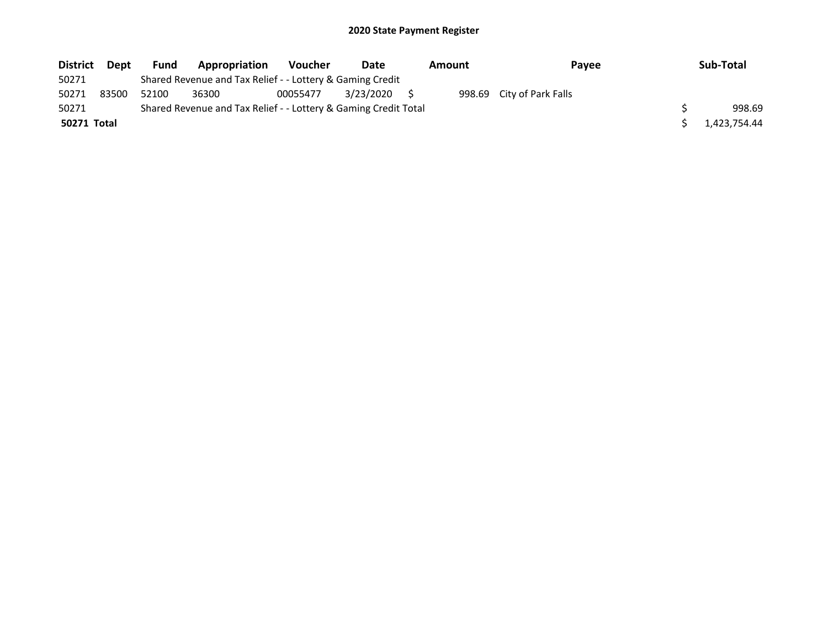| <b>District</b>    | <b>Dept</b> | Fund  | Appropriation                                                   | <b>Voucher</b> | Date      | Amount | Payee                     | Sub-Total    |
|--------------------|-------------|-------|-----------------------------------------------------------------|----------------|-----------|--------|---------------------------|--------------|
| 50271              |             |       | Shared Revenue and Tax Relief - - Lottery & Gaming Credit       |                |           |        |                           |              |
| 50271              | 83500       | 52100 | 36300                                                           | 00055477       | 3/23/2020 |        | 998.69 City of Park Falls |              |
| 50271              |             |       | Shared Revenue and Tax Relief - - Lottery & Gaming Credit Total |                |           |        |                           | 998.69       |
| <b>50271 Total</b> |             |       |                                                                 |                |           |        |                           | 1.423.754.44 |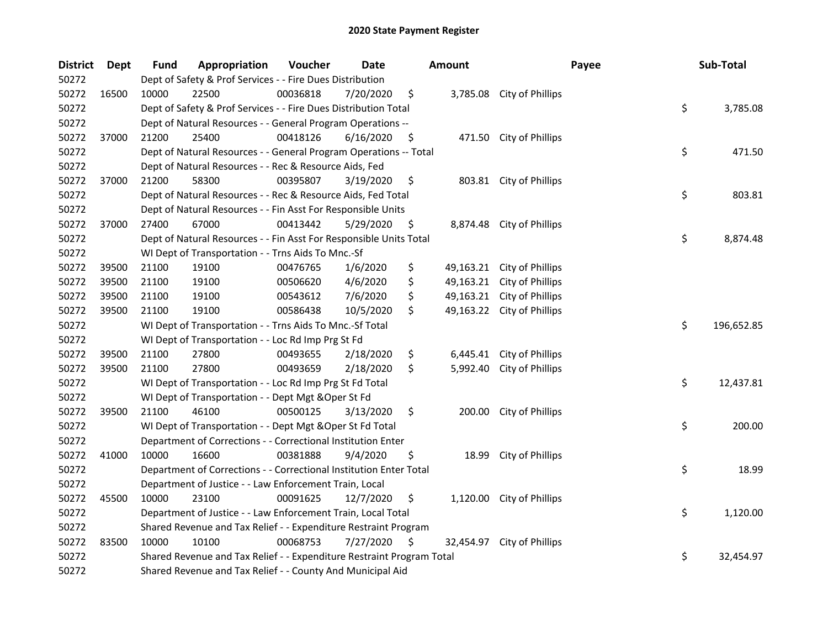| <b>District</b> | Dept  | <b>Fund</b> | Appropriation                                                         | Voucher  | <b>Date</b> |     | <b>Amount</b> |                           | Payee | Sub-Total  |
|-----------------|-------|-------------|-----------------------------------------------------------------------|----------|-------------|-----|---------------|---------------------------|-------|------------|
| 50272           |       |             | Dept of Safety & Prof Services - - Fire Dues Distribution             |          |             |     |               |                           |       |            |
| 50272           | 16500 | 10000       | 22500                                                                 | 00036818 | 7/20/2020   | \$  |               | 3,785.08 City of Phillips |       |            |
| 50272           |       |             | Dept of Safety & Prof Services - - Fire Dues Distribution Total       |          |             |     |               |                           | \$    | 3,785.08   |
| 50272           |       |             | Dept of Natural Resources - - General Program Operations --           |          |             |     |               |                           |       |            |
| 50272           | 37000 | 21200       | 25400                                                                 | 00418126 | 6/16/2020   | \$  |               | 471.50 City of Phillips   |       |            |
| 50272           |       |             | Dept of Natural Resources - - General Program Operations -- Total     |          |             |     |               |                           | \$    | 471.50     |
| 50272           |       |             | Dept of Natural Resources - - Rec & Resource Aids, Fed                |          |             |     |               |                           |       |            |
| 50272           | 37000 | 21200       | 58300                                                                 | 00395807 | 3/19/2020   | \$  |               | 803.81 City of Phillips   |       |            |
| 50272           |       |             | Dept of Natural Resources - - Rec & Resource Aids, Fed Total          |          |             |     |               |                           | \$    | 803.81     |
| 50272           |       |             | Dept of Natural Resources - - Fin Asst For Responsible Units          |          |             |     |               |                           |       |            |
| 50272           | 37000 | 27400       | 67000                                                                 | 00413442 | 5/29/2020   | \$  |               | 8,874.48 City of Phillips |       |            |
| 50272           |       |             | Dept of Natural Resources - - Fin Asst For Responsible Units Total    |          |             |     |               |                           | \$    | 8,874.48   |
| 50272           |       |             | WI Dept of Transportation - - Trns Aids To Mnc.-Sf                    |          |             |     |               |                           |       |            |
| 50272           | 39500 | 21100       | 19100                                                                 | 00476765 | 1/6/2020    | \$  | 49,163.21     | City of Phillips          |       |            |
| 50272           | 39500 | 21100       | 19100                                                                 | 00506620 | 4/6/2020    | \$  | 49,163.21     | City of Phillips          |       |            |
| 50272           | 39500 | 21100       | 19100                                                                 | 00543612 | 7/6/2020    | \$  | 49,163.21     | City of Phillips          |       |            |
| 50272           | 39500 | 21100       | 19100                                                                 | 00586438 | 10/5/2020   | \$  | 49,163.22     | City of Phillips          |       |            |
| 50272           |       |             | WI Dept of Transportation - - Trns Aids To Mnc.-Sf Total              |          |             |     |               |                           | \$    | 196,652.85 |
| 50272           |       |             | WI Dept of Transportation - - Loc Rd Imp Prg St Fd                    |          |             |     |               |                           |       |            |
| 50272           | 39500 | 21100       | 27800                                                                 | 00493655 | 2/18/2020   | \$  | 6,445.41      | City of Phillips          |       |            |
| 50272           | 39500 | 21100       | 27800                                                                 | 00493659 | 2/18/2020   | \$  | 5,992.40      | City of Phillips          |       |            |
| 50272           |       |             | WI Dept of Transportation - - Loc Rd Imp Prg St Fd Total              |          |             |     |               |                           | \$    | 12,437.81  |
| 50272           |       |             | WI Dept of Transportation - - Dept Mgt & Oper St Fd                   |          |             |     |               |                           |       |            |
| 50272           | 39500 | 21100       | 46100                                                                 | 00500125 | 3/13/2020   | \$  | 200.00        | City of Phillips          |       |            |
| 50272           |       |             | WI Dept of Transportation - - Dept Mgt & Oper St Fd Total             |          |             |     |               |                           | \$    | 200.00     |
| 50272           |       |             | Department of Corrections - - Correctional Institution Enter          |          |             |     |               |                           |       |            |
| 50272           | 41000 | 10000       | 16600                                                                 | 00381888 | 9/4/2020    | \$  | 18.99         | City of Phillips          |       |            |
| 50272           |       |             | Department of Corrections - - Correctional Institution Enter Total    |          |             |     |               |                           | \$    | 18.99      |
| 50272           |       |             | Department of Justice - - Law Enforcement Train, Local                |          |             |     |               |                           |       |            |
| 50272           | 45500 | 10000       | 23100                                                                 | 00091625 | 12/7/2020   | \$  | 1,120.00      | City of Phillips          |       |            |
| 50272           |       |             | Department of Justice - - Law Enforcement Train, Local Total          |          |             |     |               |                           | \$    | 1,120.00   |
| 50272           |       |             | Shared Revenue and Tax Relief - - Expenditure Restraint Program       |          |             |     |               |                           |       |            |
| 50272           | 83500 | 10000       | 10100                                                                 | 00068753 | 7/27/2020   | \$. | 32,454.97     | City of Phillips          |       |            |
| 50272           |       |             | Shared Revenue and Tax Relief - - Expenditure Restraint Program Total |          |             |     |               |                           | \$    | 32,454.97  |
| 50272           |       |             | Shared Revenue and Tax Relief - - County And Municipal Aid            |          |             |     |               |                           |       |            |